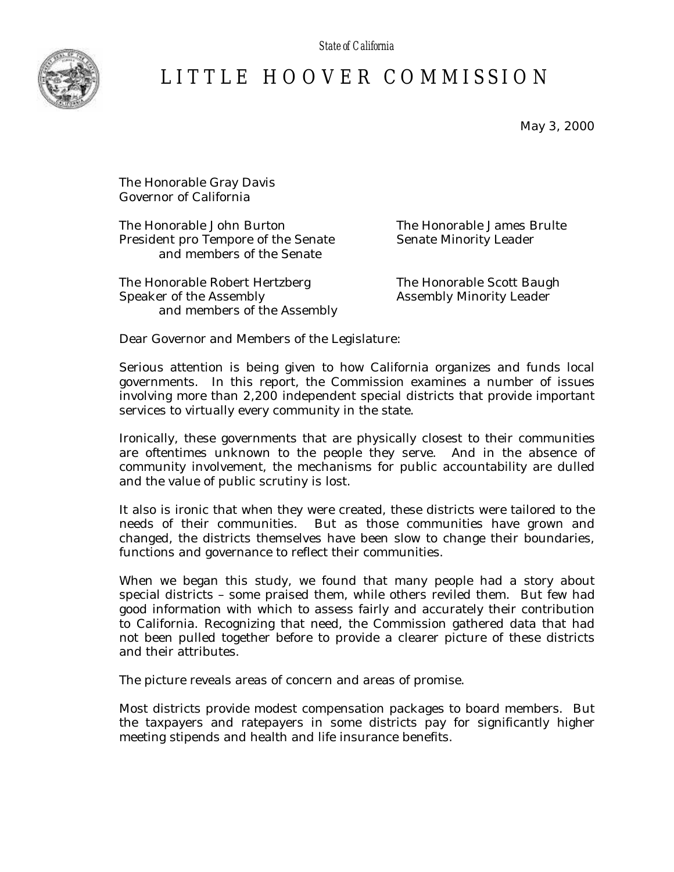*State of California*



## LITTLE HOOVER COMMISSIO N

May 3, 2000

The Honorable Gray Davis Governor of California

The Honorable John Burton The Honorable James Brulte President pro Tempore of the Senate Senate Minority Leader and members of the Senate

The Honorable Robert Hertzberg The Honorable Scott Baugh Speaker of the Assembly **Assembly Minority Leader** and members of the Assembly

Dear Governor and Members of the Legislature:

Serious attention is being given to how California organizes and funds local governments. In this report, the Commission examines a number of issues involving more than 2,200 independent special districts that provide important services to virtually every community in the state.

Ironically, these governments that are physically closest to their communities are oftentimes unknown to the people they serve. And in the absence of community involvement, the mechanisms for public accountability are dulled and the value of public scrutiny is lost.

It also is ironic that when they were created, these districts were tailored to the needs of their communities. But as those communities have grown and changed, the districts themselves have been slow to change their boundaries, functions and governance to reflect their communities.

When we began this study, we found that many people had a story about special districts – some praised them, while others reviled them. But few had good information with which to assess fairly and accurately their contribution to California. Recognizing that need, the Commission gathered data that had not been pulled together before to provide a clearer picture of these districts and their attributes.

The picture reveals areas of concern and areas of promise.

Most districts provide modest compensation packages to board members. But the taxpayers and ratepayers in some districts pay for significantly higher meeting stipends and health and life insurance benefits.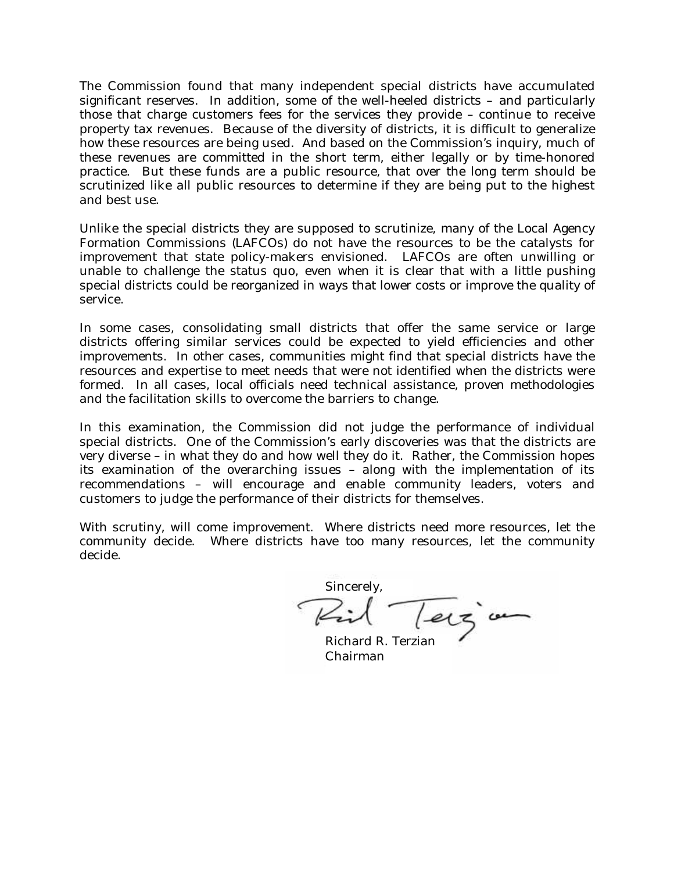The Commission found that many independent special districts have accumulated significant reserves. In addition, some of the well-heeled districts – and particularly those that charge customers fees for the services they provide – continue to receive property tax revenues. Because of the diversity of districts, it is difficult to generalize how these resources are being used. And based on the Commission's inquiry, much of these revenues are committed in the short term, either legally or by time-honored practice. But these funds are a public resource, that over the long term should be scrutinized like all public resources to determine if they are being put to the highest and best use.

Unlike the special districts they are supposed to scrutinize, many of the Local Agency Formation Commissions (LAFCOs) do not have the resources to be the catalysts for improvement that state policy-makers envisioned. LAFCOs are often unwilling or unable to challenge the status quo, even when it is clear that with a little pushing special districts could be reorganized in ways that lower costs or improve the quality of service.

In some cases, consolidating small districts that offer the same service or large districts offering similar services could be expected to yield efficiencies and other improvements. In other cases, communities might find that special districts have the resources and expertise to meet needs that were not identified when the districts were formed. In all cases, local officials need technical assistance, proven methodologies and the facilitation skills to overcome the barriers to change.

In this examination, the Commission did not judge the performance of individual special districts. One of the Commission's early discoveries was that the districts are very diverse – in what they do and how well they do it. Rather, the Commission hopes its examination of the overarching issues – along with the implementation of its recommendations – will encourage and enable community leaders, voters and customers to judge the performance of their districts for themselves.

With scrutiny, will come improvement. Where districts need more resources, let the community decide. Where districts have too many resources, let the community decide.

Sincerely, Zil Terzion

Chairman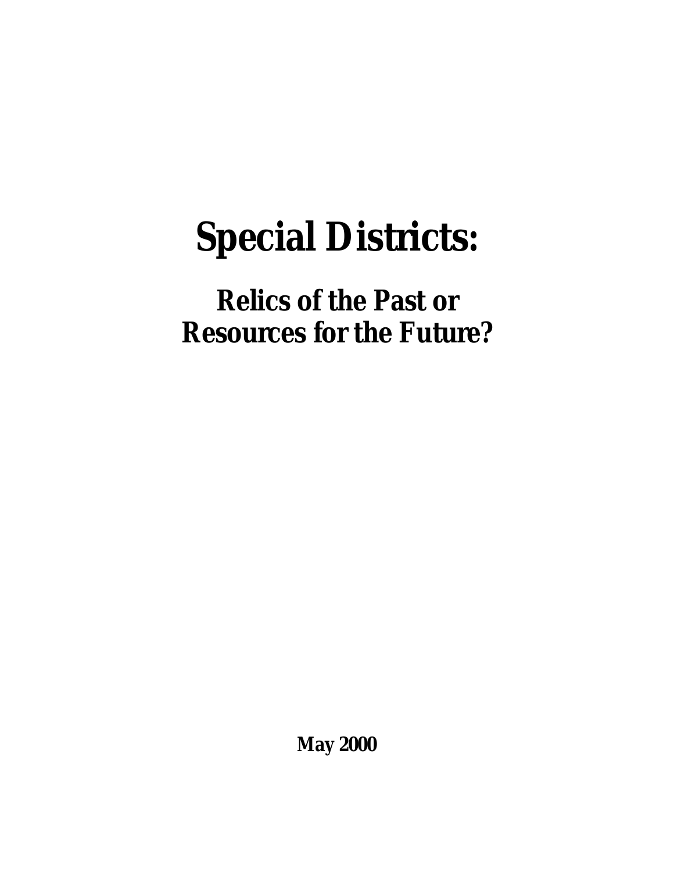# **Special Districts:**

## **Relics of the Past or Resources for the Future?**

**May 2000**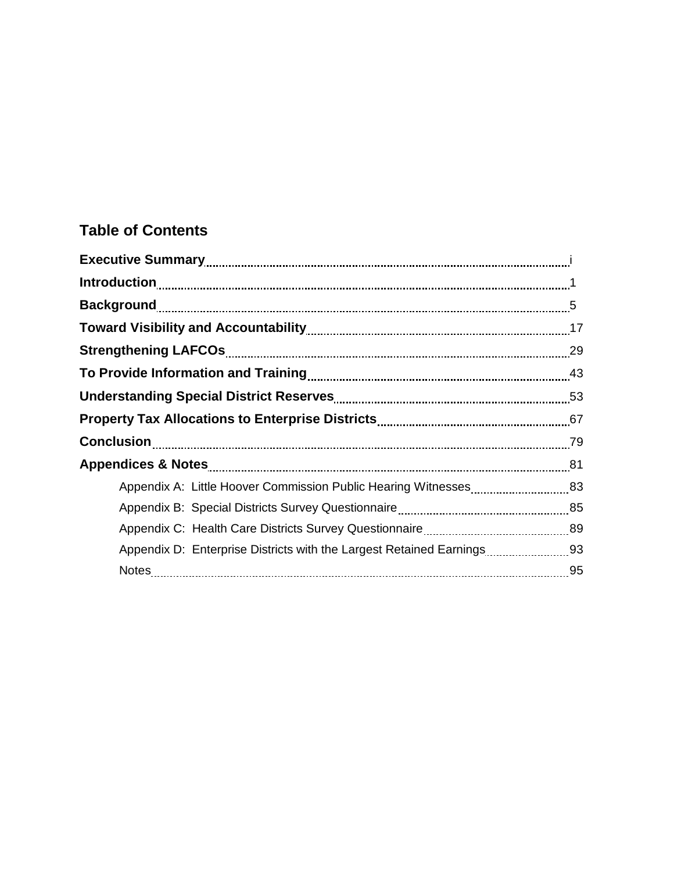## **Table of Contents**

| Toward Visibility and Accountability [11] Toward Visibility 17                                                                                     |  |
|----------------------------------------------------------------------------------------------------------------------------------------------------|--|
|                                                                                                                                                    |  |
|                                                                                                                                                    |  |
|                                                                                                                                                    |  |
|                                                                                                                                                    |  |
|                                                                                                                                                    |  |
|                                                                                                                                                    |  |
|                                                                                                                                                    |  |
|                                                                                                                                                    |  |
|                                                                                                                                                    |  |
| Appendix D: Enterprise Districts with the Largest Retained Earnings [11, 2016] Appendix D: Enterprise Districts with the Largest Retained Earnings |  |
|                                                                                                                                                    |  |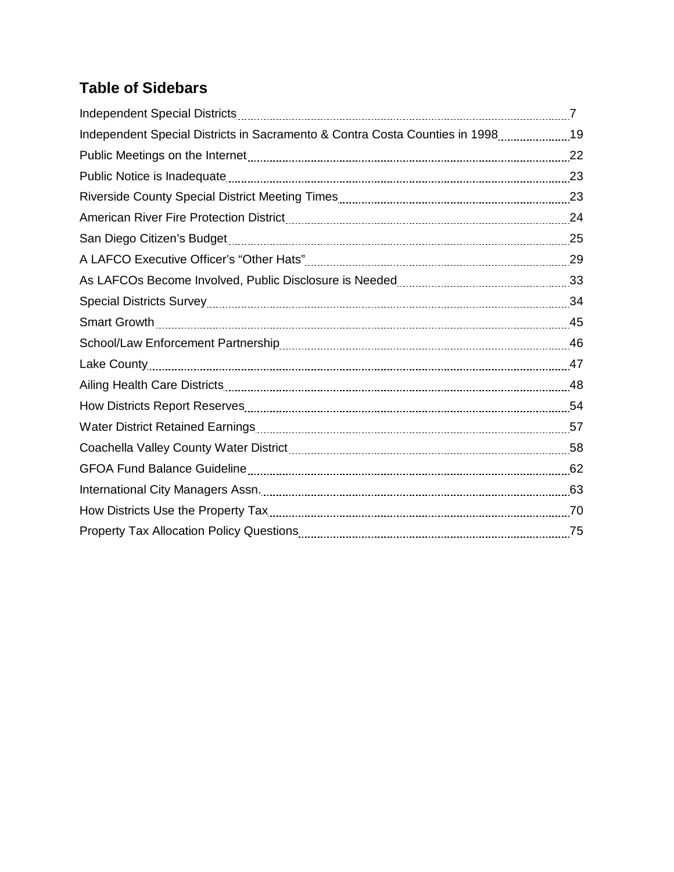## **Table of Sidebars**

| Independent Special Districts in Sacramento & Contra Costa Counties in 199819<br>Public Meetings on the Internet [11, 22] Public Meetings on the Internet Linux and Meetings on the Internet<br>San Diego Citizen's Budget <b>[19] Product of Automorphism</b> 25<br>Lake County 27 22 22 23 247<br>Coachella Valley County Water District [1111] [1201] Coachella Valley Coachella Valley County Water District [<br>International City Managers Assn. <b>Manual According to the Contract Office</b> 63 |  |
|-----------------------------------------------------------------------------------------------------------------------------------------------------------------------------------------------------------------------------------------------------------------------------------------------------------------------------------------------------------------------------------------------------------------------------------------------------------------------------------------------------------|--|
|                                                                                                                                                                                                                                                                                                                                                                                                                                                                                                           |  |
|                                                                                                                                                                                                                                                                                                                                                                                                                                                                                                           |  |
|                                                                                                                                                                                                                                                                                                                                                                                                                                                                                                           |  |
|                                                                                                                                                                                                                                                                                                                                                                                                                                                                                                           |  |
|                                                                                                                                                                                                                                                                                                                                                                                                                                                                                                           |  |
|                                                                                                                                                                                                                                                                                                                                                                                                                                                                                                           |  |
|                                                                                                                                                                                                                                                                                                                                                                                                                                                                                                           |  |
|                                                                                                                                                                                                                                                                                                                                                                                                                                                                                                           |  |
|                                                                                                                                                                                                                                                                                                                                                                                                                                                                                                           |  |
|                                                                                                                                                                                                                                                                                                                                                                                                                                                                                                           |  |
|                                                                                                                                                                                                                                                                                                                                                                                                                                                                                                           |  |
|                                                                                                                                                                                                                                                                                                                                                                                                                                                                                                           |  |
|                                                                                                                                                                                                                                                                                                                                                                                                                                                                                                           |  |
|                                                                                                                                                                                                                                                                                                                                                                                                                                                                                                           |  |
|                                                                                                                                                                                                                                                                                                                                                                                                                                                                                                           |  |
|                                                                                                                                                                                                                                                                                                                                                                                                                                                                                                           |  |
|                                                                                                                                                                                                                                                                                                                                                                                                                                                                                                           |  |
|                                                                                                                                                                                                                                                                                                                                                                                                                                                                                                           |  |
|                                                                                                                                                                                                                                                                                                                                                                                                                                                                                                           |  |
|                                                                                                                                                                                                                                                                                                                                                                                                                                                                                                           |  |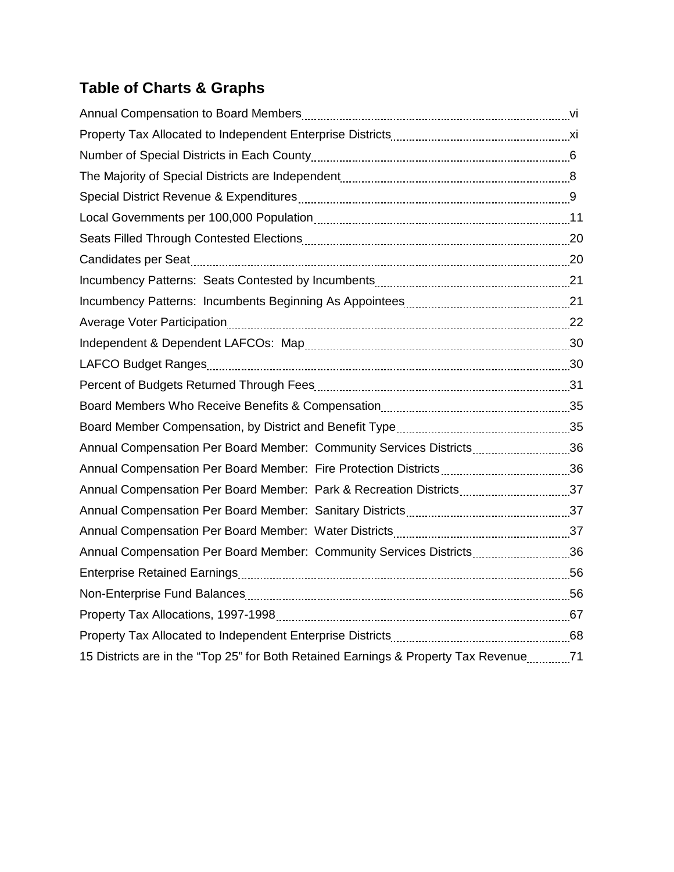## **Table of Charts & Graphs**

| Average Voter Participation [11] Average Voter Participation [12] Average Voter Participation [122] Average V |  |
|---------------------------------------------------------------------------------------------------------------|--|
|                                                                                                               |  |
|                                                                                                               |  |
|                                                                                                               |  |
|                                                                                                               |  |
|                                                                                                               |  |
| Annual Compensation Per Board Member: Community Services Districts36                                          |  |
|                                                                                                               |  |
|                                                                                                               |  |
|                                                                                                               |  |
|                                                                                                               |  |
| Annual Compensation Per Board Member: Community Services Districts36                                          |  |
|                                                                                                               |  |
|                                                                                                               |  |
|                                                                                                               |  |
|                                                                                                               |  |
| 15 Districts are in the "Top 25" for Both Retained Earnings & Property Tax Revenue ________71                 |  |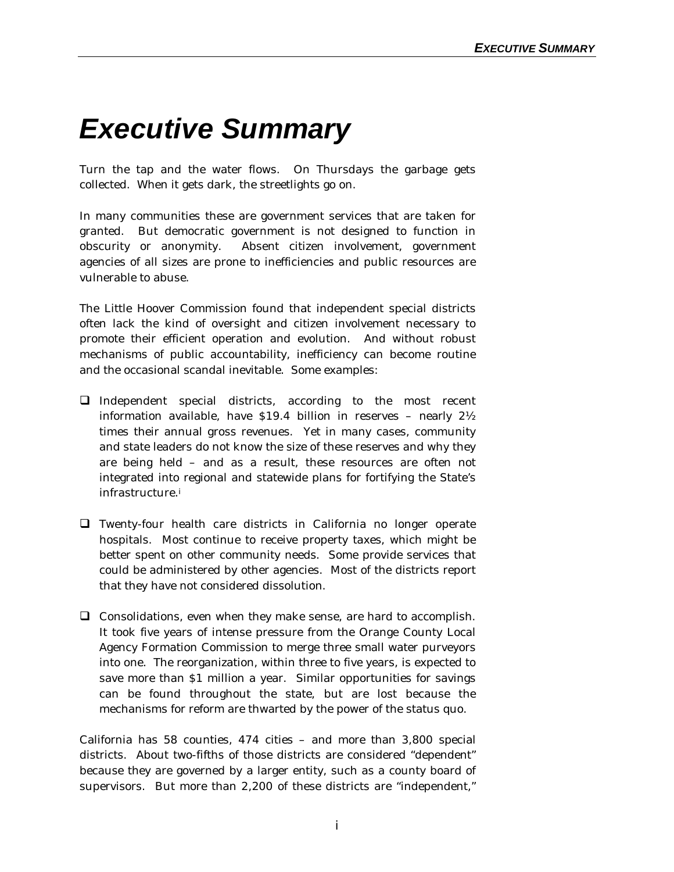## *Executive Summary*

Turn the tap and the water flows. On Thursdays the garbage gets collected. When it gets dark, the streetlights go on.

In many communities these are government services that are taken for granted. But democratic government is not designed to function in obscurity or anonymity. Absent citizen involvement, government agencies of all sizes are prone to inefficiencies and public resources are vulnerable to abuse.

The Little Hoover Commission found that independent special districts often lack the kind of oversight and citizen involvement necessary to promote their efficient operation and evolution. And without robust mechanisms of public accountability, inefficiency can become routine and the occasional scandal inevitable. Some examples:

- $\Box$  Independent special districts, according to the most recent information available, have \$19.4 billion in reserves – nearly 2½ times their annual gross revenues. Yet in many cases, community and state leaders do not know the size of these reserves and why they are being held – and as a result, these resources are often not integrated into regional and statewide plans for fortifying the State's infrastructure.<sup>i</sup>
- $\Box$  Twenty-four health care districts in California no longer operate hospitals. Most continue to receive property taxes, which might be better spent on other community needs. Some provide services that could be administered by other agencies. Most of the districts report that they have not considered dissolution.
- $\Box$  Consolidations, even when they make sense, are hard to accomplish. It took five years of intense pressure from the Orange County Local Agency Formation Commission to merge three small water purveyors into one. The reorganization, within three to five years, is expected to save more than \$1 million a year. Similar opportunities for savings can be found throughout the state, but are lost because the mechanisms for reform are thwarted by the power of the status quo.

California has 58 counties, 474 cities – and more than 3,800 special districts. About two-fifths of those districts are considered "dependent" because they are governed by a larger entity, such as a county board of supervisors. But more than 2,200 of these districts are "independent,"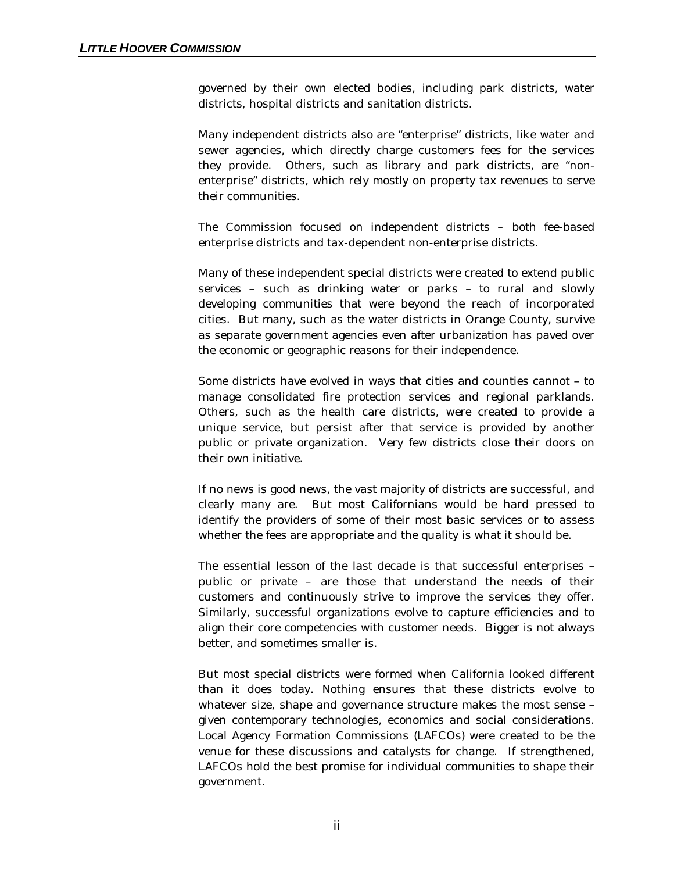governed by their own elected bodies, including park districts, water districts, hospital districts and sanitation districts.

Many independent districts also are "enterprise" districts, like water and sewer agencies, which directly charge customers fees for the services they provide. Others, such as library and park districts, are "nonenterprise" districts, which rely mostly on property tax revenues to serve their communities.

The Commission focused on independent districts – both fee-based enterprise districts and tax-dependent non-enterprise districts.

Many of these independent special districts were created to extend public services – such as drinking water or parks – to rural and slowly developing communities that were beyond the reach of incorporated cities. But many, such as the water districts in Orange County, survive as separate government agencies even after urbanization has paved over the economic or geographic reasons for their independence.

Some districts have evolved in ways that cities and counties cannot – to manage consolidated fire protection services and regional parklands. Others, such as the health care districts, were created to provide a unique service, but persist after that service is provided by another public or private organization. Very few districts close their doors on their own initiative.

If no news is good news, the vast majority of districts are successful, and clearly many are. But most Californians would be hard pressed to identify the providers of some of their most basic services or to assess whether the fees are appropriate and the quality is what it should be.

The essential lesson of the last decade is that successful enterprises – public or private – are those that understand the needs of their customers and continuously strive to improve the services they offer. Similarly, successful organizations evolve to capture efficiencies and to align their core competencies with customer needs. Bigger is not always better, and sometimes smaller is.

But most special districts were formed when California looked different than it does today. Nothing ensures that these districts evolve to whatever size, shape and governance structure makes the most sense – given contemporary technologies, economics and social considerations. Local Agency Formation Commissions (LAFCOs) were created to be the venue for these discussions and catalysts for change. If strengthened, LAFCOs hold the best promise for individual communities to shape their government.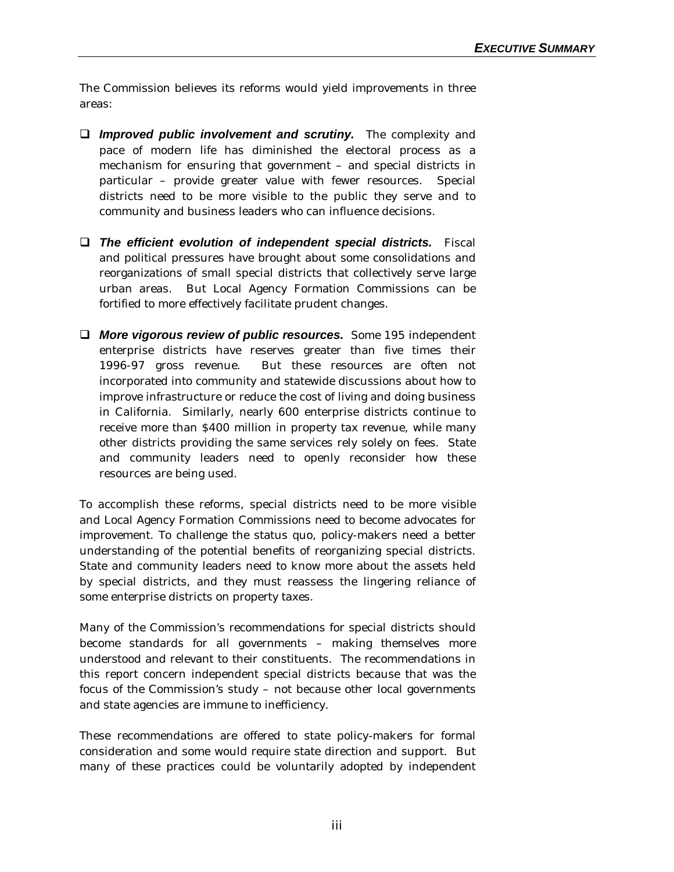The Commission believes its reforms would yield improvements in three areas:

- **Q** *Improved public involvement and scrutiny.* The complexity and pace of modern life has diminished the electoral process as a mechanism for ensuring that government – and special districts in particular – provide greater value with fewer resources. Special districts need to be more visible to the public they serve and to community and business leaders who can influence decisions.
- q *The efficient evolution of independent special districts.* Fiscal and political pressures have brought about some consolidations and reorganizations of small special districts that collectively serve large urban areas. But Local Agency Formation Commissions can be fortified to more effectively facilitate prudent changes.
- **Q More vigorous review of public resources.** Some 195 independent enterprise districts have reserves greater than five times their 1996-97 gross revenue. But these resources are often not incorporated into community and statewide discussions about how to improve infrastructure or reduce the cost of living and doing business in California. Similarly, nearly 600 enterprise districts continue to receive more than \$400 million in property tax revenue, while many other districts providing the same services rely solely on fees. State and community leaders need to openly reconsider how these resources are being used.

To accomplish these reforms, special districts need to be more visible and Local Agency Formation Commissions need to become advocates for improvement. To challenge the status quo, policy-makers need a better understanding of the potential benefits of reorganizing special districts. State and community leaders need to know more about the assets held by special districts, and they must reassess the lingering reliance of some enterprise districts on property taxes.

Many of the Commission's recommendations for special districts should become standards for all governments – making themselves more understood and relevant to their constituents. The recommendations in this report concern independent special districts because that was the focus of the Commission's study – not because other local governments and state agencies are immune to inefficiency.

These recommendations are offered to state policy-makers for formal consideration and some would require state direction and support. But many of these practices could be voluntarily adopted by independent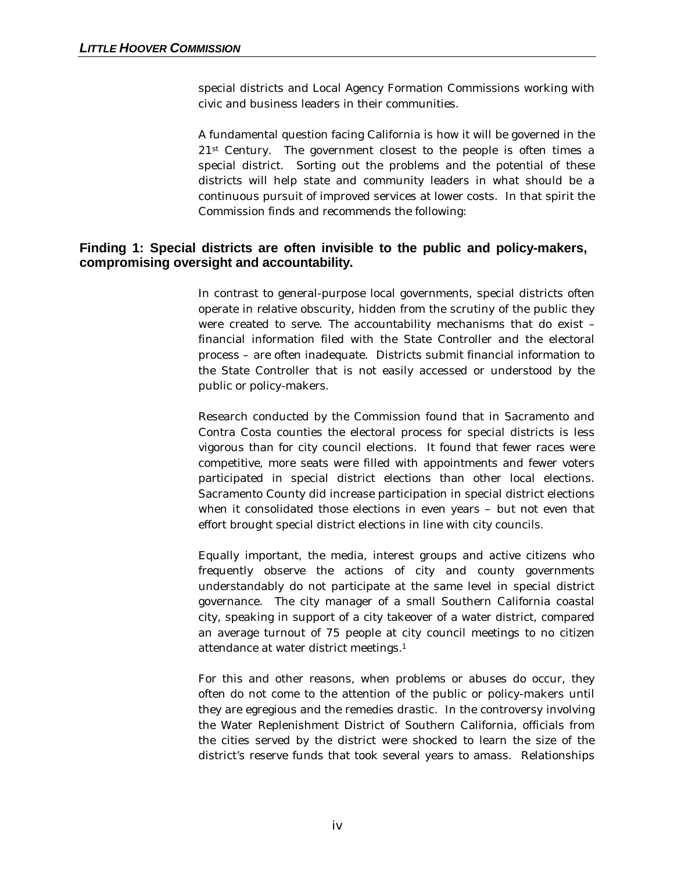special districts and Local Agency Formation Commissions working with civic and business leaders in their communities.

A fundamental question facing California is how it will be governed in the 21st Century. The government closest to the people is often times a special district. Sorting out the problems and the potential of these districts will help state and community leaders in what should be a continuous pursuit of improved services at lower costs. In that spirit the Commission finds and recommends the following:

#### **Finding 1: Special districts are often invisible to the public and policy-makers, compromising oversight and accountability.**

In contrast to general-purpose local governments, special districts often operate in relative obscurity, hidden from the scrutiny of the public they were created to serve. The accountability mechanisms that do exist – financial information filed with the State Controller and the electoral process – are often inadequate. Districts submit financial information to the State Controller that is not easily accessed or understood by the public or policy-makers.

Research conducted by the Commission found that in Sacramento and Contra Costa counties the electoral process for special districts is less vigorous than for city council elections. It found that fewer races were competitive, more seats were filled with appointments and fewer voters participated in special district elections than other local elections. Sacramento County did increase participation in special district elections when it consolidated those elections in even years – but not even that effort brought special district elections in line with city councils.

Equally important, the media, interest groups and active citizens who frequently observe the actions of city and county governments understandably do not participate at the same level in special district governance. The city manager of a small Southern California coastal city, speaking in support of a city takeover of a water district, compared an average turnout of 75 people at city council meetings to no citizen attendance at water district meetings.<sup>1</sup>

For this and other reasons, when problems or abuses do occur, they often do not come to the attention of the public or policy-makers until they are egregious and the remedies drastic. In the controversy involving the Water Replenishment District of Southern California, officials from the cities served by the district were shocked to learn the size of the district's reserve funds that took several years to amass. Relationships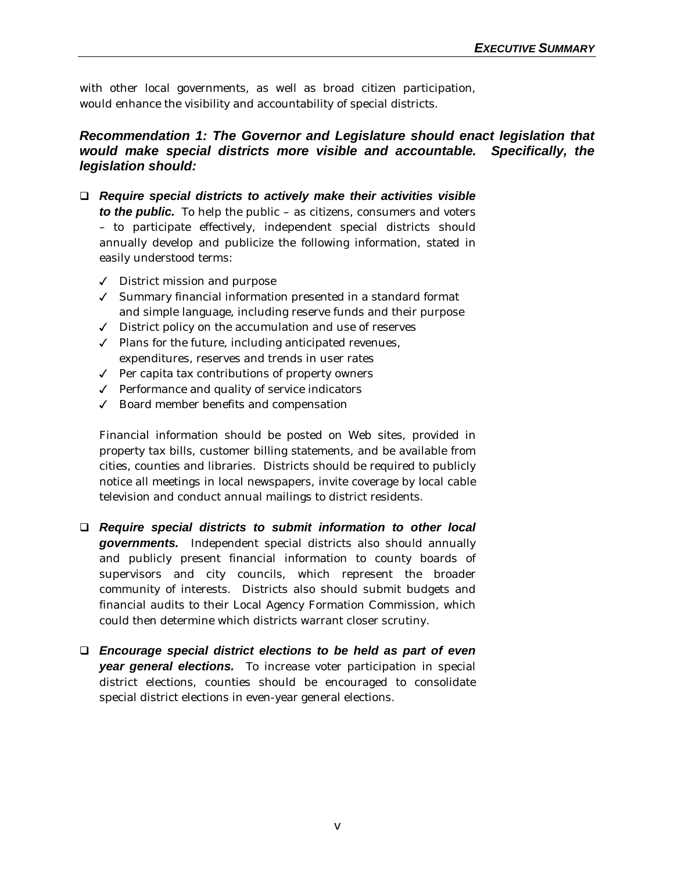with other local governments, as well as broad citizen participation, would enhance the visibility and accountability of special districts.

#### *Recommendation 1: The Governor and Legislature should enact legislation that would make special districts more visible and accountable. Specifically, the legislation should:*

- q *Require special districts to actively make their activities visible to the public.* To help the public – as citizens, consumers and voters – to participate effectively, independent special districts should annually develop and publicize the following information, stated in easily understood terms:
	- $\sqrt{\phantom{a}}$  District mission and purpose
	- 3 Summary financial information presented in a standard format and simple language, including reserve funds and their purpose
	- $J$  District policy on the accumulation and use of reserves
	- $\checkmark$  Plans for the future, including anticipated revenues, expenditures, reserves and trends in user rates
	- $\sqrt{ }$  Per capita tax contributions of property owners
	- $\checkmark$  Performance and quality of service indicators
	- $\checkmark$  Board member benefits and compensation

Financial information should be posted on Web sites, provided in property tax bills, customer billing statements, and be available from cities, counties and libraries. Districts should be required to publicly notice all meetings in local newspapers, invite coverage by local cable television and conduct annual mailings to district residents.

- q *Require special districts to submit information to other local governments.* Independent special districts also should annually and publicly present financial information to county boards of supervisors and city councils, which represent the broader community of interests. Districts also should submit budgets and financial audits to their Local Agency Formation Commission, which could then determine which districts warrant closer scrutiny.
- q *Encourage special district elections to be held as part of even year general elections.* To increase voter participation in special district elections, counties should be encouraged to consolidate special district elections in even-year general elections.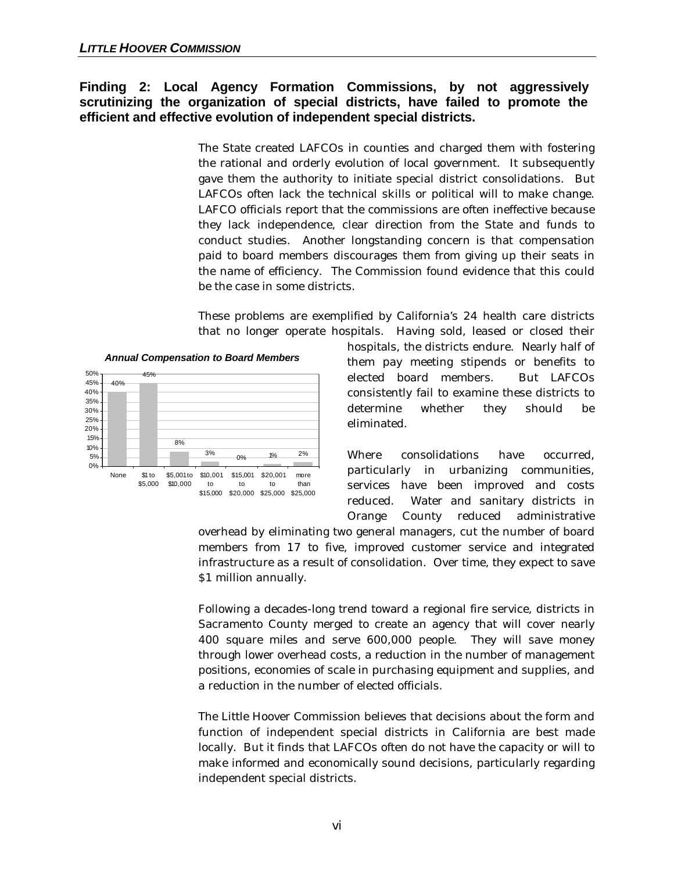#### **Finding 2: Local Agency Formation Commissions, by not aggressively scrutinizing the organization of special districts, have failed to promote the efficient and effective evolution of independent special districts.**

The State created LAFCOs in counties and charged them with fostering the rational and orderly evolution of local government. It subsequently gave them the authority to initiate special district consolidations. But LAFCOs often lack the technical skills or political will to make change. LAFCO officials report that the commissions are often ineffective because they lack independence, clear direction from the State and funds to conduct studies. Another longstanding concern is that compensation paid to board members discourages them from giving up their seats in the name of efficiency. The Commission found evidence that this could be the case in some districts.

These problems are exemplified by California's 24 health care districts that no longer operate hospitals. Having sold, leased or closed their

#### *Annual Compensation to Board Members*



hospitals, the districts endure. Nearly half of them pay meeting stipends or benefits to elected board members. But LAFCOs consistently fail to examine these districts to determine whether they should be eliminated.

Where consolidations have occurred, particularly in urbanizing communities, services have been improved and costs reduced. Water and sanitary districts in Orange County reduced administrative

overhead by eliminating two general managers, cut the number of board members from 17 to five, improved customer service and integrated infrastructure as a result of consolidation. Over time, they expect to save \$1 million annually.

Following a decades-long trend toward a regional fire service, districts in Sacramento County merged to create an agency that will cover nearly 400 square miles and serve 600,000 people. They will save money through lower overhead costs, a reduction in the number of management positions, economies of scale in purchasing equipment and supplies, and a reduction in the number of elected officials.

The Little Hoover Commission believes that decisions about the form and function of independent special districts in California are best made locally. But it finds that LAFCOs often do not have the capacity or will to make informed and economically sound decisions, particularly regarding independent special districts.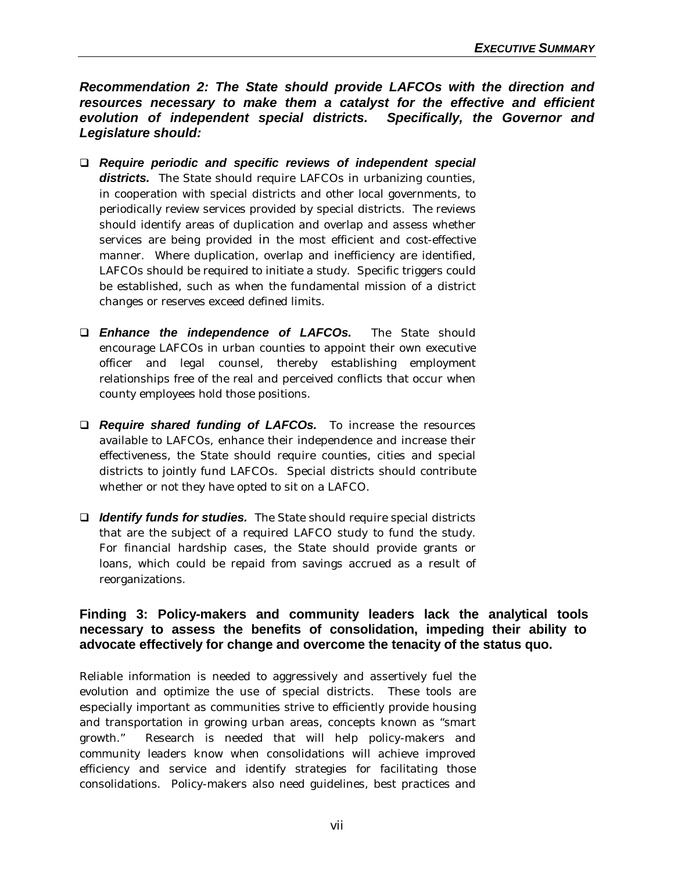*Recommendation 2: The State should provide LAFCOs with the direction and resources necessary to make them a catalyst for the effective and efficient evolution of independent special districts. Specifically, the Governor and Legislature should:*

- q *Require periodic and specific reviews of independent special* **districts.** The State should require LAFCOs in urbanizing counties, in cooperation with special districts and other local governments, to periodically review services provided by special districts. The reviews should identify areas of duplication and overlap and assess whether services are being provided in the most efficient and cost-effective manner. Where duplication, overlap and inefficiency are identified, LAFCOs should be required to initiate a study. Specific triggers could be established, such as when the fundamental mission of a district changes or reserves exceed defined limits.
- q *Enhance the independence of LAFCOs.* The State should encourage LAFCOs in urban counties to appoint their own executive officer and legal counsel, thereby establishing employment relationships free of the real and perceived conflicts that occur when county employees hold those positions.
- **Q** *Require shared funding of LAFCOs.* To increase the resources available to LAFCOs, enhance their independence and increase their effectiveness, the State should require counties, cities and special districts to jointly fund LAFCOs. Special districts should contribute whether or not they have opted to sit on a LAFCO.
- □ *Identify funds for studies.* The State should require special districts that are the subject of a required LAFCO study to fund the study. For financial hardship cases, the State should provide grants or loans, which could be repaid from savings accrued as a result of reorganizations.

#### **Finding 3: Policy-makers and community leaders lack the analytical tools necessary to assess the benefits of consolidation, impeding their ability to advocate effectively for change and overcome the tenacity of the status quo.**

Reliable information is needed to aggressively and assertively fuel the evolution and optimize the use of special districts. These tools are especially important as communities strive to efficiently provide housing and transportation in growing urban areas, concepts known as "smart growth." Research is needed that will help policy-makers and community leaders know when consolidations will achieve improved efficiency and service and identify strategies for facilitating those consolidations. Policy-makers also need guidelines, best practices and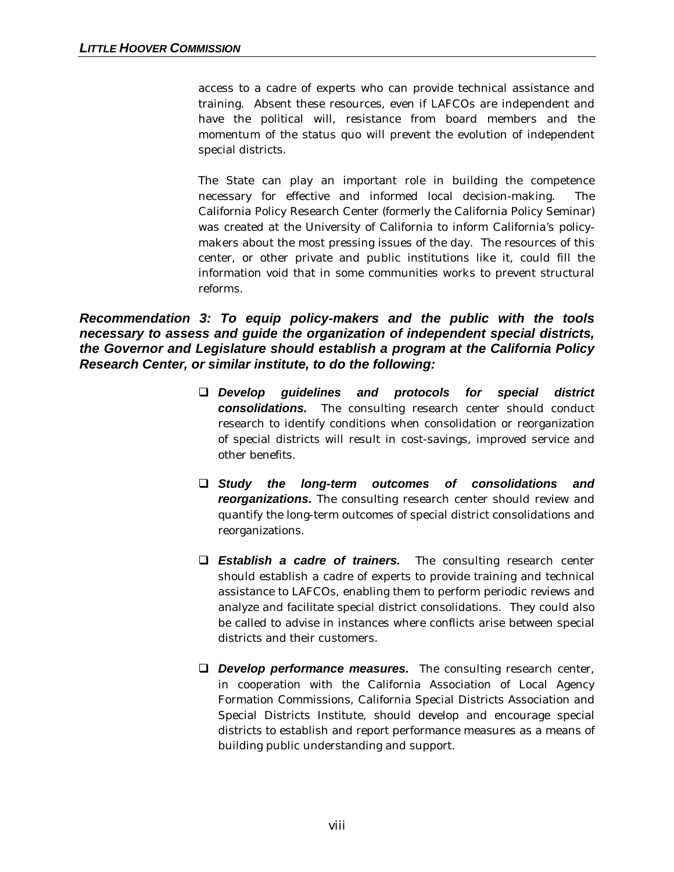access to a cadre of experts who can provide technical assistance and training. Absent these resources, even if LAFCOs are independent and have the political will, resistance from board members and the momentum of the status quo will prevent the evolution of independent special districts.

The State can play an important role in building the competence necessary for effective and informed local decision-making. The California Policy Research Center (formerly the California Policy Seminar) was created at the University of California to inform California's policymakers about the most pressing issues of the day. The resources of this center, or other private and public institutions like it, could fill the information void that in some communities works to prevent structural reforms.

#### *Recommendation 3: To equip policy-makers and the public with the tools necessary to assess and guide the organization of independent special districts, the Governor and Legislature should establish a program at the California Policy Research Center, or similar institute, to do the following:*

- q *Develop guidelines and protocols for special district consolidations.* The consulting research center should conduct research to identify conditions when consolidation or reorganization of special districts will result in cost-savings, improved service and other benefits.
- q *Study the long-term outcomes of consolidations and reorganizations.* The consulting research center should review and quantify the long-term outcomes of special district consolidations and reorganizations.
- q *Establish a cadre of trainers.* The consulting research center should establish a cadre of experts to provide training and technical assistance to LAFCOs, enabling them to perform periodic reviews and analyze and facilitate special district consolidations. They could also be called to advise in instances where conflicts arise between special districts and their customers.
- **Q** *Develop performance measures.* The consulting research center, in cooperation with the California Association of Local Agency Formation Commissions, California Special Districts Association and Special Districts Institute, should develop and encourage special districts to establish and report performance measures as a means of building public understanding and support.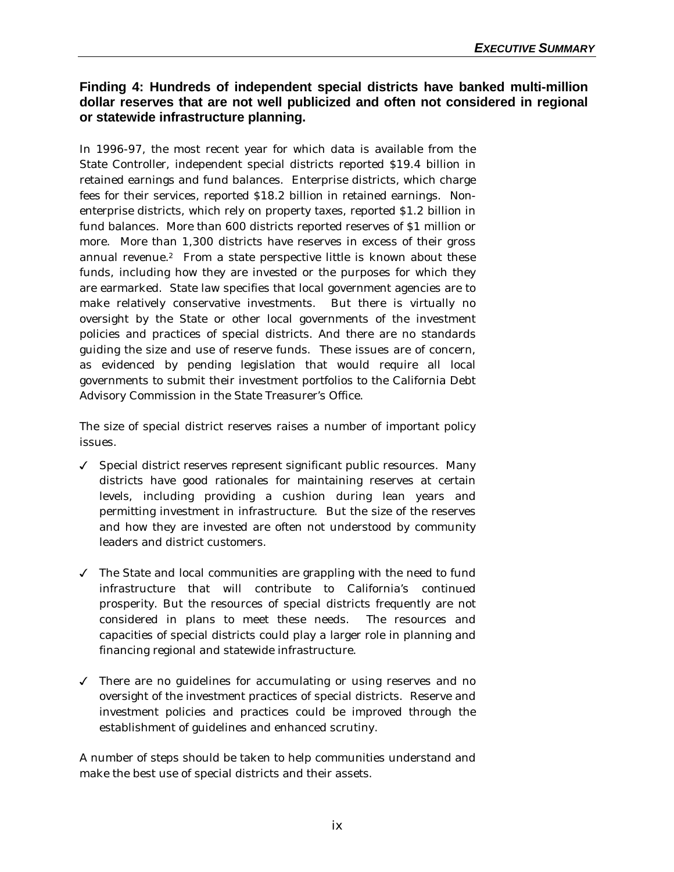#### **Finding 4: Hundreds of independent special districts have banked multi-million dollar reserves that are not well publicized and often not considered in regional or statewide infrastructure planning.**

In 1996-97, the most recent year for which data is available from the State Controller, independent special districts reported \$19.4 billion in retained earnings and fund balances. Enterprise districts, which charge fees for their services, reported \$18.2 billion in retained earnings. Nonenterprise districts, which rely on property taxes, reported \$1.2 billion in fund balances. More than 600 districts reported reserves of \$1 million or more. More than 1,300 districts have reserves in excess of their gross annual revenue.<sup>2</sup> From a state perspective little is known about these funds, including how they are invested or the purposes for which they are earmarked. State law specifies that local government agencies are to make relatively conservative investments. But there is virtually no oversight by the State or other local governments of the investment policies and practices of special districts. And there are no standards guiding the size and use of reserve funds. These issues are of concern, as evidenced by pending legislation that would require all local governments to submit their investment portfolios to the California Debt Advisory Commission in the State Treasurer's Office.

The size of special district reserves raises a number of important policy issues.

- $\checkmark$  Special district reserves represent significant public resources. Many districts have good rationales for maintaining reserves at certain levels, including providing a cushion during lean years and permitting investment in infrastructure. But the size of the reserves and how they are invested are often not understood by community leaders and district customers.
- $\checkmark$  The State and local communities are grappling with the need to fund infrastructure that will contribute to California's continued prosperity. But the resources of special districts frequently are not considered in plans to meet these needs. The resources and capacities of special districts could play a larger role in planning and financing regional and statewide infrastructure.
- $\checkmark$  There are no guidelines for accumulating or using reserves and no oversight of the investment practices of special districts. Reserve and investment policies and practices could be improved through the establishment of guidelines and enhanced scrutiny.

A number of steps should be taken to help communities understand and make the best use of special districts and their assets.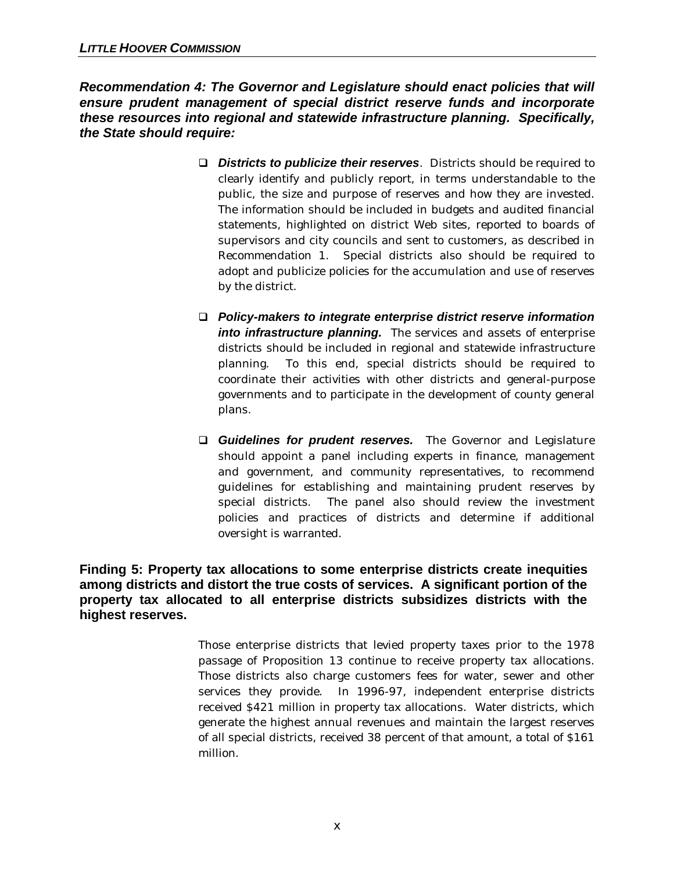*Recommendation 4: The Governor and Legislature should enact policies that will ensure prudent management of special district reserve funds and incorporate these resources into regional and statewide infrastructure planning. Specifically, the State should require:*

- q *Districts to publicize their reserves*. Districts should be required to clearly identify and publicly report, in terms understandable to the public, the size and purpose of reserves and how they are invested. The information should be included in budgets and audited financial statements, highlighted on district Web sites, reported to boards of supervisors and city councils and sent to customers, as described in Recommendation 1. Special districts also should be required to adopt and publicize policies for the accumulation and use of reserves by the district.
- q *Policy-makers to integrate enterprise district reserve information into infrastructure planning.* The services and assets of enterprise districts should be included in regional and statewide infrastructure planning. To this end, special districts should be required to coordinate their activities with other districts and general-purpose governments and to participate in the development of county general plans.
- **Q Guidelines for prudent reserves.** The Governor and Legislature should appoint a panel including experts in finance, management and government, and community representatives, to recommend guidelines for establishing and maintaining prudent reserves by special districts. The panel also should review the investment policies and practices of districts and determine if additional oversight is warranted.

### **Finding 5: Property tax allocations to some enterprise districts create inequities among districts and distort the true costs of services. A significant portion of the property tax allocated to all enterprise districts subsidizes districts with the highest reserves.**

Those enterprise districts that levied property taxes prior to the 1978 passage of Proposition 13 continue to receive property tax allocations. Those districts also charge customers fees for water, sewer and other services they provide. In 1996-97, independent enterprise districts received \$421 million in property tax allocations. Water districts, which generate the highest annual revenues and maintain the largest reserves of all special districts, received 38 percent of that amount, a total of \$161 million.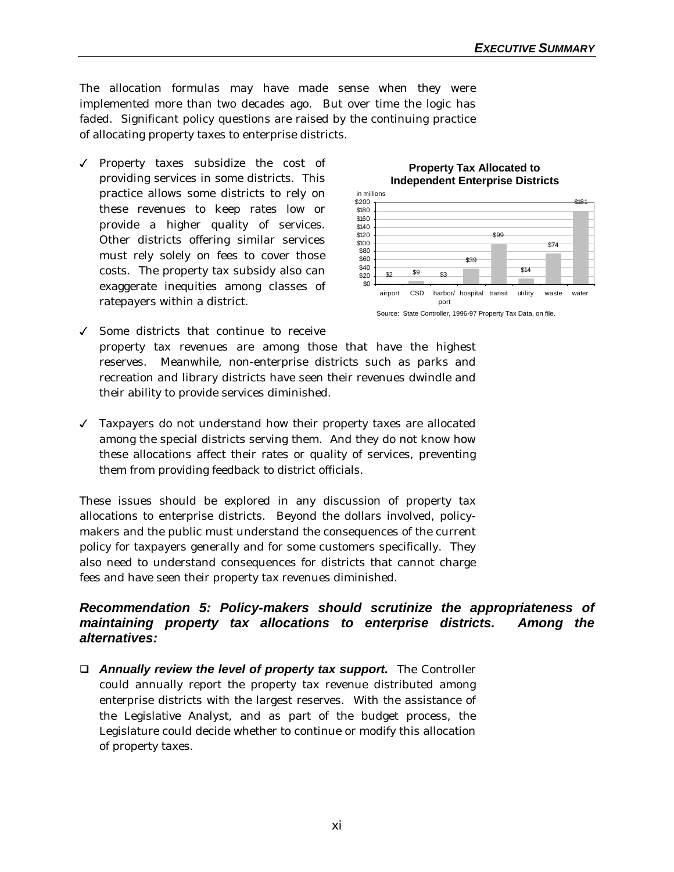The allocation formulas may have made sense when they were implemented more than two decades ago. But over time the logic has faded. Significant policy questions are raised by the continuing practice of allocating property taxes to enterprise districts.

 $\sqrt{\ }$  Property taxes subsidize the cost of providing services in some districts. This practice allows some districts to rely on these revenues to keep rates low or provide a higher quality of services. Other districts offering similar services must rely solely on fees to cover those costs. The property tax subsidy also can exaggerate inequities among classes of ratepayers within a district.



#### **Property Tax Allocated to Independent Enterprise Districts**

- $\checkmark$  Some districts that continue to receive property tax revenues are among those that have the highest reserves. Meanwhile, non-enterprise districts such as parks and recreation and library districts have seen their revenues dwindle and their ability to provide services diminished.
- $J$  Taxpayers do not understand how their property taxes are allocated among the special districts serving them. And they do not know how these allocations affect their rates or quality of services, preventing them from providing feedback to district officials.

These issues should be explored in any discussion of property tax allocations to enterprise districts. Beyond the dollars involved, policymakers and the public must understand the consequences of the current policy for taxpayers generally and for some customers specifically. They also need to understand consequences for districts that cannot charge fees and have seen their property tax revenues diminished.

#### *Recommendation 5: Policy-makers should scrutinize the appropriateness of maintaining property tax allocations to enterprise districts. Among the alternatives:*

**Q** *Annually review the level of property tax support.* **The Controller** could annually report the property tax revenue distributed among enterprise districts with the largest reserves. With the assistance of the Legislative Analyst, and as part of the budget process, the Legislature could decide whether to continue or modify this allocation of property taxes.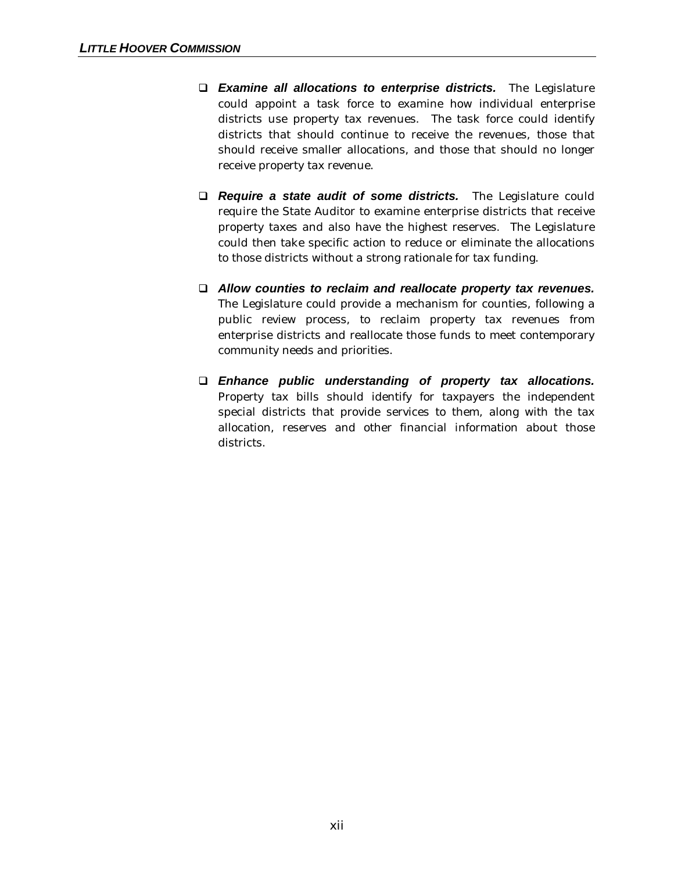- q *Examine all allocations to enterprise districts.* The Legislature could appoint a task force to examine how individual enterprise districts use property tax revenues. The task force could identify districts that should continue to receive the revenues, those that should receive smaller allocations, and those that should no longer receive property tax revenue.
- **Q** *Require a state audit of some districts.* The Legislature could require the State Auditor to examine enterprise districts that receive property taxes and also have the highest reserves. The Legislature could then take specific action to reduce or eliminate the allocations to those districts without a strong rationale for tax funding.
- q *Allow counties to reclaim and reallocate property tax revenues.* The Legislature could provide a mechanism for counties, following a public review process, to reclaim property tax revenues from enterprise districts and reallocate those funds to meet contemporary community needs and priorities.
- q *Enhance public understanding of property tax allocations.* Property tax bills should identify for taxpayers the independent special districts that provide services to them, along with the tax allocation, reserves and other financial information about those districts.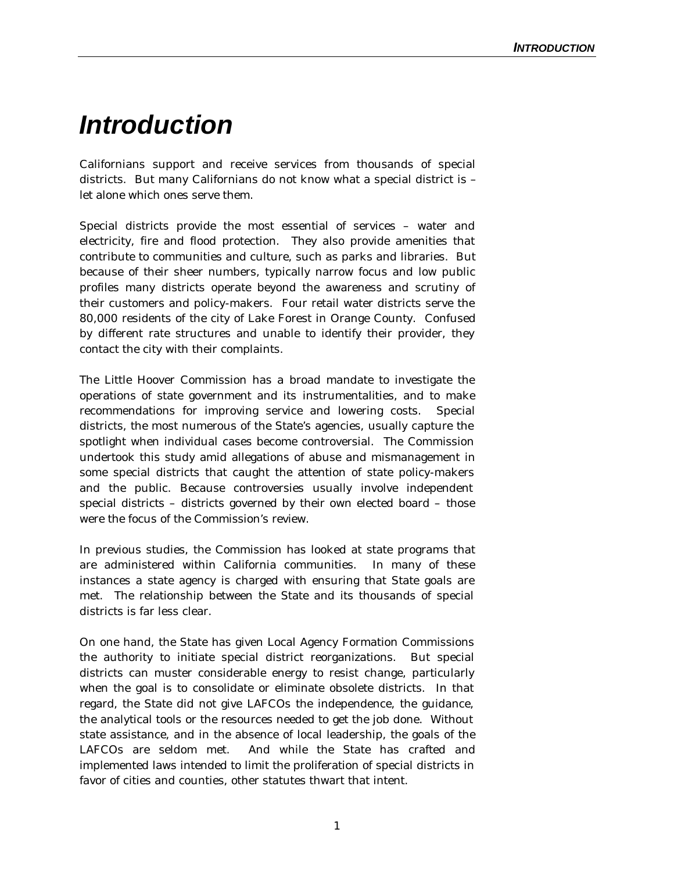## *Introduction*

Californians support and receive services from thousands of special districts. But many Californians do not know what a special district is – let alone which ones serve them.

Special districts provide the most essential of services – water and electricity, fire and flood protection. They also provide amenities that contribute to communities and culture, such as parks and libraries. But because of their sheer numbers, typically narrow focus and low public profiles many districts operate beyond the awareness and scrutiny of their customers and policy-makers. Four retail water districts serve the 80,000 residents of the city of Lake Forest in Orange County. Confused by different rate structures and unable to identify their provider, they contact the city with their complaints.

The Little Hoover Commission has a broad mandate to investigate the operations of state government and its instrumentalities, and to make recommendations for improving service and lowering costs. Special districts, the most numerous of the State's agencies, usually capture the spotlight when individual cases become controversial. The Commission undertook this study amid allegations of abuse and mismanagement in some special districts that caught the attention of state policy-makers and the public. Because controversies usually involve independent special districts – districts governed by their own elected board – those were the focus of the Commission's review.

In previous studies, the Commission has looked at state programs that are administered within California communities. In many of these instances a state agency is charged with ensuring that State goals are met. The relationship between the State and its thousands of special districts is far less clear.

On one hand, the State has given Local Agency Formation Commissions the authority to initiate special district reorganizations. But special districts can muster considerable energy to resist change, particularly when the goal is to consolidate or eliminate obsolete districts. In that regard, the State did not give LAFCOs the independence, the guidance, the analytical tools or the resources needed to get the job done. Without state assistance, and in the absence of local leadership, the goals of the LAFCOs are seldom met. And while the State has crafted and implemented laws intended to limit the proliferation of special districts in favor of cities and counties, other statutes thwart that intent.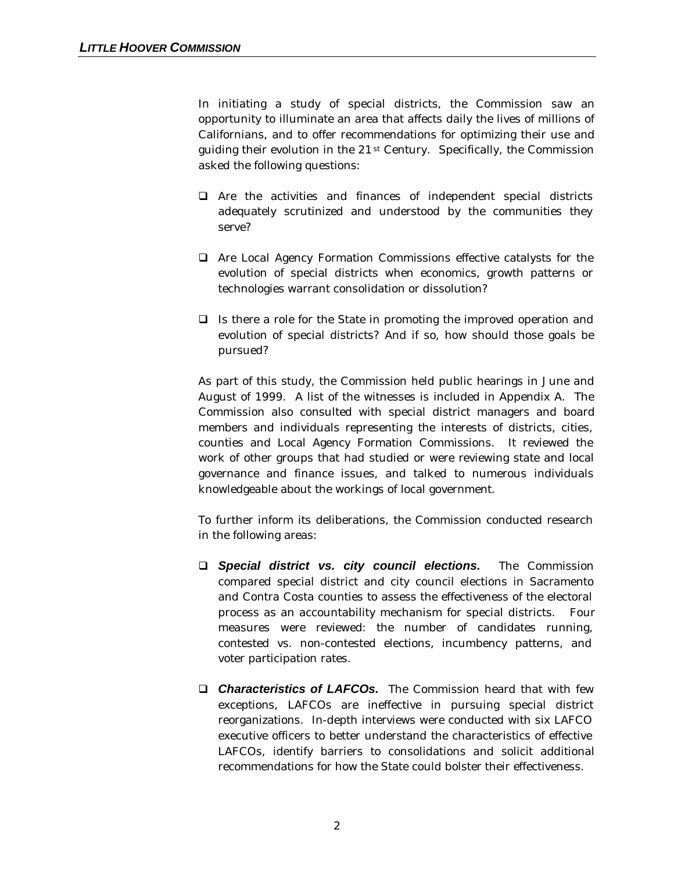In initiating a study of special districts, the Commission saw an opportunity to illuminate an area that affects daily the lives of millions of Californians, and to offer recommendations for optimizing their use and guiding their evolution in the 21st Century. Specifically, the Commission asked the following questions:

- $\Box$  Are the activities and finances of independent special districts adequately scrutinized and understood by the communities they serve?
- $\Box$  Are Local Agency Formation Commissions effective catalysts for the evolution of special districts when economics, growth patterns or technologies warrant consolidation or dissolution?
- $\Box$  Is there a role for the State in promoting the improved operation and evolution of special districts? And if so, how should those goals be pursued?

As part of this study, the Commission held public hearings in June and August of 1999. A list of the witnesses is included in Appendix A. The Commission also consulted with special district managers and board members and individuals representing the interests of districts, cities, counties and Local Agency Formation Commissions. It reviewed the work of other groups that had studied or were reviewing state and local governance and finance issues, and talked to numerous individuals knowledgeable about the workings of local government.

To further inform its deliberations, the Commission conducted research in the following areas:

- q *Special district vs. city council elections.* The Commission compared special district and city council elections in Sacramento and Contra Costa counties to assess the effectiveness of the electoral process as an accountability mechanism for special districts. Four measures were reviewed: the number of candidates running, contested vs. non-contested elections, incumbency patterns, and voter participation rates.
- □ **Characteristics of LAFCOs.** The Commission heard that with few exceptions, LAFCOs are ineffective in pursuing special district reorganizations. In-depth interviews were conducted with six LAFCO executive officers to better understand the characteristics of effective LAFCOs, identify barriers to consolidations and solicit additional recommendations for how the State could bolster their effectiveness.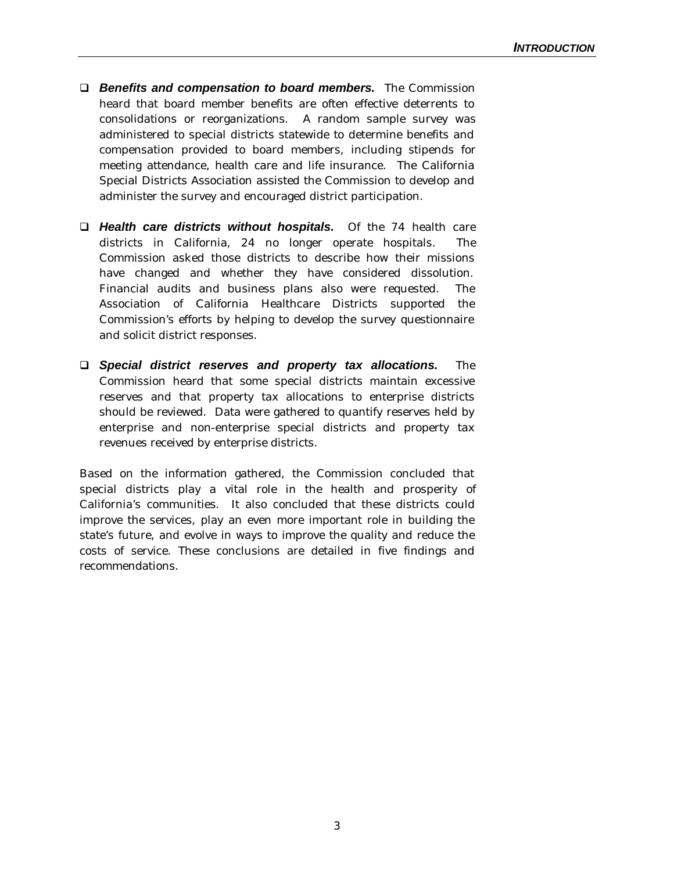- q *Benefits and compensation to board members.*The Commission heard that board member benefits are often effective deterrents to consolidations or reorganizations. A random sample survey was administered to special districts statewide to determine benefits and compensation provided to board members, including stipends for meeting attendance, health care and life insurance. The California Special Districts Association assisted the Commission to develop and administer the survey and encouraged district participation.
- q *Health care districts without hospitals.* Of the 74 health care districts in California, 24 no longer operate hospitals. The Commission asked those districts to describe how their missions have changed and whether they have considered dissolution. Financial audits and business plans also were requested. The Association of California Healthcare Districts supported the Commission's efforts by helping to develop the survey questionnaire and solicit district responses.
- q *Special district reserves and property tax allocations.* The Commission heard that some special districts maintain excessive reserves and that property tax allocations to enterprise districts should be reviewed. Data were gathered to quantify reserves held by enterprise and non-enterprise special districts and property tax revenues received by enterprise districts.

Based on the information gathered, the Commission concluded that special districts play a vital role in the health and prosperity of California's communities. It also concluded that these districts could improve the services, play an even more important role in building the state's future, and evolve in ways to improve the quality and reduce the costs of service. These conclusions are detailed in five findings and recommendations.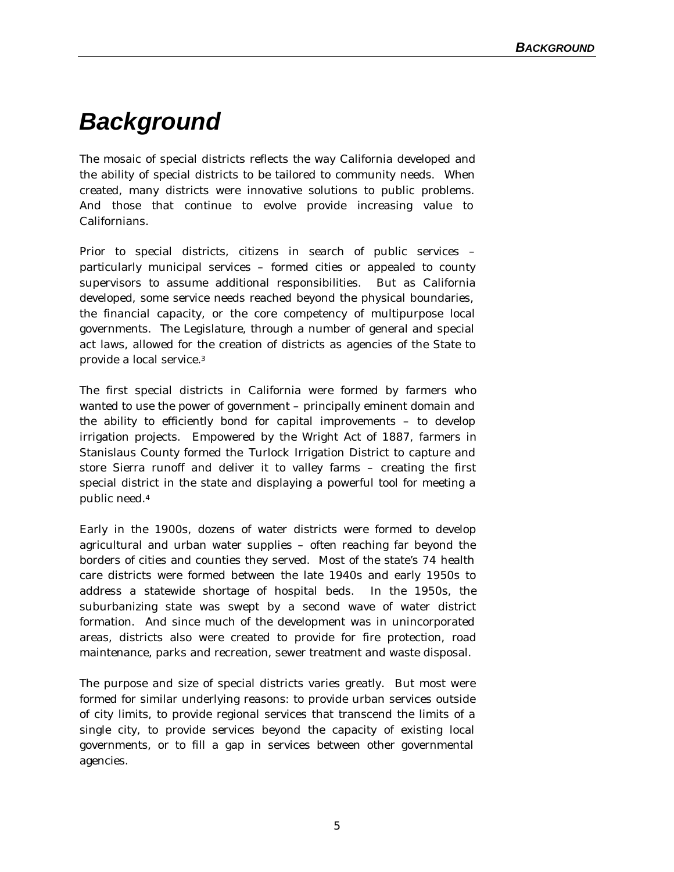## *Background*

The mosaic of special districts reflects the way California developed and the ability of special districts to be tailored to community needs. When created, many districts were innovative solutions to public problems. And those that continue to evolve provide increasing value to Californians.

Prior to special districts, citizens in search of public services – particularly municipal services – formed cities or appealed to county supervisors to assume additional responsibilities. But as California developed, some service needs reached beyond the physical boundaries, the financial capacity, or the core competency of multipurpose local governments. The Legislature, through a number of general and special act laws, allowed for the creation of districts as agencies of the State to provide a local service.<sup>3</sup>

The first special districts in California were formed by farmers who wanted to use the power of government – principally eminent domain and the ability to efficiently bond for capital improvements – to develop irrigation projects. Empowered by the Wright Act of 1887, farmers in Stanislaus County formed the Turlock Irrigation District to capture and store Sierra runoff and deliver it to valley farms – creating the first special district in the state and displaying a powerful tool for meeting a public need.<sup>4</sup>

Early in the 1900s, dozens of water districts were formed to develop agricultural and urban water supplies – often reaching far beyond the borders of cities and counties they served. Most of the state's 74 health care districts were formed between the late 1940s and early 1950s to address a statewide shortage of hospital beds. In the 1950s, the suburbanizing state was swept by a second wave of water district formation. And since much of the development was in unincorporated areas, districts also were created to provide for fire protection, road maintenance, parks and recreation, sewer treatment and waste disposal.

The purpose and size of special districts varies greatly. But most were formed for similar underlying reasons: to provide urban services outside of city limits, to provide regional services that transcend the limits of a single city, to provide services beyond the capacity of existing local governments, or to fill a gap in services between other governmental agencies.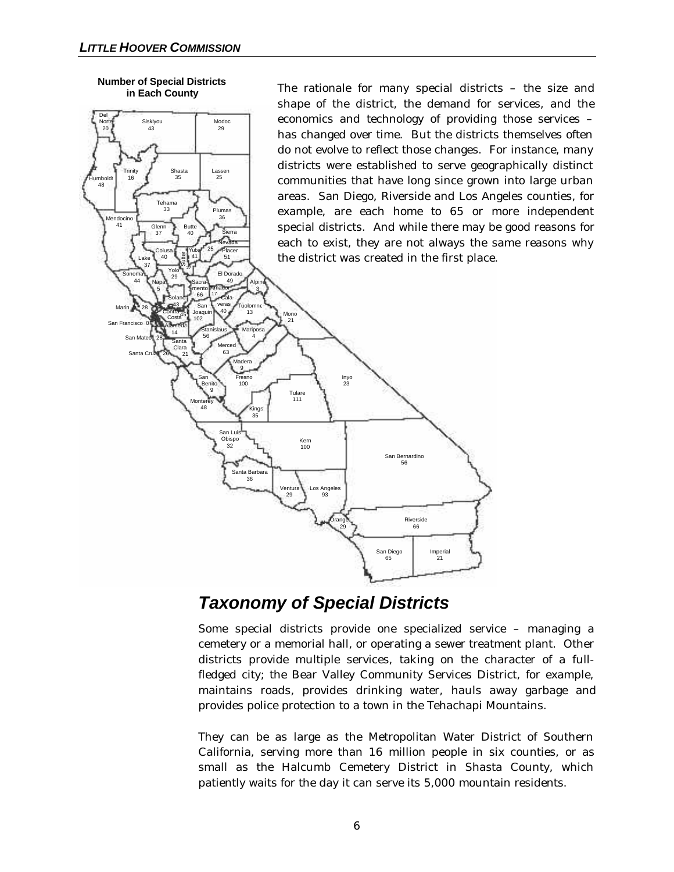

20 43 29

Tehama  $\frac{1}{33}$ 

Siskiyou Modoc<br>43 / Modoc

Shasta Lassen 35 25

Plumas 36

Del

Humboldt 48

Trinity 16

endocino

The rationale for many special districts – the size and shape of the district, the demand for services, and the economics and technology of providing those services – has changed over time. But the districts themselves often do not evolve to reflect those changes. For instance, many districts were established to serve geographically distinct communities that have long since grown into large urban areas. San Diego, Riverside and Los Angeles counties, for example, are each home to 65 or more independent special districts. And while there may be good reasons for each to exist, they are not always the same reasons why the district was created in the first place.



## *Taxonomy of Special Districts*

Some special districts provide one specialized service – managing a cemetery or a memorial hall, or operating a sewer treatment plant. Other districts provide multiple services, taking on the character of a fullfledged city; the Bear Valley Community Services District, for example, maintains roads, provides drinking water, hauls away garbage and provides police protection to a town in the Tehachapi Mountains.

They can be as large as the Metropolitan Water District of Southern California, serving more than 16 million people in six counties, or as small as the Halcumb Cemetery District in Shasta County, which patiently waits for the day it can serve its 5,000 mountain residents.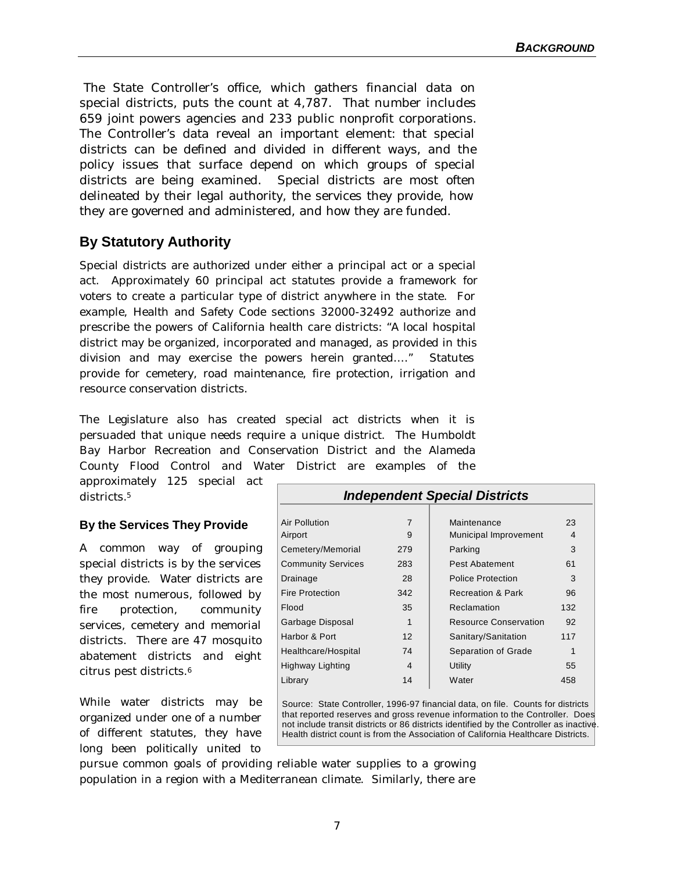The State Controller's office, which gathers financial data on special districts, puts the count at 4,787. That number includes 659 joint powers agencies and 233 public nonprofit corporations. The Controller's data reveal an important element: that special districts can be defined and divided in different ways, and the policy issues that surface depend on which groups of special districts are being examined. Special districts are most often delineated by their legal authority, the services they provide, how they are governed and administered, and how they are funded.

## **By Statutory Authority**

Special districts are authorized under either a principal act or a special act. Approximately 60 principal act statutes provide a framework for voters to create a particular type of district anywhere in the state. For example, Health and Safety Code sections 32000-32492 authorize and prescribe the powers of California health care districts: "A local hospital district may be organized, incorporated and managed, as provided in this division and may exercise the powers herein granted… ." Statutes provide for cemetery, road maintenance, fire protection, irrigation and resource conservation districts.

The Legislature also has created special act districts when it is persuaded that unique needs require a unique district. The Humboldt Bay Harbor Recreation and Conservation District and the Alameda County Flood Control and Water District are examples of the

approximately 125 special act districts.<sup>5</sup>

#### **By the Services They Provide**

A common way of grouping special districts is by the services they provide. Water districts are the most numerous, followed by fire protection, community services, cemetery and memorial districts. There are 47 mosquito abatement districts and eight citrus pest districts.<sup>6</sup>

While water districts may be organized under one of a number of different statutes, they have long been politically united to

| <b>Independent Special Districts</b> |                   |                              |     |  |  |  |
|--------------------------------------|-------------------|------------------------------|-----|--|--|--|
|                                      |                   |                              |     |  |  |  |
| <b>Air Pollution</b>                 | $\overline{7}$    | Maintenance                  | 23  |  |  |  |
| Airport                              | 9                 | Municipal Improvement        | 4   |  |  |  |
| Cemetery/Memorial                    | 279               | Parking                      | 3   |  |  |  |
| <b>Community Services</b>            | 283               | Pest Abatement               | 61  |  |  |  |
| Drainage                             | 28                | Police Protection            | 3   |  |  |  |
| <b>Fire Protection</b>               | 342               | <b>Recreation &amp; Park</b> | 96  |  |  |  |
| Flood                                | 35                | Reclamation                  | 132 |  |  |  |
| Garbage Disposal                     | 1                 | <b>Resource Conservation</b> | 92  |  |  |  |
| Harbor & Port                        | $12 \overline{ }$ | Sanitary/Sanitation          | 117 |  |  |  |
| Healthcare/Hospital                  | 74                | Separation of Grade          | 1   |  |  |  |
| Highway Lighting                     | 4                 | <b>Utility</b>               | 55  |  |  |  |
| Library                              | 14                | Water                        | 458 |  |  |  |

Source: State Controller, 1996-97 financial data, on file. Counts for districts that reported reserves and gross revenue information to the Controller. Does not include transit districts or 86 districts identified by the Controller as inactive. Health district count is from the Association of California Healthcare Districts.

pursue common goals of providing reliable water supplies to a growing population in a region with a Mediterranean climate. Similarly, there are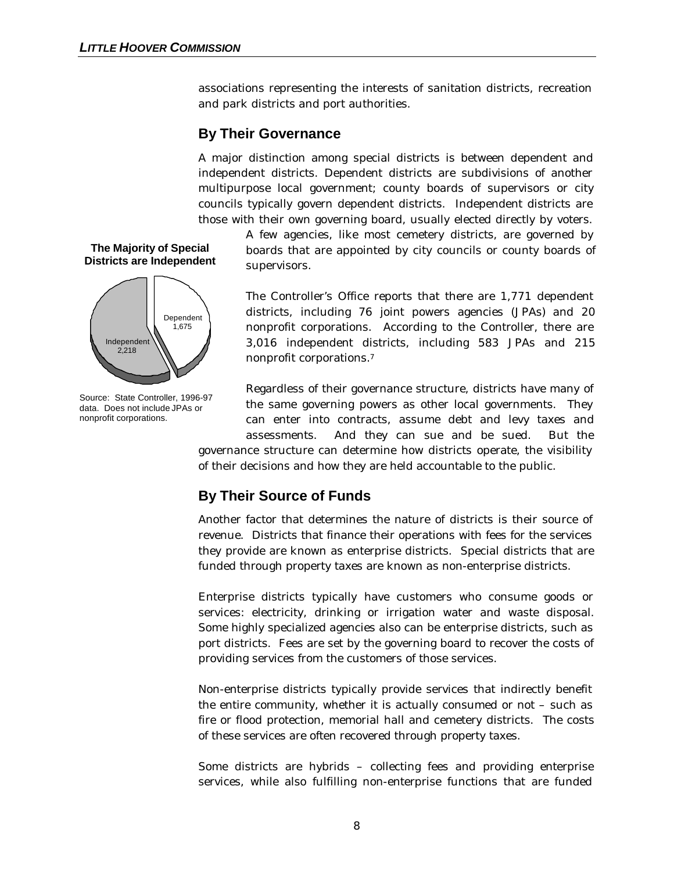associations representing the interests of sanitation districts, recreation and park districts and port authorities.

### **By Their Governance**

A major distinction among special districts is between dependent and independent districts. Dependent districts are subdivisions of another multipurpose local government; county boards of supervisors or city councils typically govern dependent districts. Independent districts are those with their own governing board, usually elected directly by voters.

> A few agencies, like most cemetery districts, are governed by boards that are appointed by city councils or county boards of supervisors.

> The Controller's Office reports that there are 1,771 dependent districts, including 76 joint powers agencies (JPAs) and 20 nonprofit corporations. According to the Controller, there are 3,016 independent districts, including 583 JPAs and 215 nonprofit corporations.<sup>7</sup>

> Regardless of their governance structure, districts have many of the same governing powers as other local governments. They can enter into contracts, assume debt and levy taxes and assessments. And they can sue and be sued. But the

governance structure can determine how districts operate, the visibility of their decisions and how they are held accountable to the public.

## **By Their Source of Funds**

Another factor that determines the nature of districts is their source of revenue. Districts that finance their operations with fees for the services they provide are known as enterprise districts. Special districts that are funded through property taxes are known as non-enterprise districts.

Enterprise districts typically have customers who consume goods or services: electricity, drinking or irrigation water and waste disposal. Some highly specialized agencies also can be enterprise districts, such as port districts. Fees are set by the governing board to recover the costs of providing services from the customers of those services.

Non-enterprise districts typically provide services that indirectly benefit the entire community, whether it is actually consumed or not – such as fire or flood protection, memorial hall and cemetery districts. The costs of these services are often recovered through property taxes.

Some districts are hybrids – collecting fees and providing enterprise services, while also fulfilling non-enterprise functions that are funded





Source: State Controller, 1996-97 data. Does not include JPAs or nonprofit corporations.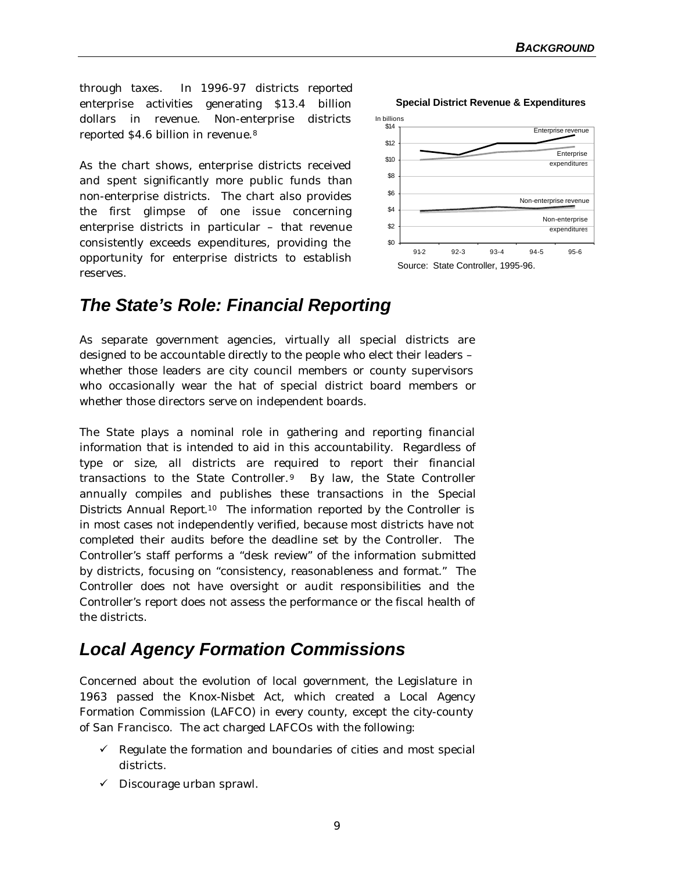through taxes. In 1996-97 districts reported enterprise activities generating \$13.4 billion dollars in revenue. Non-enterprise districts reported \$4.6 billion in revenue.<sup>8</sup>

As the chart shows, enterprise districts received and spent significantly more public funds than non-enterprise districts. The chart also provides the first glimpse of one issue concerning enterprise districts in particular – that revenue consistently exceeds expenditures, providing the opportunity for enterprise districts to establish reserves.



## *The State's Role: Financial Reporting*

As separate government agencies, virtually all special districts are designed to be accountable directly to the people who elect their leaders – whether those leaders are city council members or county supervisors who occasionally wear the hat of special district board members or whether those directors serve on independent boards.

The State plays a nominal role in gathering and reporting financial information that is intended to aid in this accountability. Regardless of type or size, all districts are required to report their financial transactions to the State Controller.9 By law, the State Controller annually compiles and publishes these transactions in the *Special Districts Annual Report.<sup>10</sup>* The information reported by the Controller is in most cases not independently verified, because most districts have not completed their audits before the deadline set by the Controller. The Controller's staff performs a "desk review" of the information submitted by districts, focusing on "consistency, reasonableness and format." The Controller does not have oversight or audit responsibilities and the Controller's report does not assess the performance or the fiscal health of the districts.

## *Local Agency Formation Commissions*

Concerned about the evolution of local government, the Legislature in 1963 passed the Knox-Nisbet Act, which created a Local Agency Formation Commission (LAFCO) in every county, except the city-county of San Francisco. The act charged LAFCOs with the following:

- $\checkmark$  Regulate the formation and boundaries of cities and most special districts.
- $\checkmark$  Discourage urban sprawl.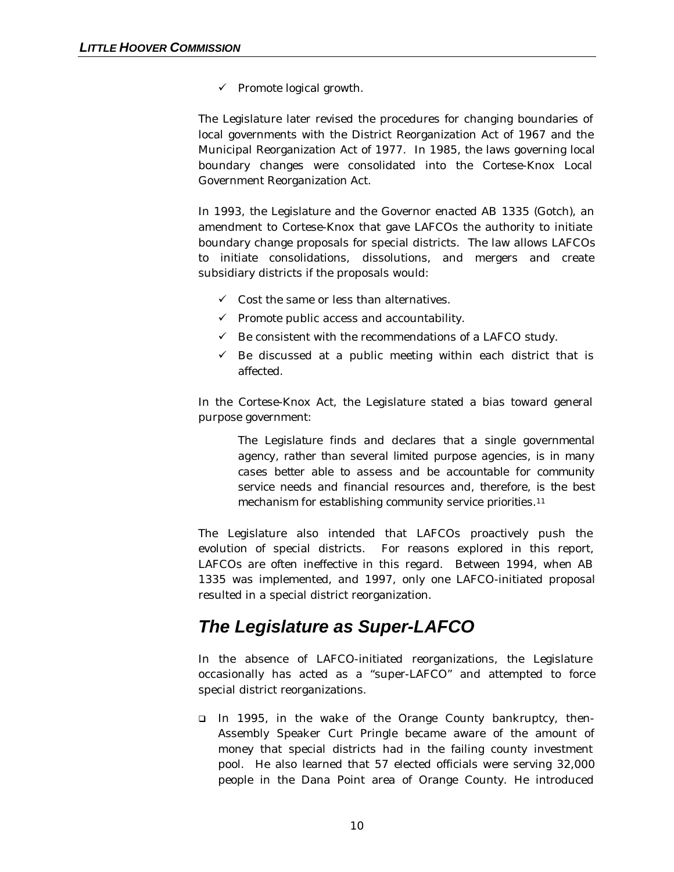$\checkmark$  Promote logical growth.

The Legislature later revised the procedures for changing boundaries of local governments with the District Reorganization Act of 1967 and the Municipal Reorganization Act of 1977. In 1985, the laws governing local boundary changes were consolidated into the Cortese-Knox Local Government Reorganization Act.

In 1993, the Legislature and the Governor enacted AB 1335 (Gotch), an amendment to Cortese-Knox that gave LAFCOs the authority to initiate boundary change proposals for special districts. The law allows LAFCOs to initiate consolidations, dissolutions, and mergers and create subsidiary districts if the proposals would:

- $\checkmark$  Cost the same or less than alternatives.
- $\checkmark$  Promote public access and accountability.
- $\checkmark$  Be consistent with the recommendations of a LAFCO study.
- $\checkmark$  Be discussed at a public meeting within each district that is affected.

In the Cortese-Knox Act, the Legislature stated a bias toward general purpose government:

> *The Legislature finds and declares that a single governmental agency, rather than several limited purpose agencies, is in many cases better able to assess and be accountable for community service needs and financial resources and, therefore, is the best mechanism for establishing community service priorities.<sup>11</sup>*

The Legislature also intended that LAFCOs proactively push the evolution of special districts. For reasons explored in this report, LAFCOs are often ineffective in this regard. Between 1994, when AB 1335 was implemented, and 1997, only one LAFCO-initiated proposal resulted in a special district reorganization.

## *The Legislature as Super-LAFCO*

In the absence of LAFCO-initiated reorganizations, the Legislature occasionally has acted as a "super-LAFCO" and attempted to force special district reorganizations.

q In 1995, in the wake of the Orange County bankruptcy, then-Assembly Speaker Curt Pringle became aware of the amount of money that special districts had in the failing county investment pool. He also learned that 57 elected officials were serving 32,000 people in the Dana Point area of Orange County. He introduced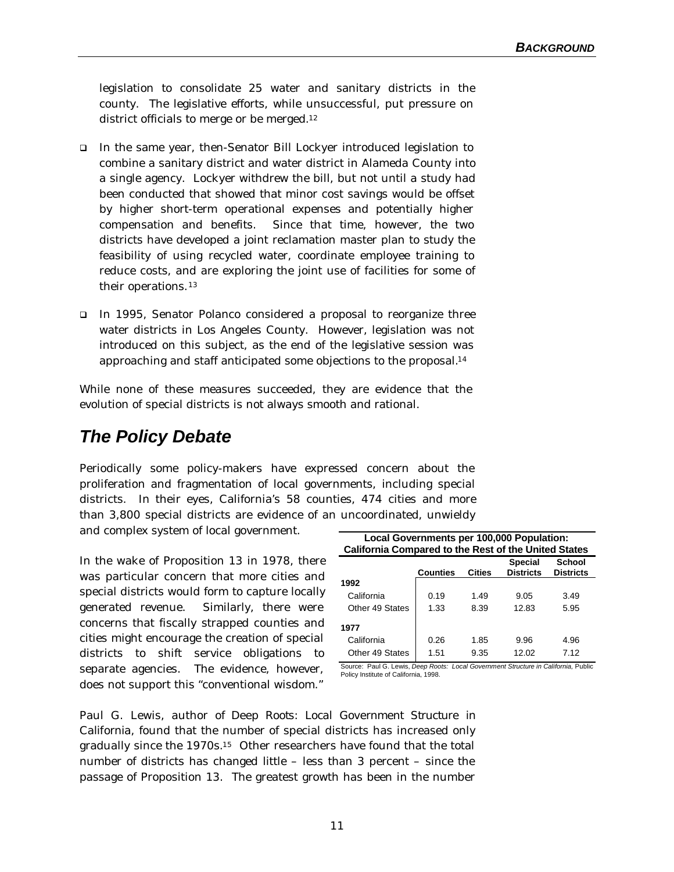legislation to consolidate 25 water and sanitary districts in the county. The legislative efforts, while unsuccessful, put pressure on district officials to merge or be merged.<sup>12</sup>

- q In the same year, then-Senator Bill Lockyer introduced legislation to combine a sanitary district and water district in Alameda County into a single agency. Lockyer withdrew the bill, but not until a study had been conducted that showed that minor cost savings would be offset by higher short-term operational expenses and potentially higher compensation and benefits. Since that time, however, the two districts have developed a joint reclamation master plan to study the feasibility of using recycled water, coordinate employee training to reduce costs, and are exploring the joint use of facilities for some of their operations.<sup>13</sup>
- q In 1995, Senator Polanco considered a proposal to reorganize three water districts in Los Angeles County. However, legislation was not introduced on this subject, as the end of the legislative session was approaching and staff anticipated some objections to the proposal.<sup>14</sup>

While none of these measures succeeded, they are evidence that the evolution of special districts is not always smooth and rational.

## *The Policy Debate*

Periodically some policy-makers have expressed concern about the proliferation and fragmentation of local governments, including special districts. In their eyes, California's 58 counties, 474 cities and more than 3,800 special districts are evidence of an uncoordinated, unwieldy and complex system of local government.

In the wake of Proposition 13 in 1978, there was particular concern that more cities and special districts would form to capture locally generated revenue. Similarly, there were concerns that fiscally strapped counties and cities might encourage the creation of special districts to shift service obligations to separate agencies. The evidence, however, does not support this "conventional wisdom."

| Local Governments per 100,000 Population:<br><b>California Compared to the Rest of the United States</b> |                 |        |                                    |                            |  |  |  |
|----------------------------------------------------------------------------------------------------------|-----------------|--------|------------------------------------|----------------------------|--|--|--|
|                                                                                                          | <b>Counties</b> | Cities | <b>Special</b><br><b>Districts</b> | School<br><b>Districts</b> |  |  |  |
| 1992                                                                                                     |                 |        |                                    |                            |  |  |  |
| California                                                                                               | 0.19            | 1.49   | 9.05                               | 3.49                       |  |  |  |
| Other 49 States                                                                                          | 1.33            | 8.39   | 12.83                              | 5.95                       |  |  |  |
| 1977                                                                                                     |                 |        |                                    |                            |  |  |  |
| California                                                                                               | 0.26            | 1.85   | 9.96                               | 4.96                       |  |  |  |
| Other 49 States                                                                                          | 1.51            | 9.35   | 12.02                              | 7.12                       |  |  |  |

Source: Paul G. Lewis, *Deep Roots: Local Government Structure in California,* Public Policy Institute of California, 1998.

Paul G. Lewis, author of *Deep Roots: Local Government Structure in California*, found that the number of special districts has increased only gradually since the 1970s.15 Other researchers have found that the total number of districts has changed little – less than 3 percent – since the passage of Proposition 13. The greatest growth has been in the number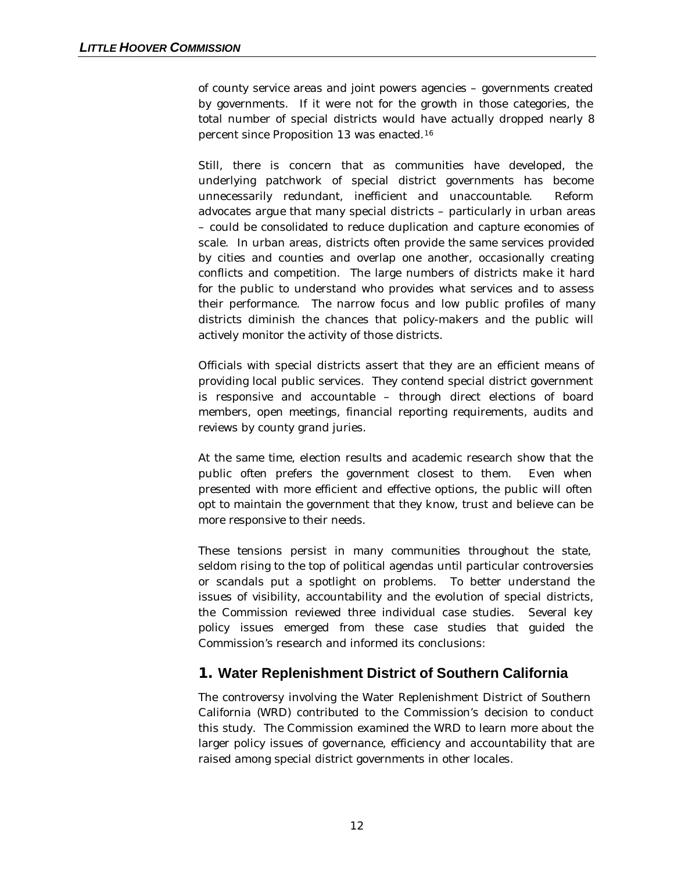of county service areas and joint powers agencies – governments created by governments. If it were not for the growth in those categories, the total number of special districts would have actually dropped nearly 8 percent since Proposition 13 was enacted.<sup>16</sup>

Still, there is concern that as communities have developed, the underlying patchwork of special district governments has become unnecessarily redundant, inefficient and unaccountable. Reform advocates argue that many special districts – particularly in urban areas – could be consolidated to reduce duplication and capture economies of scale. In urban areas, districts often provide the same services provided by cities and counties and overlap one another, occasionally creating conflicts and competition. The large numbers of districts make it hard for the public to understand who provides what services and to assess their performance. The narrow focus and low public profiles of many districts diminish the chances that policy-makers and the public will actively monitor the activity of those districts.

Officials with special districts assert that they are an efficient means of providing local public services. They contend special district government is responsive and accountable – through direct elections of board members, open meetings, financial reporting requirements, audits and reviews by county grand juries.

At the same time, election results and academic research show that the public often prefers the government closest to them. Even when presented with more efficient and effective options, the public will often opt to maintain the government that they know, trust and believe can be more responsive to their needs.

These tensions persist in many communities throughout the state, seldom rising to the top of political agendas until particular controversies or scandals put a spotlight on problems. To better understand the issues of visibility, accountability and the evolution of special districts, the Commission reviewed three individual case studies. Several key policy issues emerged from these case studies that guided the Commission's research and informed its conclusions:

### **1. Water Replenishment District of Southern California**

The controversy involving the Water Replenishment District of Southern California (WRD) contributed to the Commission's decision to conduct this study. The Commission examined the WRD to learn more about the larger policy issues of governance, efficiency and accountability that are raised among special district governments in other locales.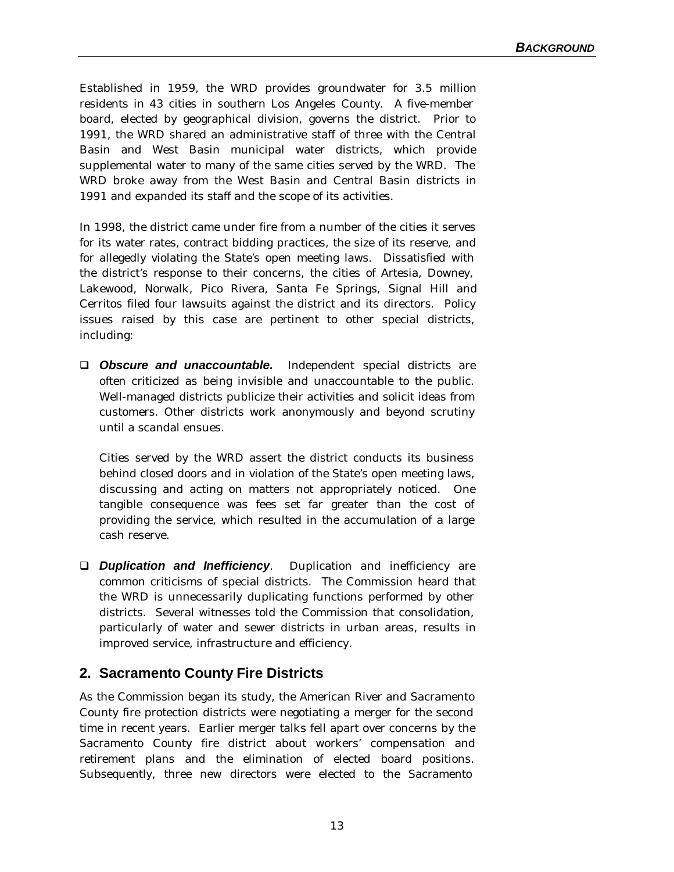Established in 1959, the WRD provides groundwater for 3.5 million residents in 43 cities in southern Los Angeles County. A five-member board, elected by geographical division, governs the district. Prior to 1991, the WRD shared an administrative staff of three with the Central Basin and West Basin municipal water districts, which provide supplemental water to many of the same cities served by the WRD. The WRD broke away from the West Basin and Central Basin districts in 1991 and expanded its staff and the scope of its activities.

In 1998, the district came under fire from a number of the cities it serves for its water rates, contract bidding practices, the size of its reserve, and for allegedly violating the State's open meeting laws. Dissatisfied with the district's response to their concerns, the cities of Artesia, Downey, Lakewood, Norwalk, Pico Rivera, Santa Fe Springs, Signal Hill and Cerritos filed four lawsuits against the district and its directors. Policy issues raised by this case are pertinent to other special districts, including:

**Q Obscure and unaccountable.** Independent special districts are often criticized as being invisible and unaccountable to the public. Well-managed districts publicize their activities and solicit ideas from customers. Other districts work anonymously and beyond scrutiny until a scandal ensues.

Cities served by the WRD assert the district conducts its business behind closed doors and in violation of the State's open meeting laws, discussing and acting on matters not appropriately noticed. One tangible consequence was fees set far greater than the cost of providing the service, which resulted in the accumulation of a large cash reserve.

□ **Duplication and Inefficiency**. Duplication and inefficiency are common criticisms of special districts. The Commission heard that the WRD is unnecessarily duplicating functions performed by other districts. Several witnesses told the Commission that consolidation, particularly of water and sewer districts in urban areas, results in improved service, infrastructure and efficiency.

### **2. Sacramento County Fire Districts**

As the Commission began its study, the American River and Sacramento County fire protection districts were negotiating a merger for the second time in recent years. Earlier merger talks fell apart over concerns by the Sacramento County fire district about workers' compensation and retirement plans and the elimination of elected board positions. Subsequently, three new directors were elected to the Sacramento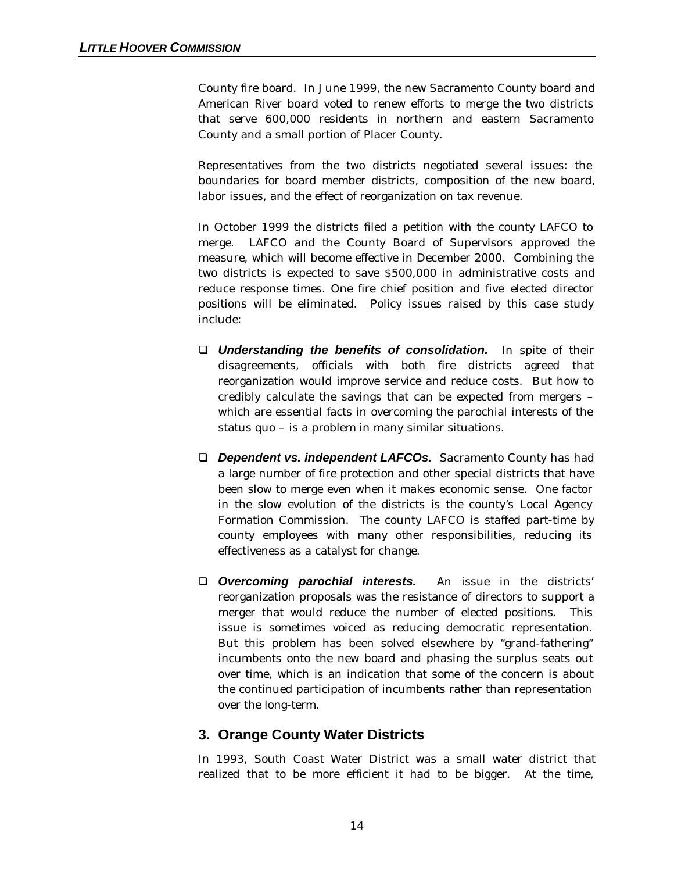County fire board. In June 1999, the new Sacramento County board and American River board voted to renew efforts to merge the two districts that serve 600,000 residents in northern and eastern Sacramento County and a small portion of Placer County.

Representatives from the two districts negotiated several issues: the boundaries for board member districts, composition of the new board, labor issues, and the effect of reorganization on tax revenue.

In October 1999 the districts filed a petition with the county LAFCO to merge. LAFCO and the County Board of Supervisors approved the measure, which will become effective in December 2000. Combining the two districts is expected to save \$500,000 in administrative costs and reduce response times. One fire chief position and five elected director positions will be eliminated. Policy issues raised by this case study include:

- q *Understanding the benefits of consolidation.* In spite of their disagreements, officials with both fire districts agreed that reorganization would improve service and reduce costs. But how to credibly calculate the savings that can be expected from mergers – which are essential facts in overcoming the parochial interests of the status quo – is a problem in many similar situations.
- q *Dependent vs. independent LAFCOs.*Sacramento County has had a large number of fire protection and other special districts that have been slow to merge even when it makes economic sense. One factor in the slow evolution of the districts is the county's Local Agency Formation Commission. The county LAFCO is staffed part-time by county employees with many other responsibilities, reducing its effectiveness as a catalyst for change.
- **Q Overcoming parochial interests.** An issue in the districts' reorganization proposals was the resistance of directors to support a merger that would reduce the number of elected positions. This issue is sometimes voiced as reducing democratic representation. But this problem has been solved elsewhere by "grand-fathering" incumbents onto the new board and phasing the surplus seats out over time, which is an indication that some of the concern is about the continued participation of incumbents rather than representation over the long-term.

#### **3. Orange County Water Districts**

In 1993, South Coast Water District was a small water district that realized that to be more efficient it had to be bigger. At the time,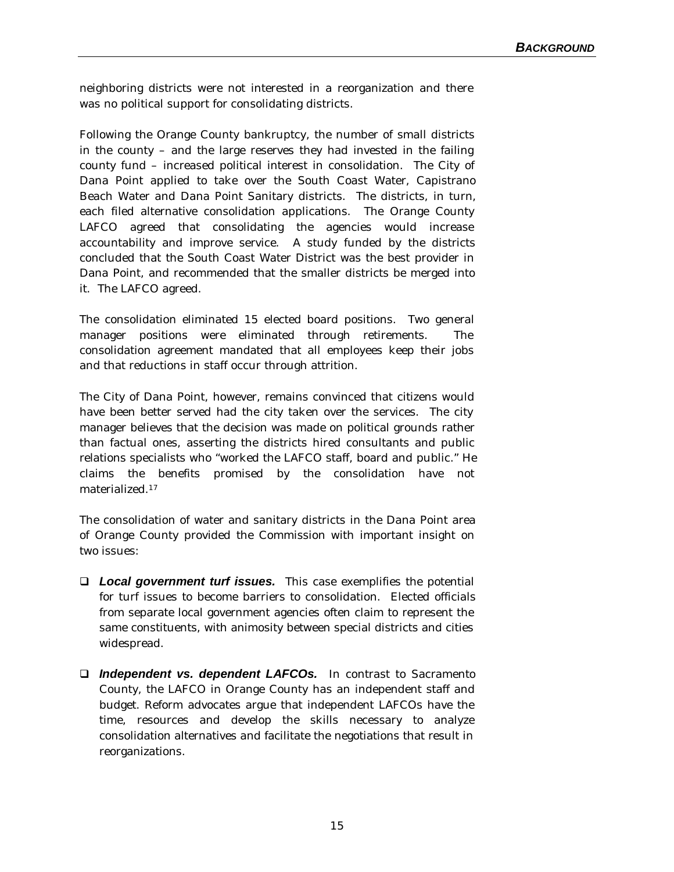neighboring districts were not interested in a reorganization and there was no political support for consolidating districts.

Following the Orange County bankruptcy, the number of small districts in the county – and the large reserves they had invested in the failing county fund – increased political interest in consolidation. The City of Dana Point applied to take over the South Coast Water, Capistrano Beach Water and Dana Point Sanitary districts. The districts, in turn, each filed alternative consolidation applications. The Orange County LAFCO agreed that consolidating the agencies would increase accountability and improve service. A study funded by the districts concluded that the South Coast Water District was the best provider in Dana Point, and recommended that the smaller districts be merged into it. The LAFCO agreed.

The consolidation eliminated 15 elected board positions. Two general manager positions were eliminated through retirements. The consolidation agreement mandated that all employees keep their jobs and that reductions in staff occur through attrition.

The City of Dana Point, however, remains convinced that citizens would have been better served had the city taken over the services. The city manager believes that the decision was made on political grounds rather than factual ones, asserting the districts hired consultants and public relations specialists who "worked the LAFCO staff, board and public." He claims the benefits promised by the consolidation have not materialized.<sup>17</sup>

The consolidation of water and sanitary districts in the Dana Point area of Orange County provided the Commission with important insight on two issues:

- □ *Local government turf issues.* This case exemplifies the potential for turf issues to become barriers to consolidation. Elected officials from separate local government agencies often claim to represent the same constituents, with animosity between special districts and cities widespread.
- q *Independent vs. dependent LAFCOs.* In contrast to Sacramento County, the LAFCO in Orange County has an independent staff and budget. Reform advocates argue that independent LAFCOs have the time, resources and develop the skills necessary to analyze consolidation alternatives and facilitate the negotiations that result in reorganizations.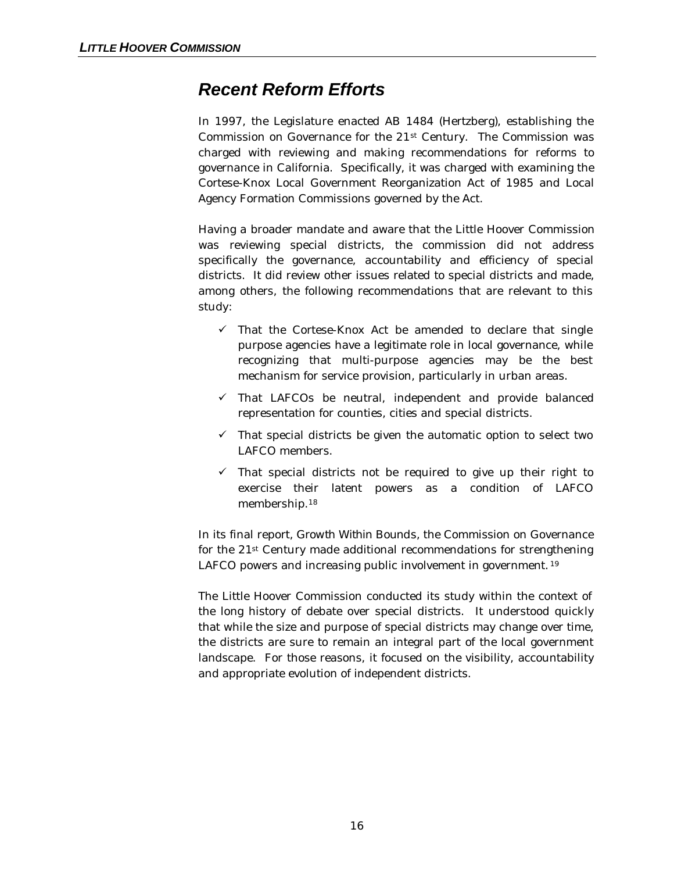## *Recent Reform Efforts*

In 1997, the Legislature enacted AB 1484 (Hertzberg), establishing the Commission on Governance for the 21st Century. The Commission was charged with reviewing and making recommendations for reforms to governance in California. Specifically, it was charged with examining the Cortese-Knox Local Government Reorganization Act of 1985 and Local Agency Formation Commissions governed by the Act.

Having a broader mandate and aware that the Little Hoover Commission was reviewing special districts, the commission did not address specifically the governance, accountability and efficiency of special districts. It did review other issues related to special districts and made, among others, the following recommendations that are relevant to this study:

- $\checkmark$  That the Cortese-Knox Act be amended to declare that single purpose agencies have a legitimate role in local governance, while recognizing that multi-purpose agencies may be the best mechanism for service provision, particularly in urban areas.
- $\checkmark$  That LAFCOs be neutral, independent and provide balanced representation for counties, cities and special districts.
- $\checkmark$  That special districts be given the automatic option to select two LAFCO members.
- $\checkmark$  That special districts not be required to give up their right to exercise their latent powers as a condition of LAFCO membership.<sup>18</sup>

In its final report, *Growth Within Bounds,* the Commission on Governance for the 21st Century made additional recommendations for strengthening LAFCO powers and increasing public involvement in government. <sup>19</sup>

The Little Hoover Commission conducted its study within the context of the long history of debate over special districts. It understood quickly that while the size and purpose of special districts may change over time, the districts are sure to remain an integral part of the local government landscape. For those reasons, it focused on the visibility, accountability and appropriate evolution of independent districts.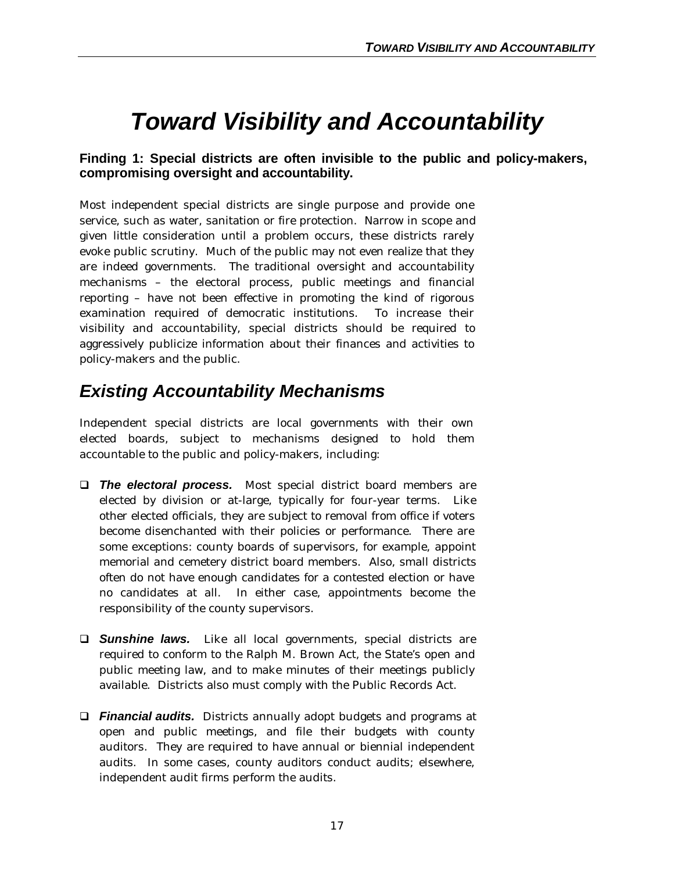## *Toward Visibility and Accountability*

### **Finding 1: Special districts are often invisible to the public and policy-makers, compromising oversight and accountability.**

Most independent special districts are single purpose and provide one service, such as water, sanitation or fire protection. Narrow in scope and given little consideration until a problem occurs, these districts rarely evoke public scrutiny. Much of the public may not even realize that they are indeed governments. The traditional oversight and accountability mechanisms – the electoral process, public meetings and financial reporting – have not been effective in promoting the kind of rigorous examination required of democratic institutions. To increase their visibility and accountability, special districts should be required to aggressively publicize information about their finances and activities to policy-makers and the public.

## *Existing Accountability Mechanisms*

Independent special districts are local governments with their own elected boards, subject to mechanisms designed to hold them accountable to the public and policy-makers, including:

- q *The electoral process.* Most special district board members are elected by division or at-large, typically for four-year terms. Like other elected officials, they are subject to removal from office if voters become disenchanted with their policies or performance. There are some exceptions: county boards of supervisors, for example, appoint memorial and cemetery district board members. Also, small districts often do not have enough candidates for a contested election or have no candidates at all. In either case, appointments become the responsibility of the county supervisors.
- **Q Sunshine laws.** Like all local governments, special districts are required to conform to the Ralph M. Brown Act, the State's open and public meeting law, and to make minutes of their meetings publicly available. Districts also must comply with the Public Records Act.
- q *Financial audits.* Districts annually adopt budgets and programs at open and public meetings, and file their budgets with county auditors. They are required to have annual or biennial independent audits. In some cases, county auditors conduct audits; elsewhere, independent audit firms perform the audits.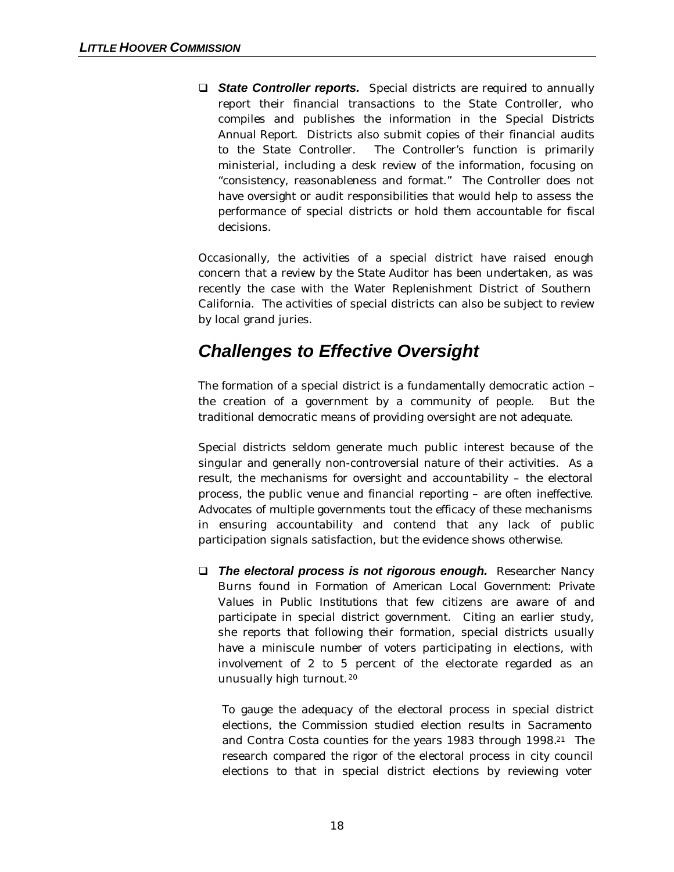**G State Controller reports.** Special districts are required to annually report their financial transactions to the State Controller, who compiles and publishes the information in the *Special Districts Annual Report.* Districts also submit copies of their financial audits to the State Controller. The Controller's function is primarily ministerial, including a desk review of the information, focusing on "consistency, reasonableness and format." The Controller does not have oversight or audit responsibilities that would help to assess the performance of special districts or hold them accountable for fiscal decisions.

Occasionally, the activities of a special district have raised enough concern that a review by the State Auditor has been undertaken, as was recently the case with the Water Replenishment District of Southern California. The activities of special districts can also be subject to review by local grand juries.

## *Challenges to Effective Oversight*

The formation of a special district is a fundamentally democratic action – the creation of a government by a community of people. But the traditional democratic means of providing oversight are not adequate.

Special districts seldom generate much public interest because of the singular and generally non-controversial nature of their activities. As a result, the mechanisms for oversight and accountability – the electoral process, the public venue and financial reporting – are often ineffective. Advocates of multiple governments tout the efficacy of these mechanisms in ensuring accountability and contend that any lack of public participation signals satisfaction, but the evidence shows otherwise.

**D** The electoral process is not rigorous enough. Researcher Nancy Burns found in *Formation of American Local Government: Private Values in Public Institutions* that few citizens are aware of and participate in special district government. Citing an earlier study, she reports that following their formation, special districts usually have a miniscule number of voters participating in elections, with involvement of 2 to 5 percent of the electorate regarded as an unusually high turnout.<sup>20</sup>

To gauge the adequacy of the electoral process in special district elections, the Commission studied election results in Sacramento and Contra Costa counties for the years 1983 through 1998.21 The research compared the rigor of the electoral process in city council elections to that in special district elections by reviewing voter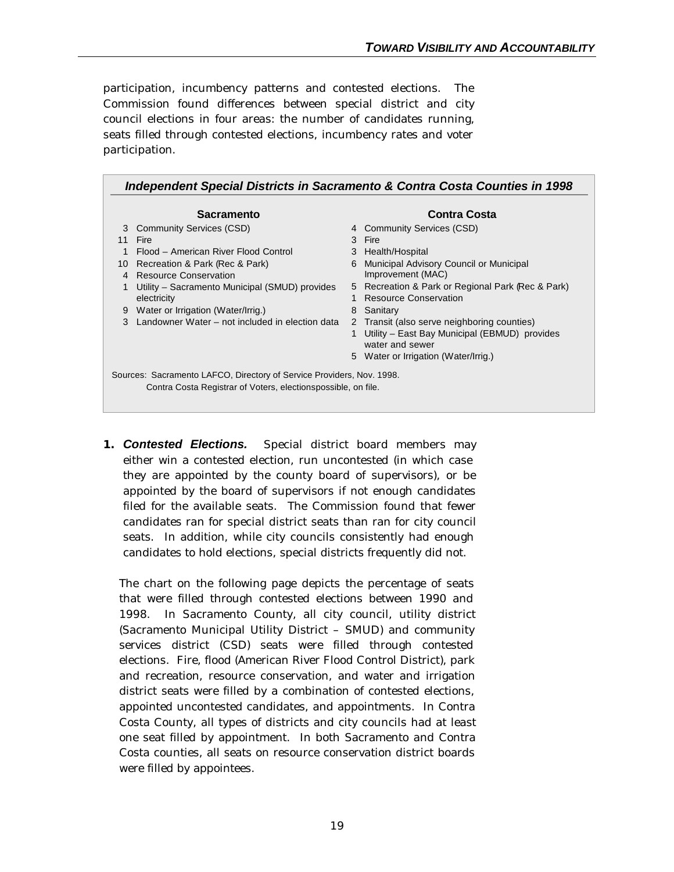participation, incumbency patterns and contested elections. The Commission found differences between special district and city council elections in four areas: the number of candidates running, seats filled through contested elections, incumbency rates and voter participation.

| <b>Sacramento</b>                                                                                                                      |                                                 |    | <b>Contra Costa</b>                               |  |  |  |  |
|----------------------------------------------------------------------------------------------------------------------------------------|-------------------------------------------------|----|---------------------------------------------------|--|--|--|--|
| 3                                                                                                                                      | <b>Community Services (CSD)</b>                 |    | 4 Community Services (CSD)                        |  |  |  |  |
| 11                                                                                                                                     | Fire                                            |    | 3 Fire                                            |  |  |  |  |
|                                                                                                                                        | Flood - American River Flood Control            |    | 3 Health/Hospital                                 |  |  |  |  |
| 10                                                                                                                                     | Recreation & Park (Rec & Park)                  | 6  | Municipal Advisory Council or Municipal           |  |  |  |  |
| 4                                                                                                                                      | Resource Conservation                           |    | Improvement (MAC)                                 |  |  |  |  |
|                                                                                                                                        | Utility – Sacramento Municipal (SMUD) provides  |    | 5 Recreation & Park or Regional Park (Rec & Park) |  |  |  |  |
|                                                                                                                                        | electricity                                     |    | <b>Resource Conservation</b>                      |  |  |  |  |
| 9                                                                                                                                      | Water or Irrigation (Water/Irrig.)              | 8  | Sanitary                                          |  |  |  |  |
| 3                                                                                                                                      | Landowner Water – not included in election data | 2  | Transit (also serve neighboring counties)         |  |  |  |  |
|                                                                                                                                        |                                                 |    | Utility – East Bay Municipal (EBMUD) provides     |  |  |  |  |
|                                                                                                                                        |                                                 |    | water and sewer                                   |  |  |  |  |
|                                                                                                                                        |                                                 | 5. | Water or Irrigation (Water/Irrig.)                |  |  |  |  |
|                                                                                                                                        |                                                 |    |                                                   |  |  |  |  |
| Sources: Sacramento LAFCO, Directory of Service Providers, Nov. 1998.<br>Contra Costa Registrar of Voters, electionspossible, on file. |                                                 |    |                                                   |  |  |  |  |

**1.** *Contested Elections.* Special district board members may either win a contested election, run uncontested (in which case they are appointed by the county board of supervisors), or be appointed by the board of supervisors if not enough candidates filed for the available seats. The Commission found that fewer candidates ran for special district seats than ran for city council seats. In addition, while city councils consistently had enough candidates to hold elections, special districts frequently did not.

The chart on the following page depicts the percentage of seats that were filled through contested elections between 1990 and 1998. In Sacramento County, all city council, utility district (Sacramento Municipal Utility District – SMUD) and community services district (CSD) seats were filled through contested elections. Fire, flood (American River Flood Control District), park and recreation, resource conservation, and water and irrigation district seats were filled by a combination of contested elections, appointed uncontested candidates, and appointments. In Contra Costa County, all types of districts and city councils had at least one seat filled by appointment. In both Sacramento and Contra Costa counties, all seats on resource conservation district boards were filled by appointees.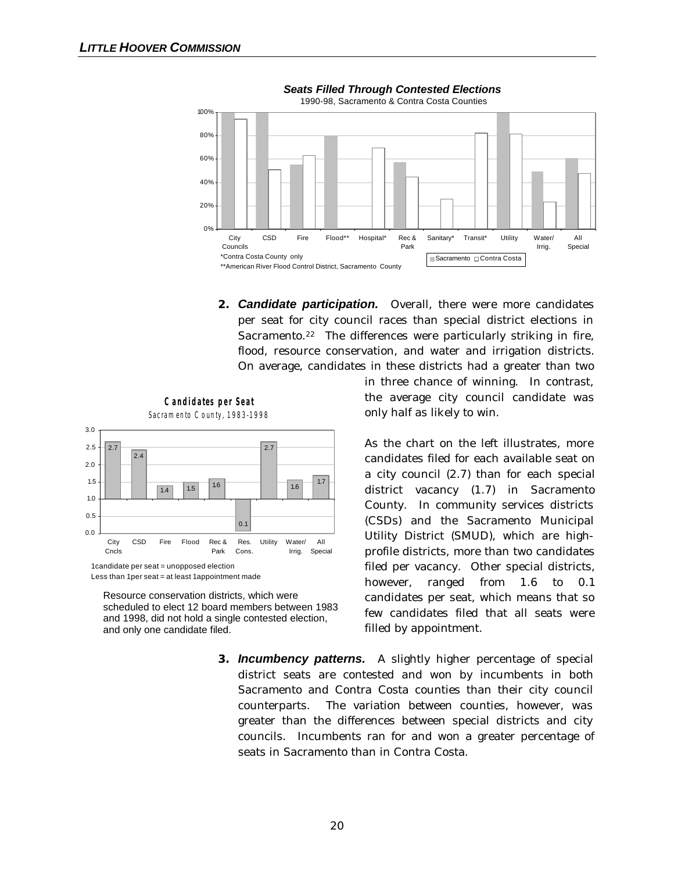

**2.** *Candidate participation.* Overall, there were more candidates per seat for city council races than special district elections in Sacramento.<sup>22</sup> The differences were particularly striking in fire, flood, resource conservation, and water and irrigation districts. On average, candidates in these districts had a greater than two



Resource conservation districts, which were scheduled to elect 12 board members between 1983 and 1998, did not hold a single contested election, and only one candidate filed.

in three chance of winning. In contrast, the average city council candidate was only half as likely to win.

As the chart on the left illustrates, more candidates filed for each available seat on a city council (2.7) than for each special district vacancy (1.7) in Sacramento County. In community services districts (CSDs) and the Sacramento Municipal Utility District (SMUD), which are highprofile districts, more than two candidates filed per vacancy. Other special districts, however, ranged from 1.6 to 0.1 candidates per seat, which means that so few candidates filed that all seats were filled by appointment.

**3.** *Incumbency patterns.* A slightly higher percentage of special district seats are contested and won by incumbents in both Sacramento and Contra Costa counties than their city council counterparts. The variation between counties, however, was greater than the differences between special districts and city councils. Incumbents ran for and won a greater percentage of seats in Sacramento than in Contra Costa.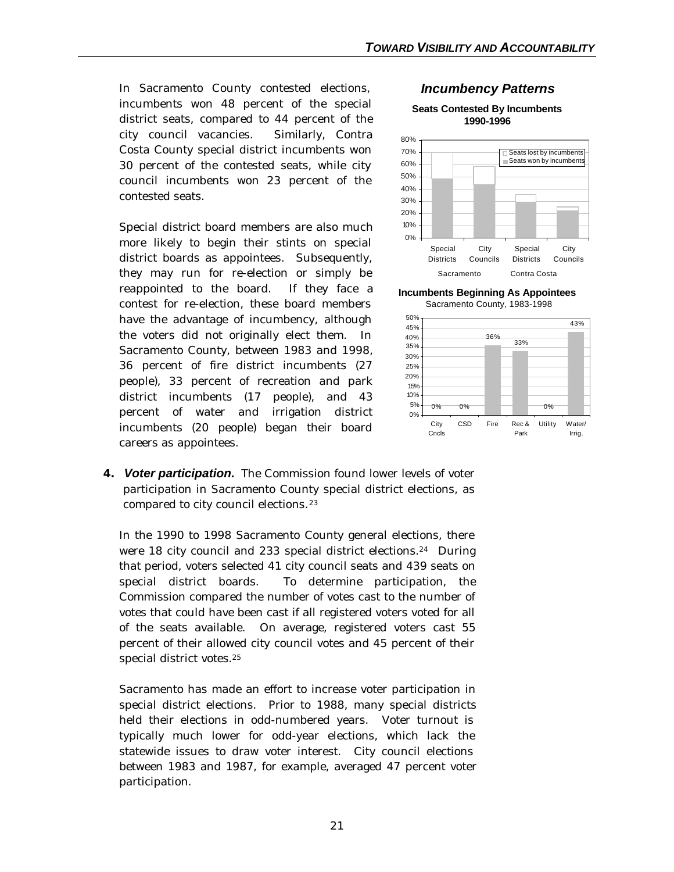In Sacramento County contested elections, incumbents won 48 percent of the special district seats, compared to 44 percent of the city council vacancies. Similarly, Contra Costa County special district incumbents won 30 percent of the contested seats, while city council incumbents won 23 percent of the contested seats.

Special district board members are also much more likely to begin their stints on special district boards as appointees. Subsequently, they may run for re-election or simply be reappointed to the board. If they face a contest for re-election, these board members have the advantage of incumbency, although the voters did not originally elect them. In Sacramento County, between 1983 and 1998, 36 percent of fire district incumbents (27 people), 33 percent of recreation and park district incumbents (17 people), and 43 percent of water and irrigation district incumbents (20 people) began their board careers as appointees.



**Seats Contested By Incumbents 1990-1996**



**Incumbents Beginning As Appointees** Sacramento County, 1983-1998



**4.** *Voter participation.* The Commission found lower levels of voter participation in Sacramento County special district elections, as compared to city council elections.<sup>23</sup>

In the 1990 to 1998 Sacramento County general elections, there were 18 city council and 233 special district elections.<sup>24</sup> During that period, voters selected 41 city council seats and 439 seats on special district boards. To determine participation, the Commission compared the number of votes cast to the number of votes that could have been cast if all registered voters voted for all of the seats available. On average, registered voters cast 55 percent of their allowed city council votes and 45 percent of their special district votes.<sup>25</sup>

Sacramento has made an effort to increase voter participation in special district elections. Prior to 1988, many special districts held their elections in odd-numbered years. Voter turnout is typically much lower for odd-year elections, which lack the statewide issues to draw voter interest. City council elections between 1983 and 1987, for example, averaged 47 percent voter participation.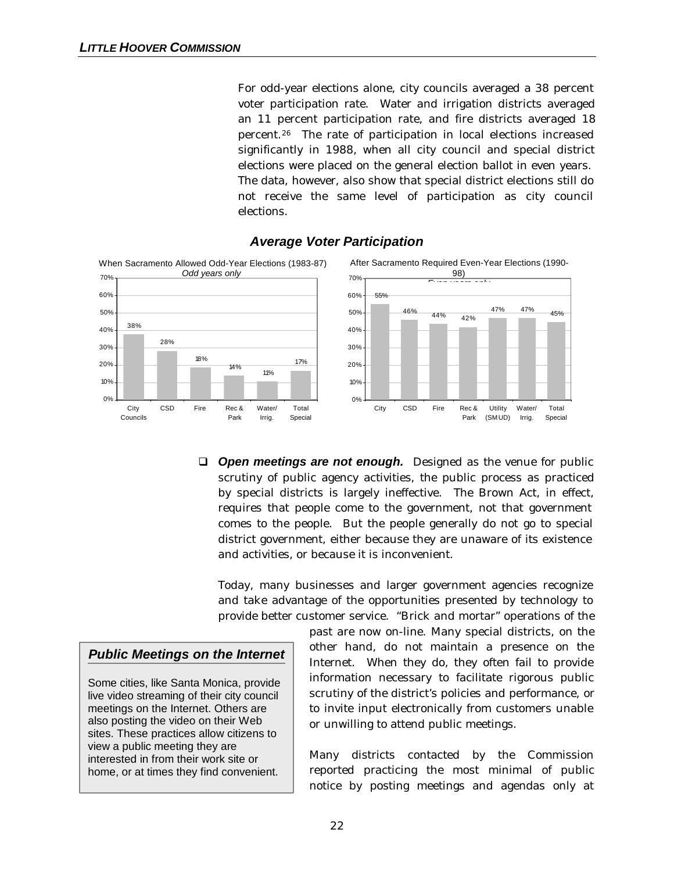For odd-year elections alone, city councils averaged a 38 percent voter participation rate. Water and irrigation districts averaged an 11 percent participation rate, and fire districts averaged 18 percent.26 The rate of participation in local elections increased significantly in 1988, when all city council and special district elections were placed on the general election ballot in even years. The data, however, also show that special district elections still do not receive the same level of participation as city council elections.



### *Average Voter Participation*

**Q** *Open meetings are not enough.* Designed as the venue for public scrutiny of public agency activities, the public process as practiced by special districts is largely ineffective. The Brown Act, in effect, requires that people come to the government, not that government comes to the people. But the people generally do not go to special district government, either because they are unaware of its existence and activities, or because it is inconvenient.

Today, many businesses and larger government agencies recognize and take advantage of the opportunities presented by technology to provide better customer service. "Brick and mortar" operations of the

### *Public Meetings on the Internet*

Some cities, like Santa Monica, provide live video streaming of their city council meetings on the Internet. Others are also posting the video on their Web sites. These practices allow citizens to view a public meeting they are interested in from their work site or home, or at times they find convenient.

past are now on-line. Many special districts, on the other hand, do not maintain a presence on the Internet. When they do, they often fail to provide information necessary to facilitate rigorous public scrutiny of the district's policies and performance, or to invite input electronically from customers unable or unwilling to attend public meetings.

Many districts contacted by the Commission reported practicing the most minimal of public notice by posting meetings and agendas only at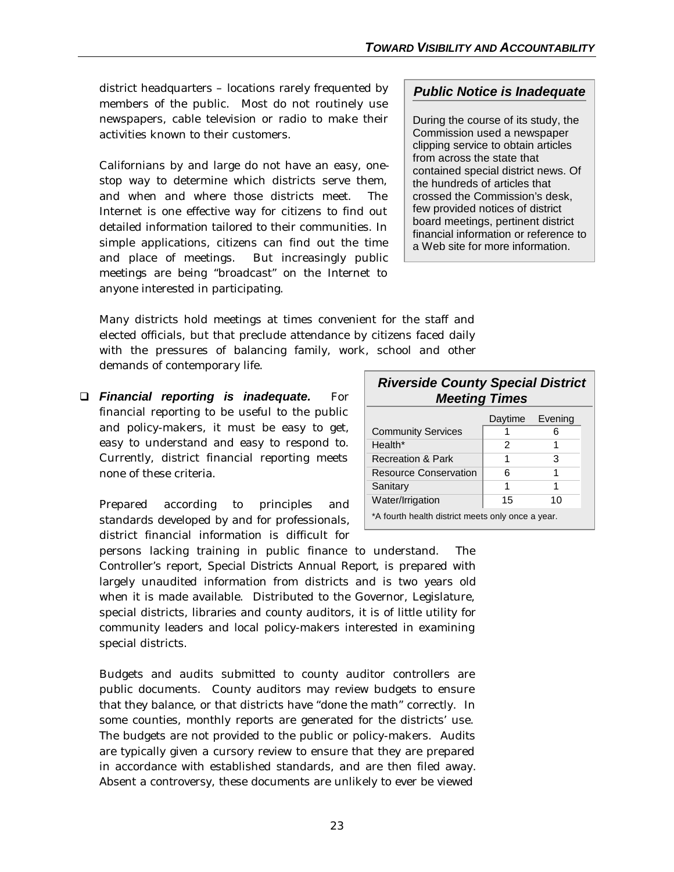district headquarters – locations rarely frequented by members of the public. Most do not routinely use newspapers, cable television or radio to make their activities known to their customers.

Californians by and large do not have an easy, onestop way to determine which districts serve them, and when and where those districts meet. The Internet is one effective way for citizens to find out detailed information tailored to their communities. In simple applications, citizens can find out the time and place of meetings. But increasingly public meetings are being "broadcast" on the Internet to anyone interested in participating.

### *Public Notice is Inadequate*

During the course of its study, the Commission used a newspaper clipping service to obtain articles from across the state that contained special district news. Of the hundreds of articles that crossed the Commission's desk, few provided notices of district board meetings, pertinent district financial information or reference to a Web site for more information.

Many districts hold meetings at times convenient for the staff and elected officials, but that preclude attendance by citizens faced daily with the pressures of balancing family, work, school and other demands of contemporary life.

q *Financial reporting is inadequate.* For financial reporting to be useful to the public and policy-makers, it must be easy to get, easy to understand and easy to respond to. Currently, district financial reporting meets none of these criteria.

Prepared according to principles and standards developed by and for professionals,  $dist$ rict financial information is difficult for

| district financial information is difficult for                               |  |  |  |  |
|-------------------------------------------------------------------------------|--|--|--|--|
| persons lacking training in public finance to understand. The                 |  |  |  |  |
| Controller's report, Special Districts Annual Report, is prepared with        |  |  |  |  |
| largely unaudited information from districts and is two years old             |  |  |  |  |
| when it is made available. Distributed to the Governor, Legislature,          |  |  |  |  |
| special districts, libraries and county auditors, it is of little utility for |  |  |  |  |
| community leaders and local policy-makers interested in examining             |  |  |  |  |
| special districts.                                                            |  |  |  |  |

Budgets and audits submitted to county auditor controllers are public documents. County auditors may review budgets to ensure that they balance, or that districts have "done the math" correctly. In some counties, monthly reports are generated for the districts' use. The budgets are not provided to the public or policy-makers. Audits are typically given a cursory review to ensure that they are prepared in accordance with established standards, and are then filed away. Absent a controversy, these documents are unlikely to ever be viewed

| <b>Riverside County Special District</b><br><b>Meeting Times</b> |         |         |  |  |  |  |
|------------------------------------------------------------------|---------|---------|--|--|--|--|
|                                                                  | Daytime | Evening |  |  |  |  |
| <b>Community Services</b>                                        |         | 6       |  |  |  |  |
| Health*                                                          | 2       |         |  |  |  |  |
| <b>Recreation &amp; Park</b>                                     | 1       | з       |  |  |  |  |
| <b>Resource Conservation</b>                                     | 6       | 1       |  |  |  |  |
| Sanitary                                                         | 1       | 1       |  |  |  |  |
| Water/Irrigation                                                 | 15      | 10      |  |  |  |  |
| *A fourth health district meets only once a year.                |         |         |  |  |  |  |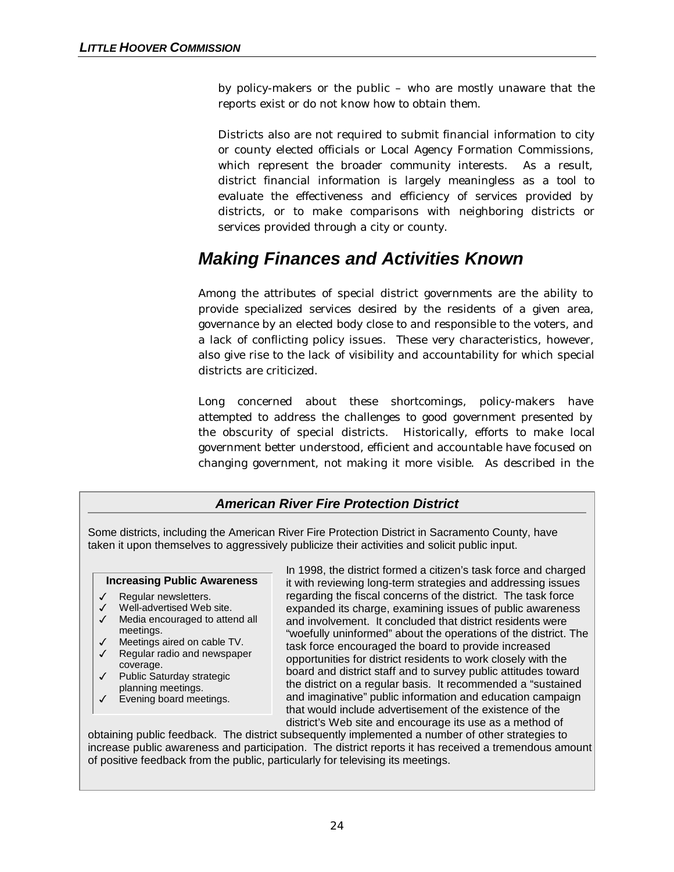by policy-makers or the public – who are mostly unaware that the reports exist or do not know how to obtain them.

Districts also are not required to submit financial information to city or county elected officials or Local Agency Formation Commissions, which represent the broader community interests. As a result, district financial information is largely meaningless as a tool to evaluate the effectiveness and efficiency of services provided by districts, or to make comparisons with neighboring districts or services provided through a city or county.

# *Making Finances and Activities Known*

Among the attributes of special district governments are the ability to provide specialized services desired by the residents of a given area, governance by an elected body close to and responsible to the voters, and a lack of conflicting policy issues. These very characteristics, however, also give rise to the lack of visibility and accountability for which special districts are criticized.

Long concerned about these shortcomings, policy-makers have attempted to address the challenges to good government presented by the obscurity of special districts. Historically, efforts to make local government better understood, efficient and accountable have focused on changing government, not making it more visible. As described in the

## *American River Fire Protection District*

Some districts, including the American River Fire Protection District in Sacramento County, have taken it upon themselves to aggressively publicize their activities and solicit public input.

#### **Increasing Public Awareness**

- $\checkmark$  Regular newsletters.
- $\checkmark$  Well-advertised Web site.
- $\checkmark$  Media encouraged to attend all meetings.
- $\checkmark$  Meetings aired on cable TV.
- $\checkmark$  Regular radio and newspaper coverage.
- 3 Public Saturday strategic planning meetings.
- $\checkmark$  Evening board meetings.

In 1998, the district formed a citizen's task force and charged it with reviewing long-term strategies and addressing issues regarding the fiscal concerns of the district. The task force expanded its charge, examining issues of public awareness and involvement. It concluded that district residents were "woefully uninformed" about the operations of the district. The task force encouraged the board to provide increased opportunities for district residents to work closely with the board and district staff and to survey public attitudes toward the district on a regular basis. It recommended a "sustained and imaginative" public information and education campaign that would include advertisement of the existence of the district's Web site and encourage its use as a method of

obtaining public feedback. The district subsequently implemented a number of other strategies to increase public awareness and participation. The district reports it has received a tremendous amount of positive feedback from the public, particularly for televising its meetings.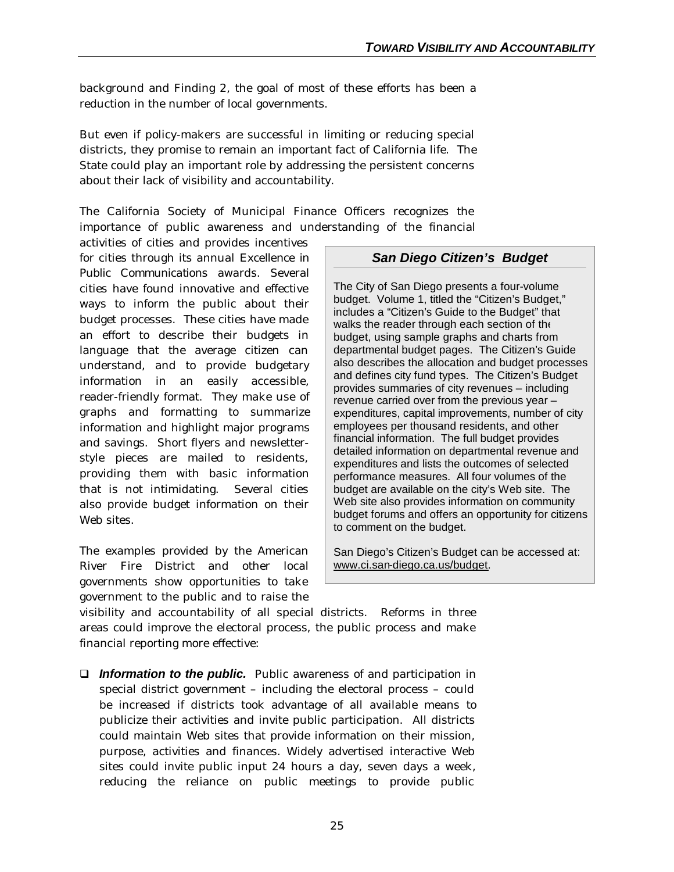background and Finding 2, the goal of most of these efforts has been a reduction in the number of local governments.

But even if policy-makers are successful in limiting or reducing special districts, they promise to remain an important fact of California life. The State could play an important role by addressing the persistent concerns about their lack of visibility and accountability.

The California Society of Municipal Finance Officers recognizes the importance of public awareness and understanding of the financial

activities of cities and provides incentives for cities through its annual *Excellence in Public Communications* awards. Several cities have found innovative and effective ways to inform the public about their budget processes. These cities have made an effort to describe their budgets in language that the average citizen can understand, and to provide budgetary information in an easily accessible, reader-friendly format. They make use of graphs and formatting to summarize information and highlight major programs and savings. Short flyers and newsletterstyle pieces are mailed to residents, providing them with basic information that is not intimidating. Several cities also provide budget information on their Web sites.

The examples provided by the American River Fire District and other local governments show opportunities to take government to the public and to raise the

### *San Diego Citizen's Budget*

The City of San Diego presents a four-volume budget. Volume 1, titled the "Citizen's Budget," includes a "Citizen's Guide to the Budget" that walks the reader through each section of the budget, using sample graphs and charts from departmental budget pages. The Citizen's Guide also describes the allocation and budget processes and defines city fund types. The Citizen's Budget provides summaries of city revenues – including revenue carried over from the previous year – expenditures, capital improvements, number of city employees per thousand residents, and other financial information. The full budget provides detailed information on departmental revenue and expenditures and lists the outcomes of selected performance measures. All four volumes of the budget are available on the city's Web site. The Web site also provides information on community budget forums and offers an opportunity for citizens to comment on the budget.

San Diego's Citizen's Budget can be accessed at: www.ci.san-diego.ca.us/budget.

visibility and accountability of all special districts. Reforms in three areas could improve the electoral process, the public process and make financial reporting more effective:

□ *Information to the public.* Public awareness of and participation in special district government – including the electoral process – could be increased if districts took advantage of all available means to publicize their activities and invite public participation. All districts could maintain Web sites that provide information on their mission, purpose, activities and finances. Widely advertised interactive Web sites could invite public input 24 hours a day, seven days a week, reducing the reliance on public meetings to provide public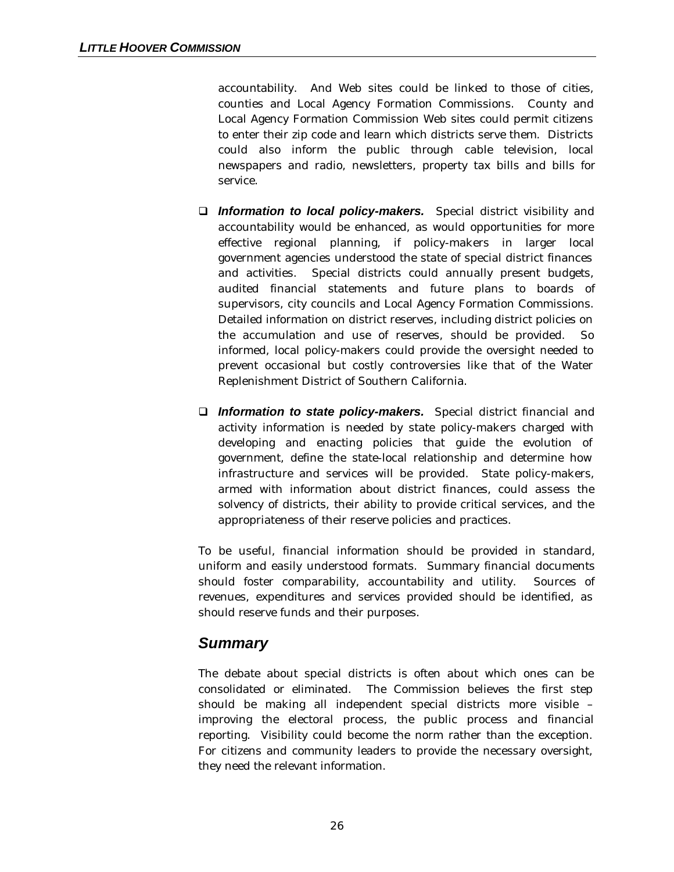accountability. And Web sites could be linked to those of cities, counties and Local Agency Formation Commissions. County and Local Agency Formation Commission Web sites could permit citizens to enter their zip code and learn which districts serve them. Districts could also inform the public through cable television, local newspapers and radio, newsletters, property tax bills and bills for service.

- □ **Information to local policy-makers.** Special district visibility and accountability would be enhanced, as would opportunities for more effective regional planning, if policy-makers in larger local government agencies understood the state of special district finances and activities. Special districts could annually present budgets, audited financial statements and future plans to boards of supervisors, city councils and Local Agency Formation Commissions. Detailed information on district reserves, including district policies on the accumulation and use of reserves, should be provided. So informed, local policy-makers could provide the oversight needed to prevent occasional but costly controversies like that of the Water Replenishment District of Southern California.
- q *Information to state policy-makers.* Special district financial and activity information is needed by state policy-makers charged with developing and enacting policies that guide the evolution of government, define the state-local relationship and determine how infrastructure and services will be provided. State policy-makers, armed with information about district finances, could assess the solvency of districts, their ability to provide critical services, and the appropriateness of their reserve policies and practices.

To be useful, financial information should be provided in standard, uniform and easily understood formats. Summary financial documents should foster comparability, accountability and utility. Sources of revenues, expenditures and services provided should be identified, as should reserve funds and their purposes.

## *Summary*

The debate about special districts is often about which ones can be consolidated or eliminated. The Commission believes the first step should be making all independent special districts more visible – improving the electoral process, the public process and financial reporting. Visibility could become the norm rather than the exception. For citizens and community leaders to provide the necessary oversight, they need the relevant information.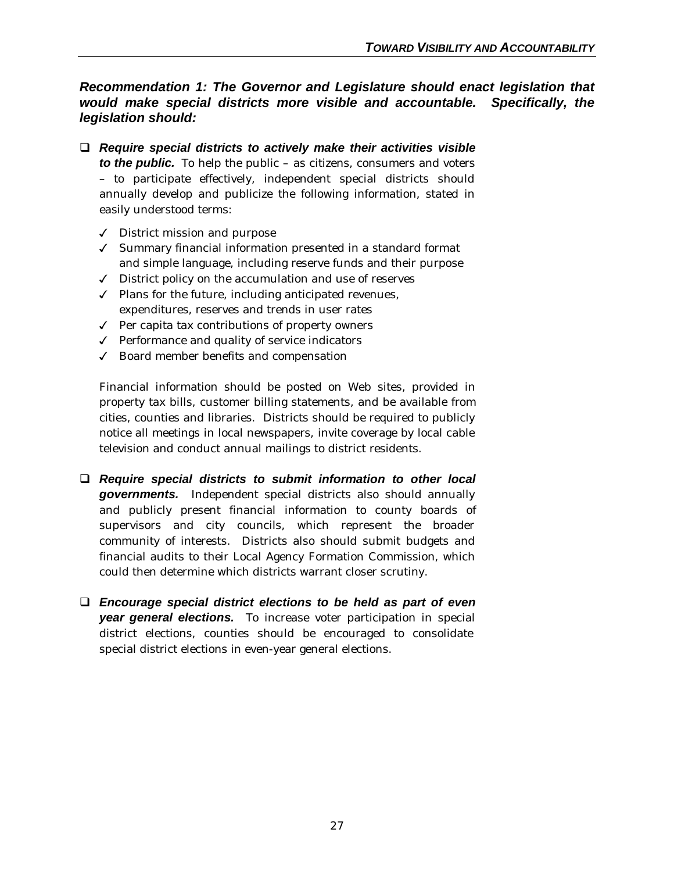## *Recommendation 1: The Governor and Legislature should enact legislation that would make special districts more visible and accountable. Specifically, the legislation should:*

- q *Require special districts to actively make their activities visible to the public.* To help the public – as citizens, consumers and voters – to participate effectively, independent special districts should annually develop and publicize the following information, stated in easily understood terms:
	- $\checkmark$  District mission and purpose
	- $\checkmark$  Summary financial information presented in a standard format and simple language, including reserve funds and their purpose
	- $J$  District policy on the accumulation and use of reserves
	- $\checkmark$  Plans for the future, including anticipated revenues, expenditures, reserves and trends in user rates
	- $\checkmark$  Per capita tax contributions of property owners
	- $\sqrt{\ }$  Performance and quality of service indicators
	- $J$  Board member benefits and compensation

Financial information should be posted on Web sites, provided in property tax bills, customer billing statements, and be available from cities, counties and libraries. Districts should be required to publicly notice all meetings in local newspapers, invite coverage by local cable television and conduct annual mailings to district residents.

- q *Require special districts to submit information to other local governments.* Independent special districts also should annually and publicly present financial information to county boards of supervisors and city councils, which represent the broader community of interests. Districts also should submit budgets and financial audits to their Local Agency Formation Commission, which could then determine which districts warrant closer scrutiny.
- q *Encourage special district elections to be held as part of even year general elections.* To increase voter participation in special district elections, counties should be encouraged to consolidate special district elections in even-year general elections.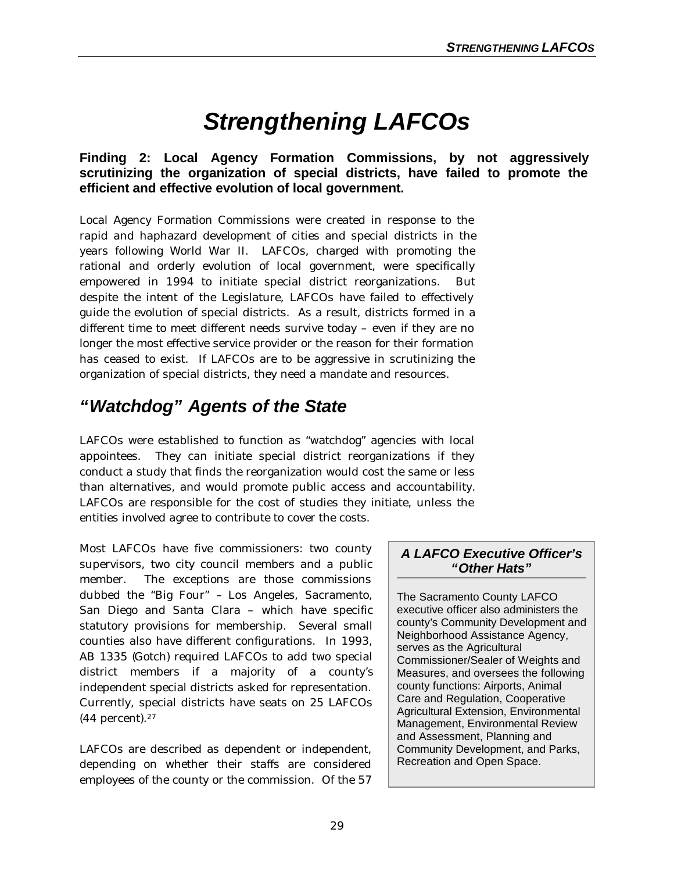# *Strengthening LAFCOs*

## **Finding 2: Local Agency Formation Commissions, by not aggressively scrutinizing the organization of special districts, have failed to promote the efficient and effective evolution of local government.**

Local Agency Formation Commissions were created in response to the rapid and haphazard development of cities and special districts in the years following World War II. LAFCOs, charged with promoting the rational and orderly evolution of local government, were specifically empowered in 1994 to initiate special district reorganizations. despite the intent of the Legislature, LAFCOs have failed to effectively guide the evolution of special districts. As a result, districts formed in a different time to meet different needs survive today – even if they are no longer the most effective service provider or the reason for their formation has ceased to exist. If LAFCOs are to be aggressive in scrutinizing the organization of special districts, they need a mandate and resources.

# *"Watchdog" Agents of the State*

LAFCOs were established to function as "watchdog" agencies with local appointees. They can initiate special district reorganizations if they conduct a study that finds the reorganization would cost the same or less than alternatives, and would promote public access and accountability. LAFCOs are responsible for the cost of studies they initiate, unless the entities involved agree to contribute to cover the costs.

Most LAFCOs have five commissioners: two county supervisors, two city council members and a public member. The exceptions are those commissions dubbed the "Big Four" – Los Angeles, Sacramento, San Diego and Santa Clara – which have specific statutory provisions for membership. Several small counties also have different configurations. In 1993, AB 1335 (Gotch) required LAFCOs to add two special district members if a majority of a county's independent special districts asked for representation. Currently, special districts have seats on 25 LAFCOs (44 percent).<sup>27</sup>

LAFCOs are described as dependent or independent, depending on whether their staffs are considered employees of the county or the commission. Of the 57

## *A LAFCO Executive Officer's "Other Hats"*

The Sacramento County LAFCO executive officer also administers the county's Community Development and Neighborhood Assistance Agency, serves as the Agricultural Commissioner/Sealer of Weights and Measures, and oversees the following county functions: Airports, Animal Care and Regulation, Cooperative Agricultural Extension, Environmental Management, Environmental Review and Assessment, Planning and Community Development, and Parks, Recreation and Open Space.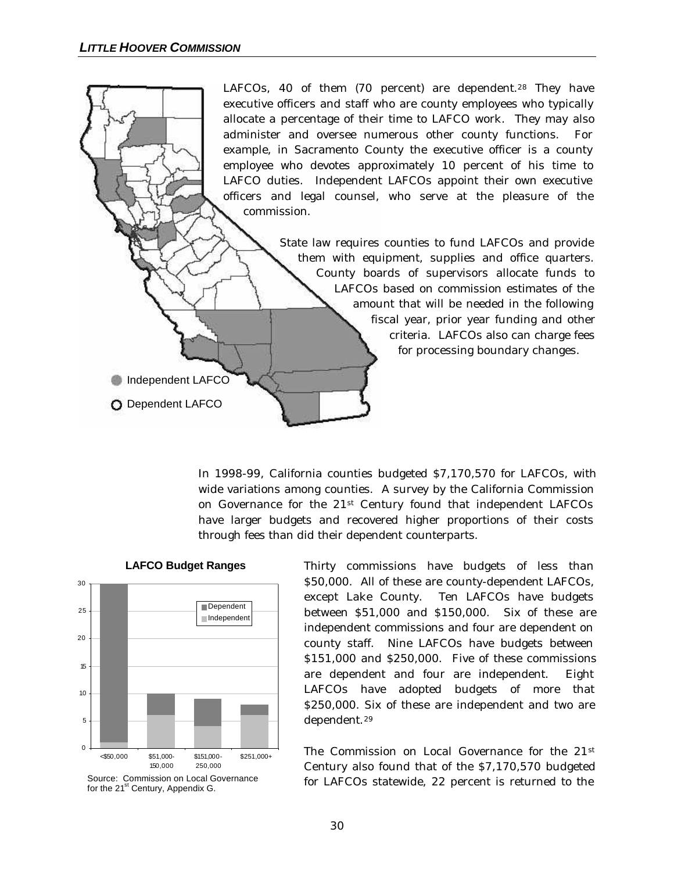LAFCOs, 40 of them (70 percent) are dependent.<sup>28</sup> They have executive officers and staff who are county employees who typically allocate a percentage of their time to LAFCO work. They may also administer and oversee numerous other county functions. For example, in Sacramento County the executive officer is a county employee who devotes approximately 10 percent of his time to LAFCO duties. Independent LAFCOs appoint their own executive officers and legal counsel, who serve at the pleasure of the commission.

> State law requires counties to fund LAFCOs and provide them with equipment, supplies and office quarters. County boards of supervisors allocate funds to LAFCOs based on commission estimates of the amount that will be needed in the following fiscal year, prior year funding and other criteria. LAFCOs also can charge fees for processing boundary changes.

In 1998-99, California counties budgeted \$7,170,570 for LAFCOs, with wide variations among counties. A survey by the California Commission on Governance for the 21st Century found that independent LAFCOs have larger budgets and recovered higher proportions of their costs through fees than did their dependent counterparts.



**LAFCO Budget Ranges**

**Independent LAFCO** 

O Dependent LAFCO

Thirty commissions have budgets of less than \$50,000. All of these are county-dependent LAFCOs, except Lake County. Ten LAFCOs have budgets between \$51,000 and \$150,000. Six of these are independent commissions and four are dependent on county staff. Nine LAFCOs have budgets between \$151,000 and \$250,000. Five of these commissions are dependent and four are independent. Eight LAFCOs have adopted budgets of more that \$250,000. Six of these are independent and two are dependent.<sup>29</sup>

The Commission on Local Governance for the 21st Century also found that of the \$7,170,570 budgeted for LAFCOs statewide, 22 percent is returned to the

Source: Commission on Local Governance for the 21<sup>st</sup> Century, Appendix G.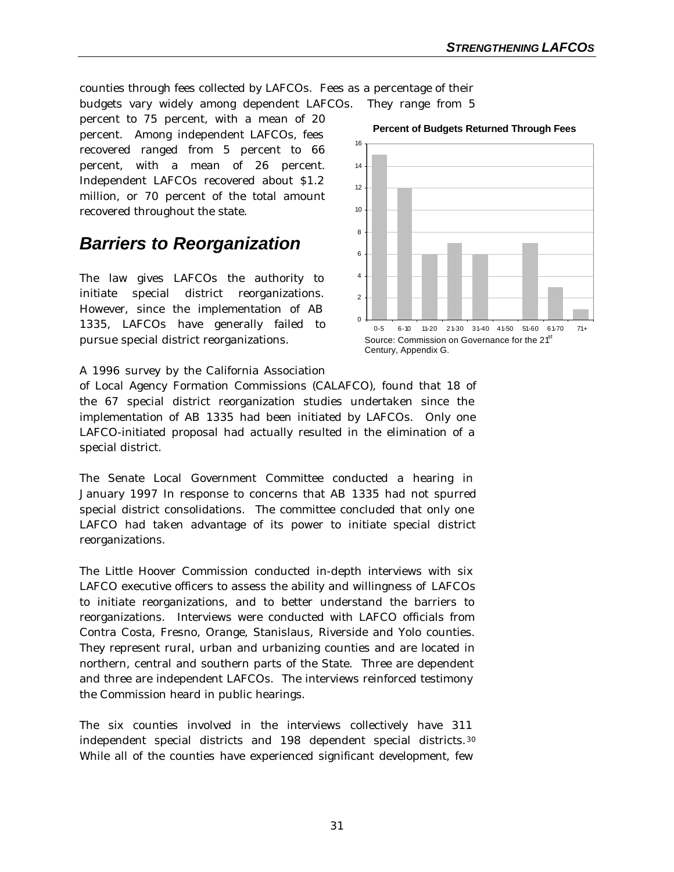counties through fees collected by LAFCOs. Fees as a percentage of their budgets vary widely among dependent LAFCOs. They range from 5

percent to 75 percent, with a mean of 20 percent. Among independent LAFCOs, fees recovered ranged from 5 percent to 66 percent, with a mean of 26 percent. Independent LAFCOs recovered about \$1.2 million, or 70 percent of the total amount recovered throughout the state.

## *Barriers to Reorganization*

The law gives LAFCOs the authority to initiate special district reorganizations. However, since the implementation of AB 1335, LAFCOs have generally failed to pursue special district reorganizations.



#### **Percent of Budgets Returned Through Fees**

A 1996 survey by the California Association

of Local Agency Formation Commissions (CALAFCO), found that 18 of the 67 special district reorganization studies undertaken since the implementation of AB 1335 had been initiated by LAFCOs. Only one LAFCO-initiated proposal had actually resulted in the elimination of a special district.

The Senate Local Government Committee conducted a hearing in January 1997 In response to concerns that AB 1335 had not spurred special district consolidations. The committee concluded that only one LAFCO had taken advantage of its power to initiate special district reorganizations.

The Little Hoover Commission conducted in-depth interviews with six LAFCO executive officers to assess the ability and willingness of LAFCOs to initiate reorganizations, and to better understand the barriers to reorganizations. Interviews were conducted with LAFCO officials from Contra Costa, Fresno, Orange, Stanislaus, Riverside and Yolo counties. They represent rural, urban and urbanizing counties and are located in northern, central and southern parts of the State. Three are dependent and three are independent LAFCOs. The interviews reinforced testimony the Commission heard in public hearings.

The six counties involved in the interviews collectively have 311 independent special districts and 198 dependent special districts.<sup>30</sup> While all of the counties have experienced significant development, few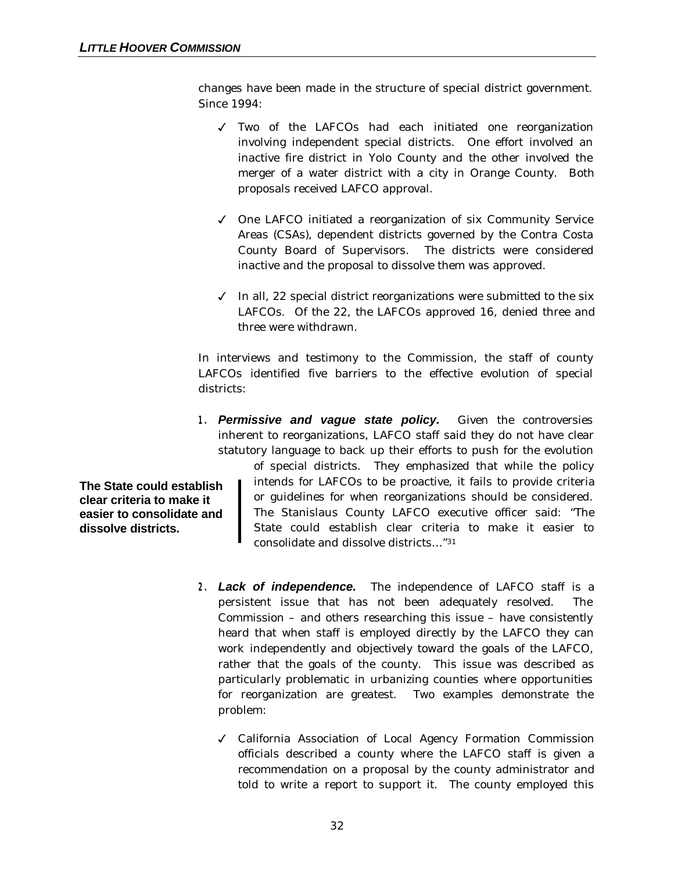changes have been made in the structure of special district government. Since 1994:

- 3 Two of the LAFCOs had each initiated one reorganization involving independent special districts. One effort involved an inactive fire district in Yolo County and the other involved the merger of a water district with a city in Orange County. Both proposals received LAFCO approval.
- 3 One LAFCO initiated a reorganization of six Community Service Areas (CSAs), dependent districts governed by the Contra Costa County Board of Supervisors. The districts were considered inactive and the proposal to dissolve them was approved.
- $J$  In all, 22 special district reorganizations were submitted to the six LAFCOs. Of the 22, the LAFCOs approved 16, denied three and three were withdrawn.

In interviews and testimony to the Commission, the staff of county LAFCOs identified five barriers to the effective evolution of special districts:

*1. Permissive and vague state policy.* Given the controversies inherent to reorganizations, LAFCO staff said they do not have clear statutory language to back up their efforts to push for the evolution

**The State could establish clear criteria to make it easier to consolidate and dissolve districts.**

of special districts. They emphasized that while the policy intends for LAFCOs to be proactive, it fails to provide criteria or guidelines for when reorganizations should be considered. The Stanislaus County LAFCO executive officer said: "The State could establish clear criteria to make it easier to consolidate and dissolve districts… "<sup>31</sup>

- *2. Lack of independence.* The independence of LAFCO staff is a persistent issue that has not been adequately resolved. The Commission – and others researching this issue – have consistently heard that when staff is employed directly by the LAFCO they can work independently and objectively toward the goals of the LAFCO, rather that the goals of the county. This issue was described as particularly problematic in urbanizing counties where opportunities for reorganization are greatest. Two examples demonstrate the problem:
	- 3 California Association of Local Agency Formation Commission officials described a county where the LAFCO staff is given a recommendation on a proposal by the county administrator and told to write a report to support it. The county employed this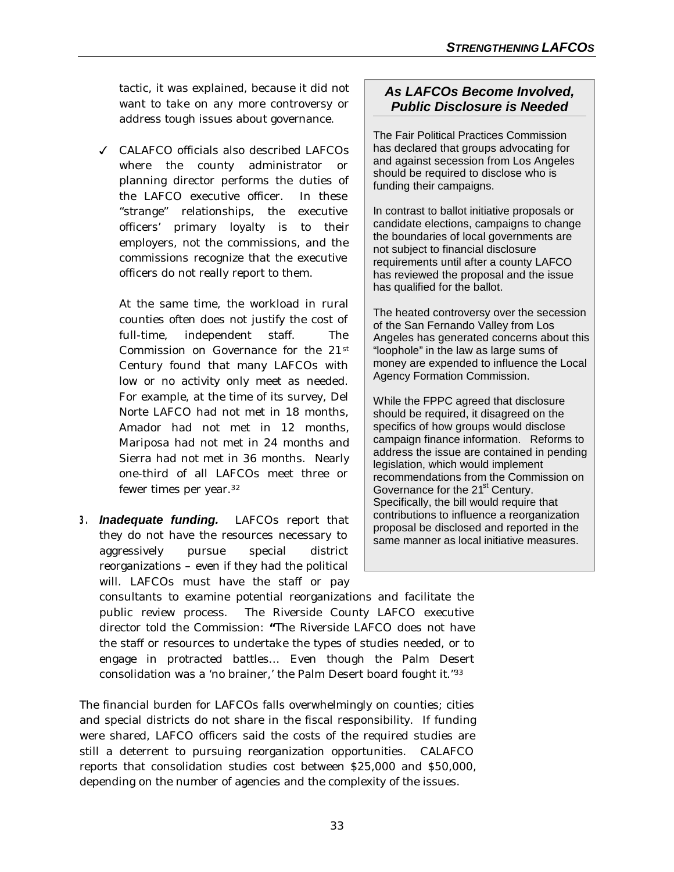tactic, it was explained, because it did not want to take on any more controversy or address tough issues about governance.

3 CALAFCO officials also described LAFCOs where the county administrator or planning director performs the duties of the LAFCO executive officer. In these "strange" relationships, the executive officers' primary loyalty is to their employers, not the commissions, and the commissions recognize that the executive officers do not really report to them.

At the same time, the workload in rural counties often does not justify the cost of full-time, independent staff. The Commission on Governance for the 21st Century found that many LAFCOs with low or no activity only meet as needed. For example, at the time of its survey, Del Norte LAFCO had not met in 18 months, Amador had not met in 12 months, Mariposa had not met in 24 months and Sierra had not met in 36 months. Nearly one-third of all LAFCOs meet three or fewer times per year.<sup>32</sup>

*3. Inadequate funding.* LAFCOs report that they do not have the resources necessary to aggressively pursue special district reorganizations – even if they had the political will. LAFCOs must have the staff or pay

## *As LAFCOs Become Involved, Public Disclosure is Needed*

The Fair Political Practices Commission has declared that groups advocating for and against secession from Los Angeles should be required to disclose who is funding their campaigns.

In contrast to ballot initiative proposals or candidate elections, campaigns to change the boundaries of local governments are not subject to financial disclosure requirements until after a county LAFCO has reviewed the proposal and the issue has qualified for the ballot.

The heated controversy over the secession of the San Fernando Valley from Los Angeles has generated concerns about this "loophole" in the law as large sums of money are expended to influence the Local Agency Formation Commission.

While the FPPC agreed that disclosure should be required, it disagreed on the specifics of how groups would disclose campaign finance information. Reforms to address the issue are contained in pending legislation, which would implement recommendations from the Commission on Governance for the 21<sup>st</sup> Century. Specifically, the bill would require that contributions to influence a reorganization proposal be disclosed and reported in the same manner as local initiative measures.

consultants to examine potential reorganizations and facilitate the public review process. The Riverside County LAFCO executive director told the Commission: **"**The Riverside LAFCO does not have the staff or resources to undertake the types of studies needed, or to engage in protracted battles… Even though the Palm Desert consolidation was a 'no brainer,' the Palm Desert board fought it."<sup>33</sup>

The financial burden for LAFCOs falls overwhelmingly on counties; cities and special districts do not share in the fiscal responsibility. If funding were shared, LAFCO officers said the costs of the required studies are still a deterrent to pursuing reorganization opportunities. CALAFCO reports that consolidation studies cost between \$25,000 and \$50,000, depending on the number of agencies and the complexity of the issues.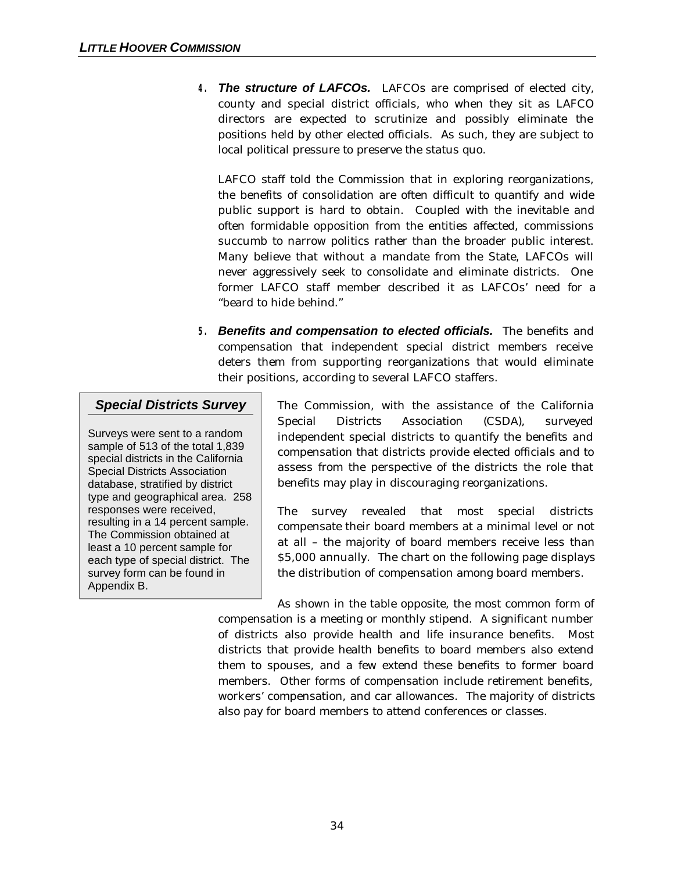*4. The structure of LAFCOs.* LAFCOs are comprised of elected city, county and special district officials, who when they sit as LAFCO directors are expected to scrutinize and possibly eliminate the positions held by other elected officials. As such, they are subject to local political pressure to preserve the status quo.

LAFCO staff told the Commission that in exploring reorganizations, the benefits of consolidation are often difficult to quantify and wide public support is hard to obtain. Coupled with the inevitable and often formidable opposition from the entities affected, commissions succumb to narrow politics rather than the broader public interest. Many believe that without a mandate from the State, LAFCOs will never aggressively seek to consolidate and eliminate districts. One former LAFCO staff member described it as LAFCOs' need for a "beard to hide behind."

*5. Benefits and compensation to elected officials.*The benefits and compensation that independent special district members receive deters them from supporting reorganizations that would eliminate their positions, according to several LAFCO staffers.

## *Special Districts Survey*

Surveys were sent to a random sample of 513 of the total 1,839 special districts in the California Special Districts Association database, stratified by district type and geographical area. 258 responses were received, resulting in a 14 percent sample. The Commission obtained at least a 10 percent sample for each type of special district. The survey form can be found in Appendix B.

The Commission, with the assistance of the California Special Districts Association (CSDA), surveyed independent special districts to quantify the benefits and compensation that districts provide elected officials and to assess from the perspective of the districts the role that benefits may play in discouraging reorganizations.

The survey revealed that most special districts compensate their board members at a minimal level or not at all – the majority of board members receive less than \$5,000 annually. The chart on the following page displays the distribution of compensation among board members.

As shown in the table opposite, the most common form of compensation is a meeting or monthly stipend. A significant number of districts also provide health and life insurance benefits. Most districts that provide health benefits to board members also extend them to spouses, and a few extend these benefits to former board members. Other forms of compensation include retirement benefits, workers' compensation, and car allowances. The majority of districts also pay for board members to attend conferences or classes.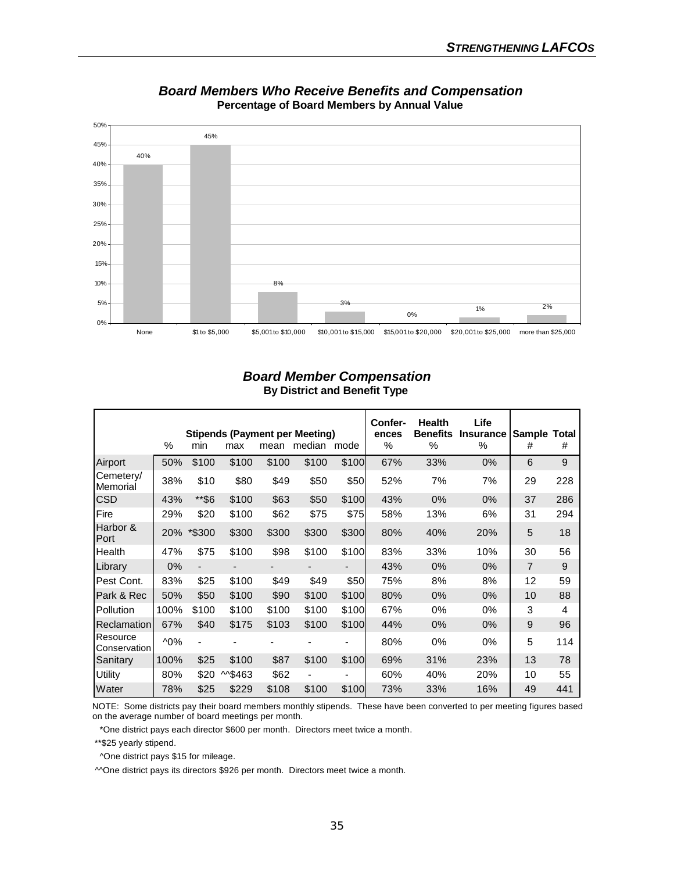

*Board Members Who Receive Benefits and Compensation* **Percentage of Board Members by Annual Value**

#### *Board Member Compensation* **By District and Benefit Type**

|                          | $\%$           | min                      | max    | mean  | <b>Stipends (Payment per Meeting)</b><br>median mode |       | Confer-<br>ences<br>% | <b>Health</b><br><b>Benefits</b><br>% | Life<br><b>Insurance</b><br>$\%$ | Sample<br>#    | Total<br># |
|--------------------------|----------------|--------------------------|--------|-------|------------------------------------------------------|-------|-----------------------|---------------------------------------|----------------------------------|----------------|------------|
| Airport                  | 50%            | \$100                    | \$100  | \$100 | \$100                                                | \$100 | 67%                   | 33%                                   | 0%                               | 6              | 9          |
| Cemetery/<br>Memorial    | 38%            | \$10                     | \$80   | \$49  | \$50                                                 | \$50  | 52%                   | 7%                                    | 7%                               | 29             | 228        |
| <b>CSD</b>               | 43%            | **\$6                    | \$100  | \$63  | \$50                                                 | \$100 | 43%                   | 0%                                    | $0\%$                            | 37             | 286        |
| Fire                     | 29%            | \$20                     | \$100  | \$62  | \$75                                                 | \$75  | 58%                   | 13%                                   | 6%                               | 31             | 294        |
| Harbor &<br>Port         | 20%            | *\$300                   | \$300  | \$300 | \$300                                                | \$300 | 80%                   | 40%                                   | 20%                              | 5              | 18         |
| Health                   | 47%            | \$75                     | \$100  | \$98  | \$100                                                | \$100 | 83%                   | 33%                                   | 10%                              | 30             | 56         |
| Library                  | 0%             | $\overline{\phantom{0}}$ |        |       |                                                      |       | 43%                   | 0%                                    | $0\%$                            | $\overline{7}$ | 9          |
| Pest Cont.               | 83%            | \$25                     | \$100  | \$49  | \$49                                                 | \$50  | 75%                   | 8%                                    | 8%                               | 12             | 59         |
| Park & Rec               | 50%            | \$50                     | \$100  | \$90  | \$100                                                | \$100 | 80%                   | 0%                                    | $0\%$                            | 10             | 88         |
| Pollution                | 100%           | \$100                    | \$100  | \$100 | \$100                                                | \$100 | 67%                   | 0%                                    | $0\%$                            | 3              | 4          |
| <b>Reclamation</b>       | 67%            | \$40                     | \$175  | \$103 | \$100                                                | \$100 | 44%                   | 0%                                    | $0\%$                            | 9              | 96         |
| Resource<br>Conservation | $^{\prime}0\%$ | -                        |        |       |                                                      |       | 80%                   | 0%                                    | $0\%$                            | 5              | 114        |
| Sanitary                 | 100%           | \$25                     | \$100  | \$87  | \$100                                                | \$100 | 69%                   | 31%                                   | 23%                              | 13             | 78         |
| <b>Utility</b>           | 80%            | \$20                     | M\$463 | \$62  |                                                      |       | 60%                   | 40%                                   | 20%                              | 10             | 55         |
| Water                    | 78%            | \$25                     | \$229  | \$108 | \$100                                                | \$100 | 73%                   | 33%                                   | 16%                              | 49             | 441        |

 NOTE: Some districts pay their board members monthly stipends. These have been converted to per meeting figures based on the average number of board meetings per month.

\*One district pays each director \$600 per month. Directors meet twice a month.

\*\*\$25 yearly stipend.

^One district pays \$15 for mileage.

^^One district pays its directors \$926 per month. Directors meet twice a month.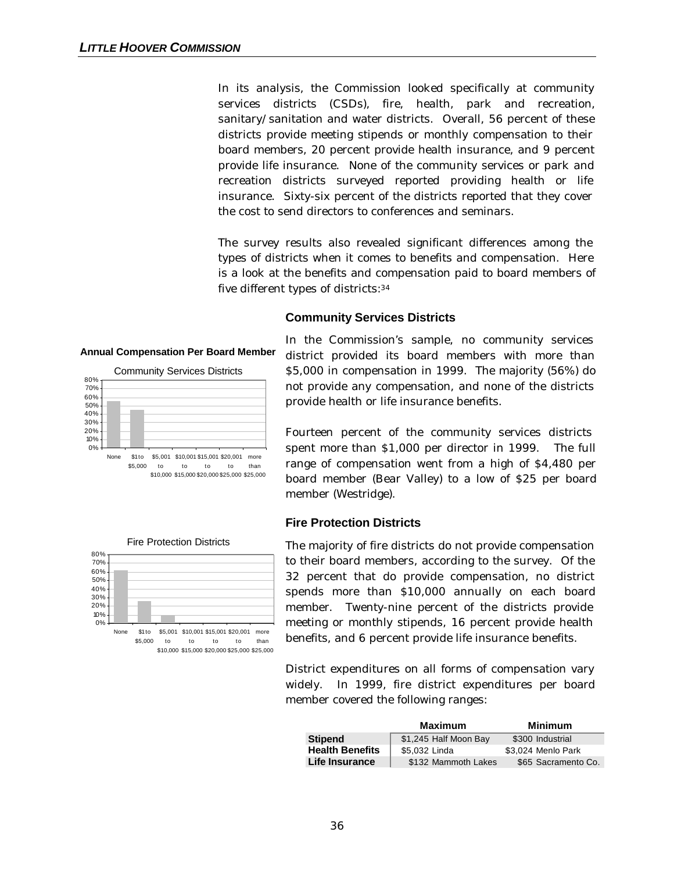In its analysis, the Commission looked specifically at community services districts (CSDs), fire, health, park and recreation, sanitary/sanitation and water districts. Overall, 56 percent of these districts provide meeting stipends or monthly compensation to their board members, 20 percent provide health insurance, and 9 percent provide life insurance. None of the community services or park and recreation districts surveyed reported providing health or life insurance. Sixty-six percent of the districts reported that they cover the cost to send directors to conferences and seminars.

The survey results also revealed significant differences among the types of districts when it comes to benefits and compensation. Here is a look at the benefits and compensation paid to board members of five different types of districts:<sup>34</sup>

#### **Community Services Districts**

#### **Annual Compensation Per Board Member**





In the Commission's sample, no community services district provided its board members with more than \$5,000 in compensation in 1999. The majority (56%) do not provide any compensation, and none of the districts provide health or life insurance benefits.

Fourteen percent of the community services districts spent more than \$1,000 per director in 1999. The full range of compensation went from a high of \$4,480 per board member (Bear Valley) to a low of \$25 per board member (Westridge).

#### **Fire Protection Districts**

The majority of fire districts do not provide compensation to their board members, according to the survey. Of the 32 percent that do provide compensation, no district spends more than \$10,000 annually on each board member. Twenty-nine percent of the districts provide meeting or monthly stipends, 16 percent provide health benefits, and 6 percent provide life insurance benefits.

District expenditures on all forms of compensation vary widely. In 1999, fire district expenditures per board member covered the following ranges:

|                        | <b>Maximum</b>        | Minimum             |
|------------------------|-----------------------|---------------------|
| <b>Stipend</b>         | \$1,245 Half Moon Bay | \$300 Industrial    |
| <b>Health Benefits</b> | \$5.032 Linda         | \$3.024 Menlo Park  |
| Life Insurance         | \$132 Mammoth Lakes   | \$65 Sacramento Co. |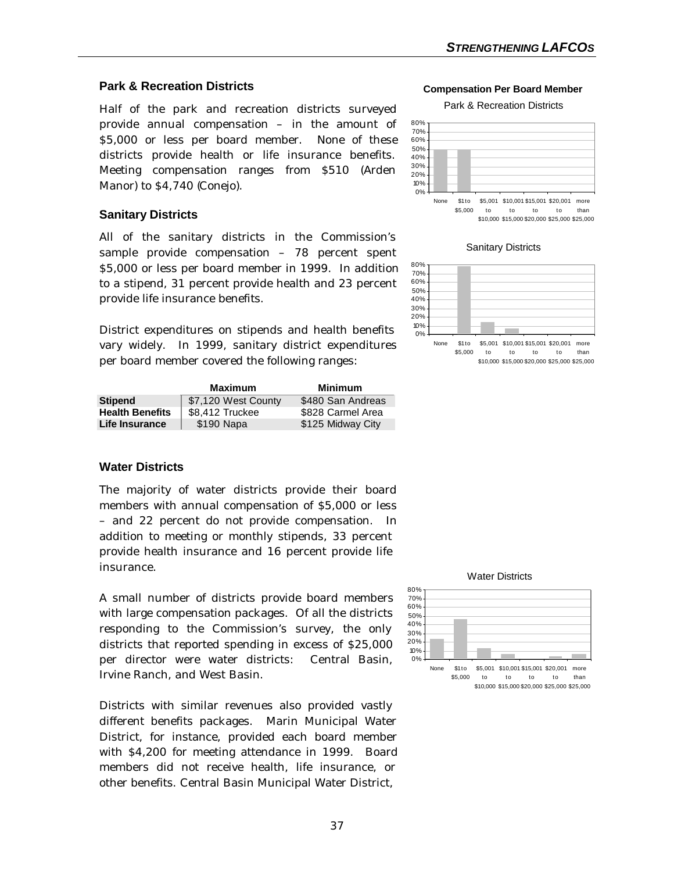### **Park & Recreation Districts**

Half of the park and recreation districts surveyed provide annual compensation – in the amount of \$5,000 or less per board member. None of these districts provide health or life insurance benefits. Meeting compensation ranges from \$510 (Arden Manor) to \$4,740 (Conejo).

#### **Sanitary Districts**

All of the sanitary districts in the Commission's sample provide compensation – 78 percent spent \$5,000 or less per board member in 1999. In addition to a stipend, 31 percent provide health and 23 percent provide life insurance benefits.

District expenditures on stipends and health benefits vary widely. In 1999, sanitary district expenditures per board member covered the following ranges:

|                        | Maximum             | <b>Minimum</b>    |
|------------------------|---------------------|-------------------|
| <b>Stipend</b>         | \$7,120 West County | \$480 San Andreas |
| <b>Health Benefits</b> | \$8,412 Truckee     | \$828 Carmel Area |
| Life Insurance         | \$190 Napa          | \$125 Midway City |

### **Water Districts**

The majority of water districts provide their board members with annual compensation of \$5,000 or less – and 22 percent do not provide compensation. In addition to meeting or monthly stipends, 33 percent provide health insurance and 16 percent provide life insurance.

A small number of districts provide board members with large compensation packages. Of all the districts responding to the Commission's survey, the only districts that reported spending in excess of \$25,000 per director were water districts: Central Basin, Irvine Ranch, and West Basin.

Districts with similar revenues also provided vastly different benefits packages. Marin Municipal Water District, for instance, provided each board member with \$4,200 for meeting attendance in 1999. Board members did not receive health, life insurance, or other benefits. Central Basin Municipal Water District,

**Compensation Per Board Member**

Park & Recreation Districts





Sanitary Districts







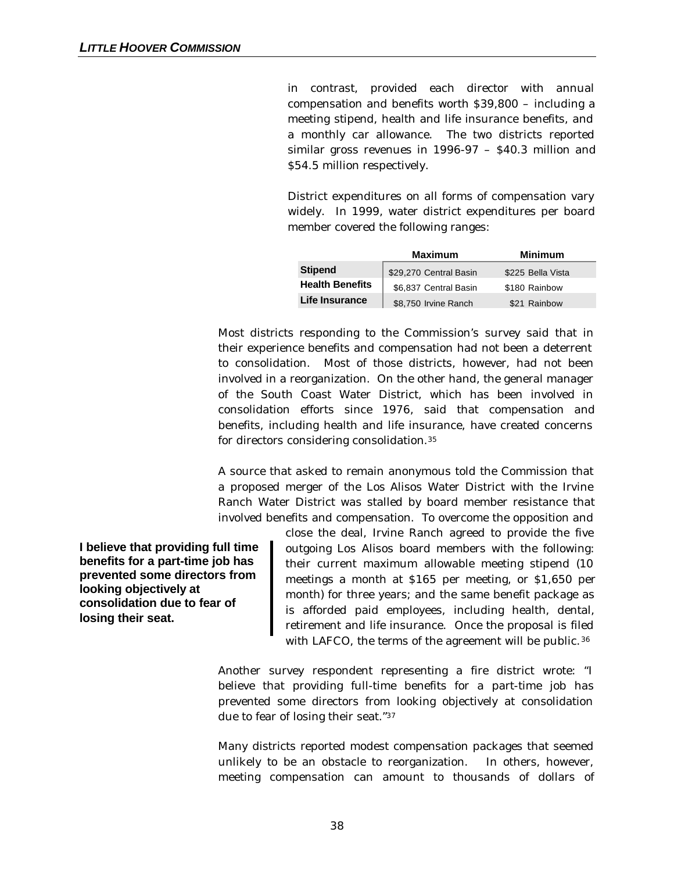in contrast, provided each director with annual compensation and benefits worth \$39,800 – including a meeting stipend, health and life insurance benefits, and a monthly car allowance. The two districts reported similar gross revenues in 1996-97 – \$40.3 million and \$54.5 million respectively.

District expenditures on all forms of compensation vary widely. In 1999, water district expenditures per board member covered the following ranges:

|                        | <b>Maximum</b>         | <b>Minimum</b>    |
|------------------------|------------------------|-------------------|
| <b>Stipend</b>         | \$29,270 Central Basin | \$225 Bella Vista |
| <b>Health Benefits</b> | \$6,837 Central Basin  | \$180 Rainbow     |
| Life Insurance         | \$8,750 Irvine Ranch   | \$21 Rainbow      |

Most districts responding to the Commission's survey said that in their experience benefits and compensation had not been a deterrent to consolidation. Most of those districts, however, had not been involved in a reorganization. On the other hand, the general manager of the South Coast Water District, which has been involved in consolidation efforts since 1976, said that compensation and benefits, including health and life insurance, have created concerns for directors considering consolidation.<sup>35</sup>

A source that asked to remain anonymous told the Commission that a proposed merger of the Los Alisos Water District with the Irvine Ranch Water District was stalled by board member resistance that involved benefits and compensation. To overcome the opposition and

**I believe that providing full time benefits for a part-time job has prevented some directors from looking objectively at consolidation due to fear of losing their seat.**

close the deal, Irvine Ranch agreed to provide the five outgoing Los Alisos board members with the following: their current maximum allowable meeting stipend (10 meetings a month at \$165 per meeting, or \$1,650 per month) for three years; and the same benefit package as is afforded paid employees, including health, dental, retirement and life insurance. Once the proposal is filed with LAFCO, the terms of the agreement will be public.<sup>36</sup>

Another survey respondent representing a fire district wrote: "I believe that providing full-time benefits for a part-time job has prevented some directors from looking objectively at consolidation due to fear of losing their seat."<sup>37</sup>

Many districts reported modest compensation packages that seemed unlikely to be an obstacle to reorganization. In others, however, meeting compensation can amount to thousands of dollars of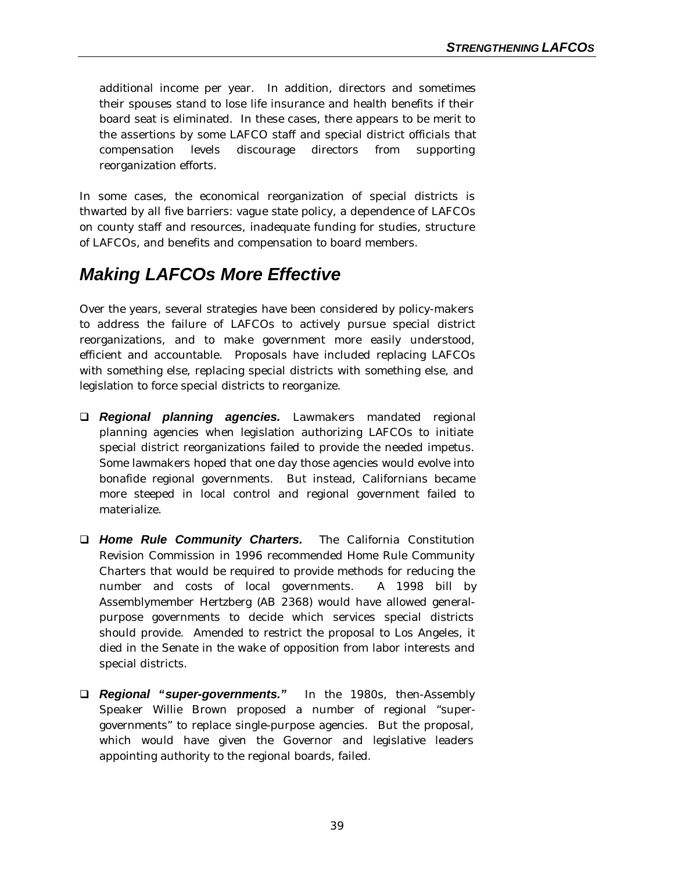additional income per year. In addition, directors and sometimes their spouses stand to lose life insurance and health benefits if their board seat is eliminated. In these cases, there appears to be merit to the assertions by some LAFCO staff and special district officials that compensation levels discourage directors from supporting reorganization efforts.

In some cases, the economical reorganization of special districts is thwarted by all five barriers: vague state policy, a dependence of LAFCOs on county staff and resources, inadequate funding for studies, structure of LAFCOs, and benefits and compensation to board members.

## *Making LAFCOs More Effective*

Over the years, several strategies have been considered by policy-makers to address the failure of LAFCOs to actively pursue special district reorganizations, and to make government more easily understood, efficient and accountable. Proposals have included replacing LAFCOs with something else, replacing special districts with something else, and legislation to force special districts to reorganize.

- q *Regional planning agencies.* Lawmakers mandated regional planning agencies when legislation authorizing LAFCOs to initiate special district reorganizations failed to provide the needed impetus. Some lawmakers hoped that one day those agencies would evolve into bonafide regional governments. But instead, Californians became more steeped in local control and regional government failed to materialize.
- q *Home Rule Community Charters.* The California Constitution Revision Commission in 1996 recommended Home Rule Community Charters that would be required to provide methods for reducing the number and costs of local governments. A 1998 bill by Assemblymember Hertzberg (AB 2368) would have allowed generalpurpose governments to decide which services special districts should provide. Amended to restrict the proposal to Los Angeles, it died in the Senate in the wake of opposition from labor interests and special districts.
- q *Regional "super-governments."* In the 1980s, then-Assembly Speaker Willie Brown proposed a number of regional "supergovernments" to replace single-purpose agencies. But the proposal, which would have given the Governor and legislative leaders appointing authority to the regional boards, failed.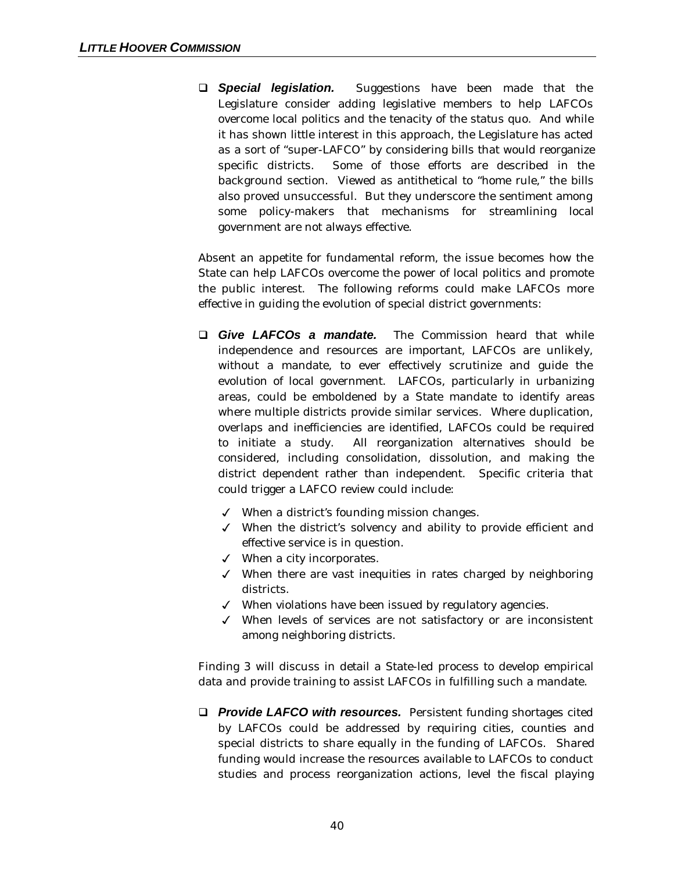**Q Special legislation.** Suggestions have been made that the Legislature consider adding legislative members to help LAFCOs overcome local politics and the tenacity of the status quo. And while it has shown little interest in this approach, the Legislature has acted as a sort of "super-LAFCO" by considering bills that would reorganize specific districts. Some of those efforts are described in the background section. Viewed as antithetical to "home rule," the bills also proved unsuccessful. But they underscore the sentiment among some policy-makers that mechanisms for streamlining local government are not always effective.

Absent an appetite for fundamental reform, the issue becomes how the State can help LAFCOs overcome the power of local politics and promote the public interest. The following reforms could make LAFCOs more effective in guiding the evolution of special district governments:

- **Q** *Give LAFCOs a mandate.* The Commission heard that while independence and resources are important, LAFCOs are unlikely, without a mandate, to ever effectively scrutinize and guide the evolution of local government. LAFCOs, particularly in urbanizing areas, could be emboldened by a State mandate to identify areas where multiple districts provide similar services. Where duplication, overlaps and inefficiencies are identified, LAFCOs could be required to initiate a study. All reorganization alternatives should be considered, including consolidation, dissolution, and making the district dependent rather than independent. Specific criteria that could trigger a LAFCO review could include:
	- $\checkmark$  When a district's founding mission changes.
	- $\checkmark$  When the district's solvency and ability to provide efficient and effective service is in question.
	- $\checkmark$  When a city incorporates.
	- $\checkmark$  When there are vast inequities in rates charged by neighboring districts.
	- $\checkmark$  When violations have been issued by regulatory agencies.
	- $\checkmark$  When levels of services are not satisfactory or are inconsistent among neighboring districts.

Finding 3 will discuss in detail a State-led process to develop empirical data and provide training to assist LAFCOs in fulfilling such a mandate.

□ **Provide LAFCO with resources.** Persistent funding shortages cited by LAFCOs could be addressed by requiring cities, counties and special districts to share equally in the funding of LAFCOs. Shared funding would increase the resources available to LAFCOs to conduct studies and process reorganization actions, level the fiscal playing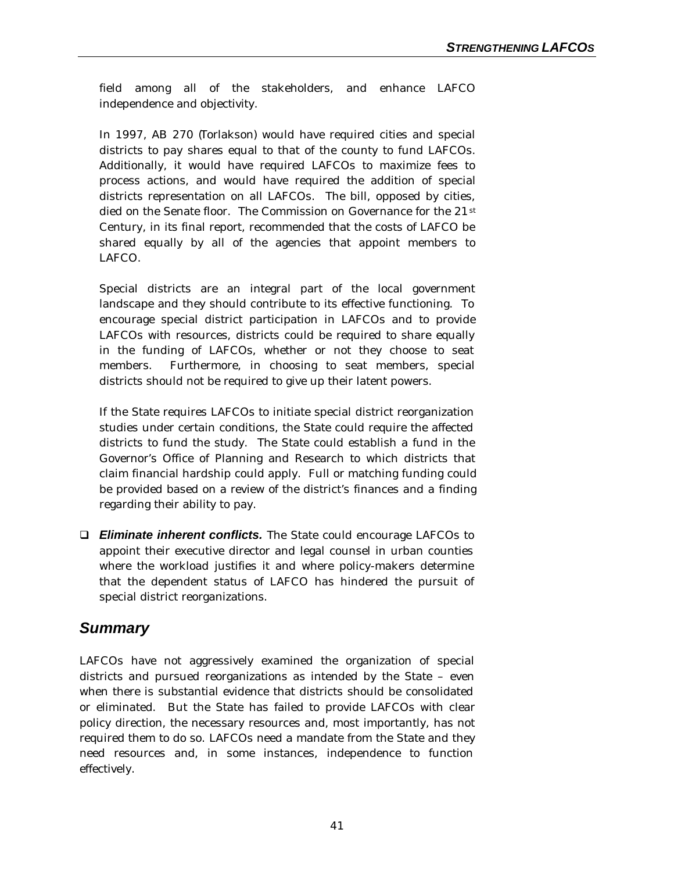field among all of the stakeholders, and enhance LAFCO independence and objectivity.

In 1997, AB 270 (Torlakson) would have required cities and special districts to pay shares equal to that of the county to fund LAFCOs. Additionally, it would have required LAFCOs to maximize fees to process actions, and would have required the addition of special districts representation on all LAFCOs. The bill, opposed by cities, died on the Senate floor. The Commission on Governance for the 21<sup>st</sup> Century, in its final report, recommended that the costs of LAFCO be shared equally by all of the agencies that appoint members to LAFCO.

Special districts are an integral part of the local government landscape and they should contribute to its effective functioning. To encourage special district participation in LAFCOs and to provide LAFCOs with resources, districts could be required to share equally in the funding of LAFCOs, whether or not they choose to seat members. Furthermore, in choosing to seat members, special districts should not be required to give up their latent powers.

If the State requires LAFCOs to initiate special district reorganization studies under certain conditions, the State could require the affected districts to fund the study. The State could establish a fund in the Governor's Office of Planning and Research to which districts that claim financial hardship could apply. Full or matching funding could be provided based on a review of the district's finances and a finding regarding their ability to pay.

□ *Eliminate inherent conflicts.* The State could encourage LAFCOs to appoint their executive director and legal counsel in urban counties where the workload justifies it and where policy-makers determine that the dependent status of LAFCO has hindered the pursuit of special district reorganizations.

## *Summary*

LAFCOs have not aggressively examined the organization of special districts and pursued reorganizations as intended by the State – even when there is substantial evidence that districts should be consolidated or eliminated. But the State has failed to provide LAFCOs with clear policy direction, the necessary resources and, most importantly, has not required them to do so. LAFCOs need a mandate from the State and they need resources and, in some instances, independence to function effectively.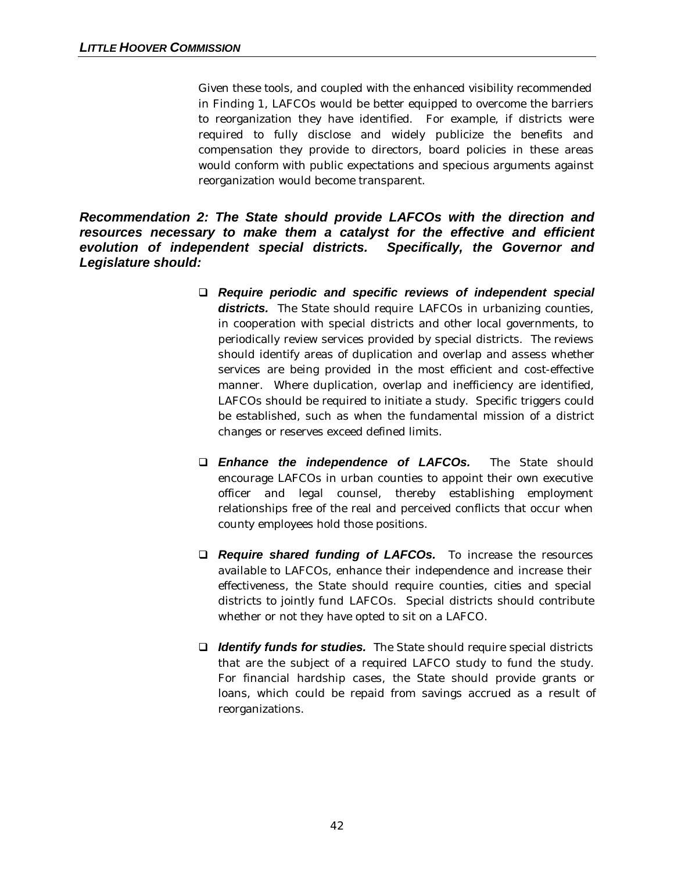Given these tools, and coupled with the enhanced visibility recommended in Finding 1, LAFCOs would be better equipped to overcome the barriers to reorganization they have identified. For example, if districts were required to fully disclose and widely publicize the benefits and compensation they provide to directors, board policies in these areas would conform with public expectations and specious arguments against reorganization would become transparent.

*Recommendation 2: The State should provide LAFCOs with the direction and resources necessary to make them a catalyst for the effective and efficient evolution of independent special districts. Specifically, the Governor and Legislature should:*

- q *Require periodic and specific reviews of independent special* **districts.** The State should require LAFCOs in urbanizing counties, in cooperation with special districts and other local governments, to periodically review services provided by special districts. The reviews should identify areas of duplication and overlap and assess whether services are being provided in the most efficient and cost-effective manner. Where duplication, overlap and inefficiency are identified, LAFCOs should be required to initiate a study. Specific triggers could be established, such as when the fundamental mission of a district changes or reserves exceed defined limits.
- q *Enhance the independence of LAFCOs.* The State should encourage LAFCOs in urban counties to appoint their own executive officer and legal counsel, thereby establishing employment relationships free of the real and perceived conflicts that occur when county employees hold those positions.
- q *Require shared funding of LAFCOs.* To increase the resources available to LAFCOs, enhance their independence and increase their effectiveness, the State should require counties, cities and special districts to jointly fund LAFCOs. Special districts should contribute whether or not they have opted to sit on a LAFCO.
- □ *Identify funds for studies.* The State should require special districts that are the subject of a required LAFCO study to fund the study. For financial hardship cases, the State should provide grants or loans, which could be repaid from savings accrued as a result of reorganizations.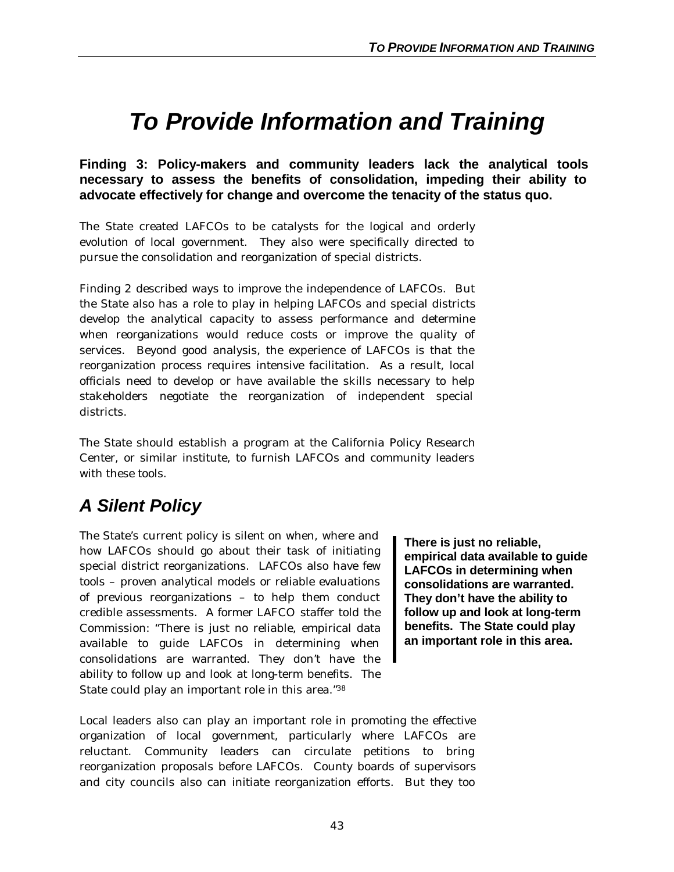# *To Provide Information and Training*

**Finding 3: Policy-makers and community leaders lack the analytical tools necessary to assess the benefits of consolidation, impeding their ability to advocate effectively for change and overcome the tenacity of the status quo.**

The State created LAFCOs to be catalysts for the logical and orderly evolution of local government. They also were specifically directed to pursue the consolidation and reorganization of special districts.

Finding 2 described ways to improve the independence of LAFCOs. But the State also has a role to play in helping LAFCOs and special districts develop the analytical capacity to assess performance and determine when reorganizations would reduce costs or improve the quality of services. Beyond good analysis, the experience of LAFCOs is that the reorganization process requires intensive facilitation. As a result, local officials need to develop or have available the skills necessary to help stakeholders negotiate the reorganization of independent special districts.

The State should establish a program at the California Policy Research Center, or similar institute, to furnish LAFCOs and community leaders with these tools.

# *A Silent Policy*

The State's current policy is silent on when, where and how LAFCOs should go about their task of initiating special district reorganizations. LAFCOs also have few tools – proven analytical models or reliable evaluations of previous reorganizations – to help them conduct credible assessments. A former LAFCO staffer told the Commission: "There is just no reliable, empirical data available to guide LAFCOs in determining when consolidations are warranted. They don't have the ability to follow up and look at long-term benefits. The State could play an important role in this area."<sup>38</sup>

**There is just no reliable, empirical data available to guide LAFCOs in determining when consolidations are warranted. They don't have the ability to follow up and look at long-term benefits. The State could play an important role in this area.**

Local leaders also can play an important role in promoting the effective organization of local government, particularly where LAFCOs are reluctant. Community leaders can circulate petitions to bring reorganization proposals before LAFCOs. County boards of supervisors and city councils also can initiate reorganization efforts. But they too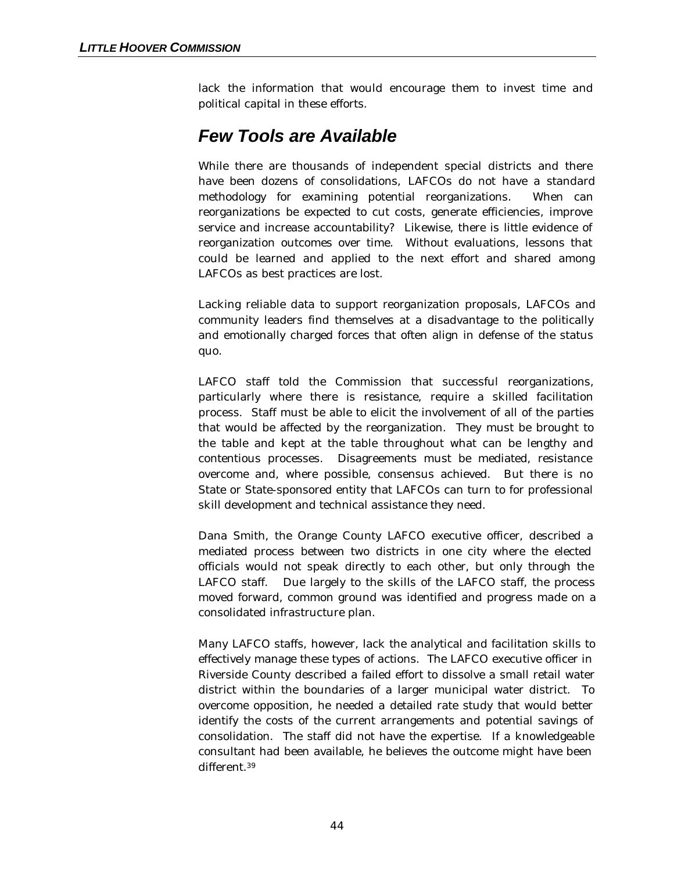lack the information that would encourage them to invest time and political capital in these efforts.

## *Few Tools are Available*

While there are thousands of independent special districts and there have been dozens of consolidations, LAFCOs do not have a standard methodology for examining potential reorganizations. When can reorganizations be expected to cut costs, generate efficiencies, improve service and increase accountability? Likewise, there is little evidence of reorganization outcomes over time. Without evaluations, lessons that could be learned and applied to the next effort and shared among LAFCOs as best practices are lost.

Lacking reliable data to support reorganization proposals, LAFCOs and community leaders find themselves at a disadvantage to the politically and emotionally charged forces that often align in defense of the status quo.

LAFCO staff told the Commission that successful reorganizations, particularly where there is resistance, require a skilled facilitation process. Staff must be able to elicit the involvement of all of the parties that would be affected by the reorganization. They must be brought to the table and kept at the table throughout what can be lengthy and contentious processes. Disagreements must be mediated, resistance overcome and, where possible, consensus achieved. But there is no State or State-sponsored entity that LAFCOs can turn to for professional skill development and technical assistance they need.

Dana Smith, the Orange County LAFCO executive officer, described a mediated process between two districts in one city where the elected officials would not speak directly to each other, but only through the LAFCO staff. Due largely to the skills of the LAFCO staff, the process moved forward, common ground was identified and progress made on a consolidated infrastructure plan.

Many LAFCO staffs, however, lack the analytical and facilitation skills to effectively manage these types of actions. The LAFCO executive officer in Riverside County described a failed effort to dissolve a small retail water district within the boundaries of a larger municipal water district. To overcome opposition, he needed a detailed rate study that would better identify the costs of the current arrangements and potential savings of consolidation. The staff did not have the expertise. If a knowledgeable consultant had been available, he believes the outcome might have been different.39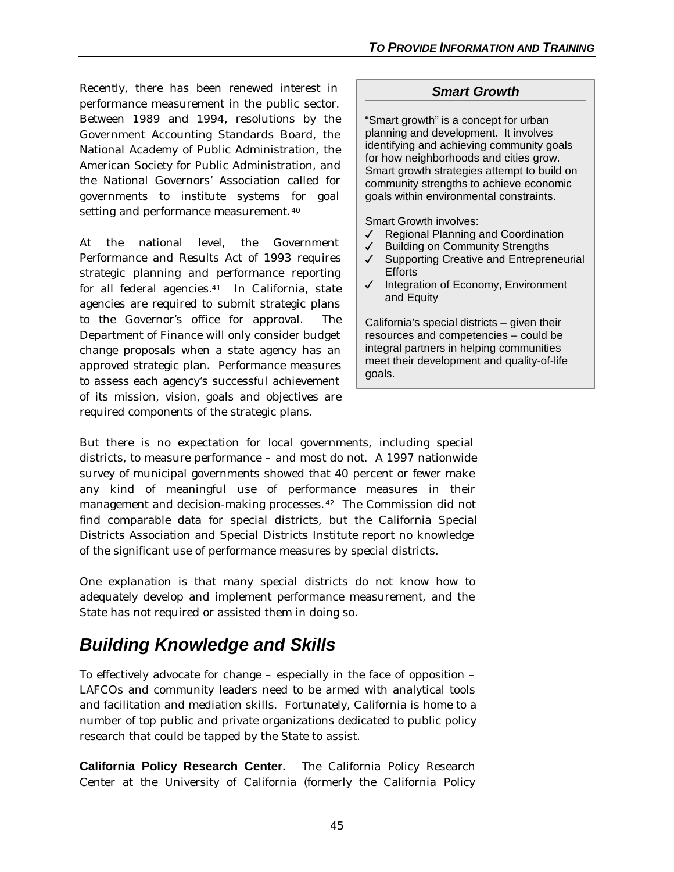Recently, there has been renewed interest in performance measurement in the public sector. Between 1989 and 1994, resolutions by the Government Accounting Standards Board, the National Academy of Public Administration, the American Society for Public Administration, and the National Governors' Association called for governments to institute systems for goal setting and performance measurement.<sup>40</sup>

At the national level, the Government Performance and Results Act of 1993 requires strategic planning and performance reporting for all federal agencies.41 In California, state agencies are required to submit strategic plans to the Governor's office for approval. The Department of Finance will only consider budget change proposals when a state agency has an approved strategic plan. Performance measures to assess each agency's successful achievement of its mission, vision, goals and objectives are required components of the strategic plans.

## *Smart Growth*

"Smart growth" is a concept for urban planning and development. It involves identifying and achieving community goals for how neighborhoods and cities grow. Smart growth strategies attempt to build on community strengths to achieve economic goals within environmental constraints.

Smart Growth involves:

- $\sqrt{ }$  Regional Planning and Coordination
- $\sqrt{\phantom{a}}$  Building on Community Strengths
- √ Supporting Creative and Entrepreneurial **Efforts**
- 3 Integration of Economy, Environment and Equity

California's special districts – given their resources and competencies – could be integral partners in helping communities meet their development and quality-of-life goals.

But there is no expectation for local governments, including special districts, to measure performance – and most do not. A 1997 nationwide survey of municipal governments showed that 40 percent or fewer make any kind of meaningful use of performance measures in their management and decision-making processes.42 The Commission did not find comparable data for special districts, but the California Special Districts Association and Special Districts Institute report no knowledge of the significant use of performance measures by special districts.

One explanation is that many special districts do not know how to adequately develop and implement performance measurement, and the State has not required or assisted them in doing so.

# *Building Knowledge and Skills*

To effectively advocate for change – especially in the face of opposition – LAFCOs and community leaders need to be armed with analytical tools and facilitation and mediation skills. Fortunately, California is home to a number of top public and private organizations dedicated to public policy research that could be tapped by the State to assist.

**California Policy Research Center.** The California Policy Research Center at the University of California (formerly the California Policy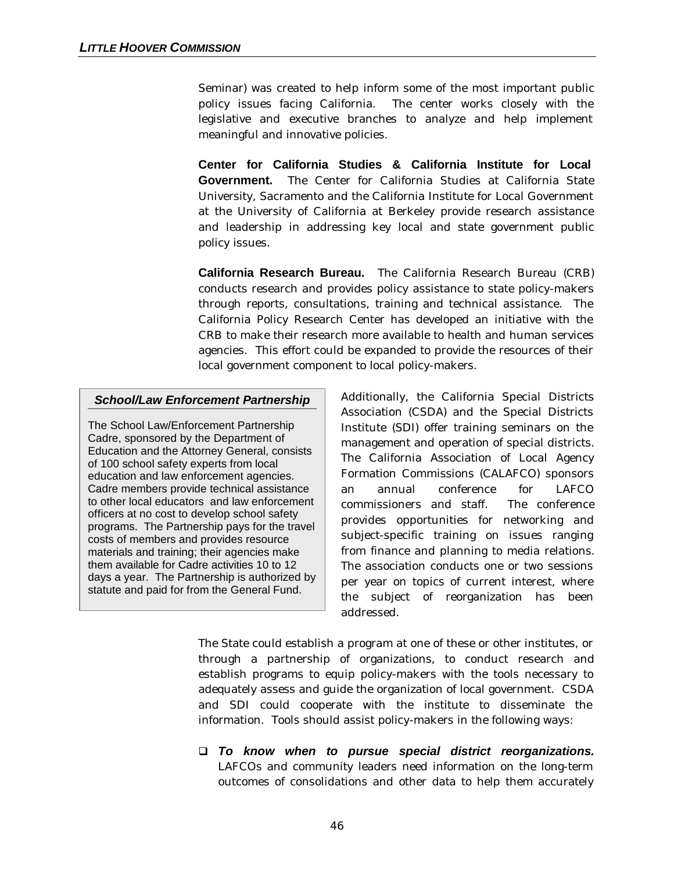Seminar) was created to help inform some of the most important public policy issues facing California. The center works closely with the legislative and executive branches to analyze and help implement meaningful and innovative policies.

**Center for California Studies & California Institute for Local Government.** The Center for California Studies at California State University, Sacramento and the California Institute for Local Government at the University of California at Berkeley provide research assistance and leadership in addressing key local and state government public policy issues.

**California Research Bureau.** The California Research Bureau (CRB) conducts research and provides policy assistance to state policy-makers through reports, consultations, training and technical assistance. The California Policy Research Center has developed an initiative with the CRB to make their research more available to health and human services agencies. This effort could be expanded to provide the resources of their local government component to local policy-makers.

#### *School/Law Enforcement Partnership*

The School Law/Enforcement Partnership Cadre, sponsored by the Department of Education and the Attorney General, consists of 100 school safety experts from local education and law enforcement agencies. Cadre members provide technical assistance to other local educators and law enforcement officers at no cost to develop school safety programs. The Partnership pays for the travel costs of members and provides resource materials and training; their agencies make them available for Cadre activities 10 to 12 days a year. The Partnership is authorized by statute and paid for from the General Fund.

Additionally, the California Special Districts Association (CSDA) and the Special Districts Institute (SDI) offer training seminars on the management and operation of special districts. The California Association of Local Agency Formation Commissions (CALAFCO) sponsors an annual conference for LAFCO commissioners and staff. The conference provides opportunities for networking and subject-specific training on issues ranging from finance and planning to media relations. The association conducts one or two sessions per year on topics of current interest, where the subject of reorganization has been addressed.

The State could establish a program at one of these or other institutes, or through a partnership of organizations, to conduct research and establish programs to equip policy-makers with the tools necessary to adequately assess and guide the organization of local government. CSDA and SDI could cooperate with the institute to disseminate the information. Tools should assist policy-makers in the following ways:

q *To know when to pursue special district reorganizations.* LAFCOs and community leaders need information on the long-term outcomes of consolidations and other data to help them accurately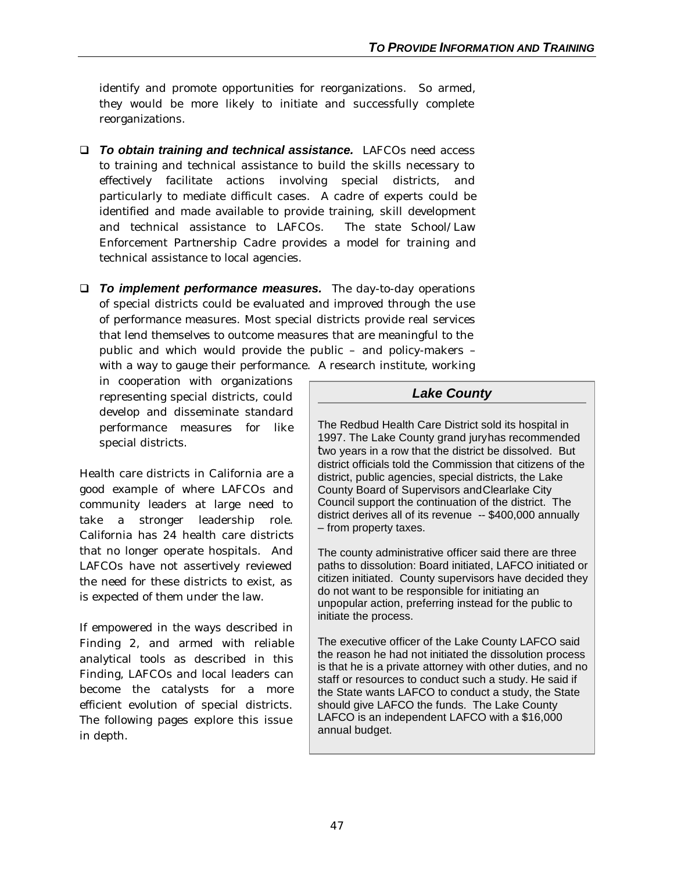identify and promote opportunities for reorganizations. So armed, they would be more likely to initiate and successfully complete reorganizations.

- q *To obtain training and technical assistance.*LAFCOs need access to training and technical assistance to build the skills necessary to effectively facilitate actions involving special districts, and particularly to mediate difficult cases. A cadre of experts could be identified and made available to provide training, skill development and technical assistance to LAFCOs. The state School/Law Enforcement Partnership Cadre provides a model for training and technical assistance to local agencies.
- q *To implement performance measures.* The day-to-day operations of special districts could be evaluated and improved through the use of performance measures. Most special districts provide real services that lend themselves to outcome measures that are meaningful to the public and which would provide the public – and policy-makers – with a way to gauge their performance. A research institute, working

in cooperation with organizations representing special districts, could develop and disseminate standard performance measures for like special districts.

Health care districts in California are a good example of where LAFCOs and community leaders at large need to take a stronger leadership role. California has 24 health care districts that no longer operate hospitals. And LAFCOs have not assertively reviewed the need for these districts to exist, as is expected of them under the law.

If empowered in the ways described in Finding 2, and armed with reliable analytical tools as described in this Finding, LAFCOs and local leaders can become the catalysts for a more efficient evolution of special districts. The following pages explore this issue in depth.

## *Lake County*

The Redbud Health Care District sold its hospital in 1997. The Lake County grand juryhas recommended two years in a row that the district be dissolved. But district officials told the Commission that citizens of the district, public agencies, special districts, the Lake County Board of Supervisors and Clearlake City Council support the continuation of the district. The district derives all of its revenue -- \$400,000 annually – from property taxes.

The county administrative officer said there are three paths to dissolution: Board initiated, LAFCO initiated or citizen initiated. County supervisors have decided they do not want to be responsible for initiating an unpopular action, preferring instead for the public to initiate the process.

The executive officer of the Lake County LAFCO said the reason he had not initiated the dissolution process is that he is a private attorney with other duties, and no staff or resources to conduct such a study. He said if the State wants LAFCO to conduct a study, the State should give LAFCO the funds. The Lake County LAFCO is an independent LAFCO with a \$16,000 annual budget.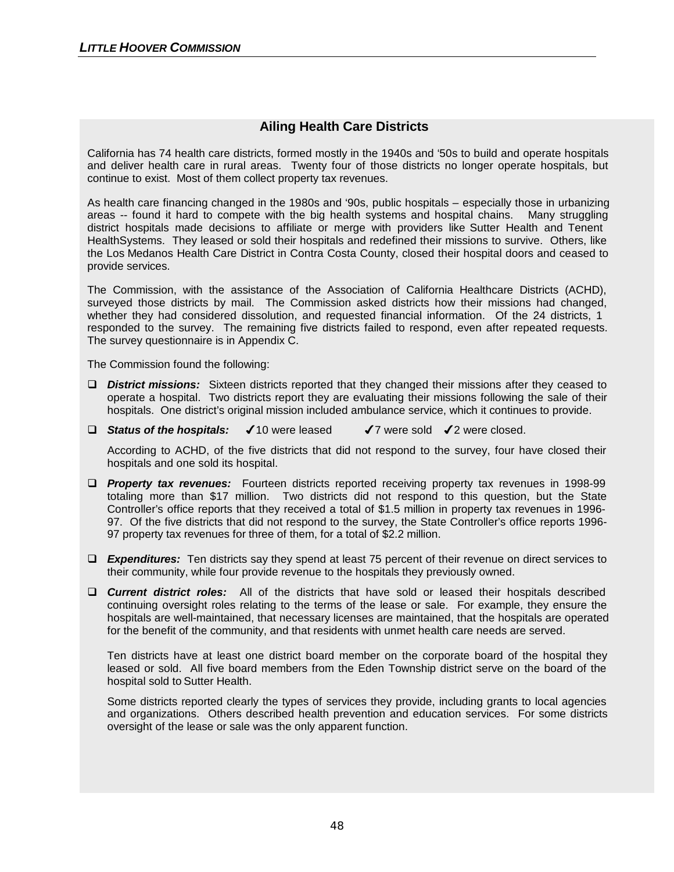## **Ailing Health Care Districts**

California has 74 health care districts, formed mostly in the 1940s and '50s to build and operate hospitals and deliver health care in rural areas. Twenty four of those districts no longer operate hospitals, but continue to exist. Most of them collect property tax revenues.

As health care financing changed in the 1980s and '90s, public hospitals – especially those in urbanizing areas -- found it hard to compete with the big health systems and hospital chains. Many struggling district hospitals made decisions to affiliate or merge with providers like Sutter Health and Tenent HealthSystems. They leased or sold their hospitals and redefined their missions to survive. Others, like the Los Medanos Health Care District in Contra Costa County, closed their hospital doors and ceased to provide services.

The Commission, with the assistance of the Association of California Healthcare Districts (ACHD), surveyed those districts by mail. The Commission asked districts how their missions had changed, whether they had considered dissolution, and requested financial information. Of the 24 districts, 1 responded to the survey. The remaining five districts failed to respond, even after repeated requests. The survey questionnaire is in Appendix C.

The Commission found the following:

- □ **District missions:** Sixteen districts reported that they changed their missions after they ceased to operate a hospital. Two districts report they are evaluating their missions following the sale of their hospitals. One district's original mission included ambulance service, which it continues to provide.
- □ Status of the hospitals: √ 10 were leased √ 7 were sold √ 2 were closed.

According to ACHD, of the five districts that did not respond to the survey, four have closed their hospitals and one sold its hospital.

- **D** *Property tax revenues:* Fourteen districts reported receiving property tax revenues in 1998-99 totaling more than \$17 million. Two districts did not respond to this question, but the State Controller's office reports that they received a total of \$1.5 million in property tax revenues in 1996- 97. Of the five districts that did not respond to the survey, the State Controller's office reports 1996- 97 property tax revenues for three of them, for a total of \$2.2 million.
- **Expenditures:** Ten districts say they spend at least 75 percent of their revenue on direct services to their community, while four provide revenue to the hospitals they previously owned.
- **Current district roles:** All of the districts that have sold or leased their hospitals described continuing oversight roles relating to the terms of the lease or sale. For example, they ensure the hospitals are well-maintained, that necessary licenses are maintained, that the hospitals are operated for the benefit of the community, and that residents with unmet health care needs are served.

Ten districts have at least one district board member on the corporate board of the hospital they leased or sold. All five board members from the Eden Township district serve on the board of the hospital sold to Sutter Health.

Some districts reported clearly the types of services they provide, including grants to local agencies and organizations. Others described health prevention and education services. For some districts oversight of the lease or sale was the only apparent function.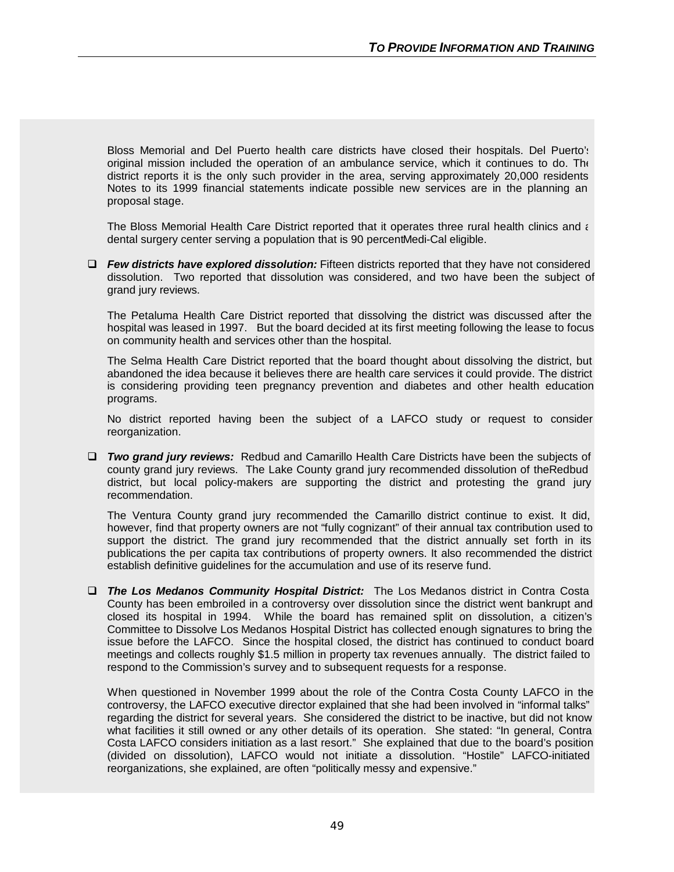Bloss Memorial and Del Puerto health care districts have closed their hospitals. Del Puerto's original mission included the operation of an ambulance service, which it continues to do. The district reports it is the only such provider in the area, serving approximately 20,000 residents Notes to its 1999 financial statements indicate possible new services are in the planning an proposal stage.

The Bloss Memorial Health Care District reported that it operates three rural health clinics and a dental surgery center serving a population that is 90 percent Medi-Cal eligible.

q *Few districts have explored dissolution:* Fifteen districts reported that they have not considered dissolution. Two reported that dissolution was considered, and two have been the subject of grand jury reviews.

The Petaluma Health Care District reported that dissolving the district was discussed after the hospital was leased in 1997. But the board decided at its first meeting following the lease to focus on community health and services other than the hospital.

The Selma Health Care District reported that the board thought about dissolving the district, but abandoned the idea because it believes there are health care services it could provide. The district is considering providing teen pregnancy prevention and diabetes and other health education programs.

No district reported having been the subject of a LAFCO study or request to consider reorganization.

□ *Two grand jury reviews:* Redbud and Camarillo Health Care Districts have been the subjects of county grand jury reviews. The Lake County grand jury recommended dissolution of the Redbud district, but local policy-makers are supporting the district and protesting the grand jury recommendation.

The Ventura County grand jury recommended the Camarillo district continue to exist. It did, however, find that property owners are not "fully cognizant" of their annual tax contribution used to support the district. The grand jury recommended that the district annually set forth in its publications the per capita tax contributions of property owners. It also recommended the district establish definitive guidelines for the accumulation and use of its reserve fund.

q *The Los Medanos Community Hospital District:* The Los Medanos district in Contra Costa County has been embroiled in a controversy over dissolution since the district went bankrupt and closed its hospital in 1994. While the board has remained split on dissolution, a citizen's Committee to Dissolve Los Medanos Hospital District has collected enough signatures to bring the issue before the LAFCO. Since the hospital closed, the district has continued to conduct board meetings and collects roughly \$1.5 million in property tax revenues annually. The district failed to respond to the Commission's survey and to subsequent requests for a response.

When questioned in November 1999 about the role of the Contra Costa County LAFCO in the controversy, the LAFCO executive director explained that she had been involved in "informal talks" regarding the district for several years. She considered the district to be inactive, but did not know what facilities it still owned or any other details of its operation. She stated: "In general, Contra Costa LAFCO considers initiation as a last resort." She explained that due to the board's position (divided on dissolution), LAFCO would not initiate a dissolution. "Hostile" LAFCO-initiated reorganizations, she explained, are often "politically messy and expensive."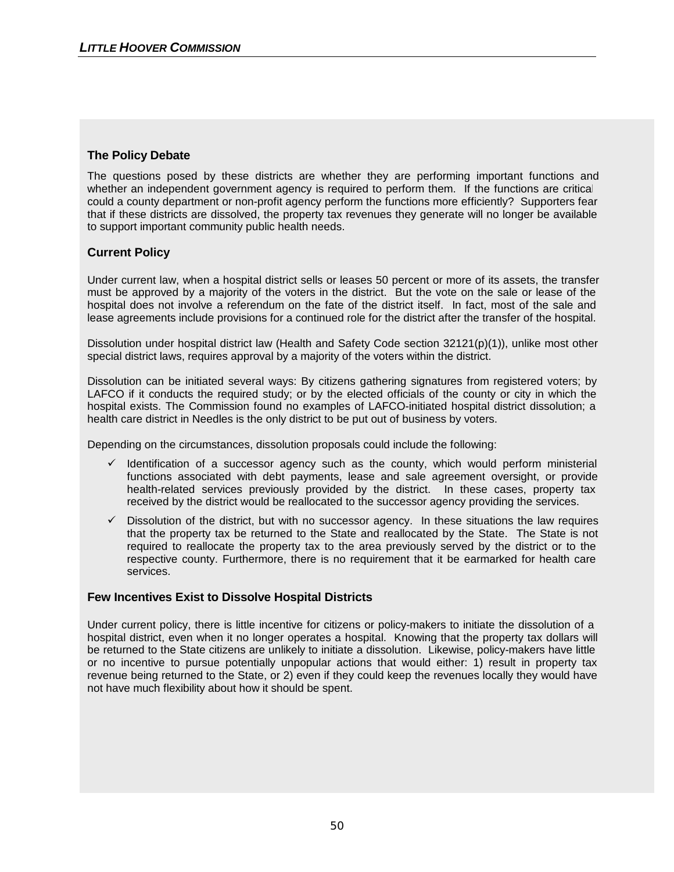### **The Policy Debate**

The questions posed by these districts are whether they are performing important functions and whether an independent government agency is required to perform them. If the functions are critical, could a county department or non-profit agency perform the functions more efficiently? Supporters fear that if these districts are dissolved, the property tax revenues they generate will no longer be available to support important community public health needs.

### **Current Policy**

Under current law, when a hospital district sells or leases 50 percent or more of its assets, the transfer must be approved by a majority of the voters in the district. But the vote on the sale or lease of the hospital does not involve a referendum on the fate of the district itself. In fact, most of the sale and lease agreements include provisions for a continued role for the district after the transfer of the hospital.

Dissolution under hospital district law (Health and Safety Code section 32121(p)(1)), unlike most other special district laws, requires approval by a majority of the voters within the district.

Dissolution can be initiated several ways: By citizens gathering signatures from registered voters; by LAFCO if it conducts the required study; or by the elected officials of the county or city in which the hospital exists. The Commission found no examples of LAFCO-initiated hospital district dissolution; a health care district in Needles is the only district to be put out of business by voters.

Depending on the circumstances, dissolution proposals could include the following:

- $\checkmark$  Identification of a successor agency such as the county, which would perform ministerial functions associated with debt payments, lease and sale agreement oversight, or provide health-related services previously provided by the district. In these cases, property tax received by the district would be reallocated to the successor agency providing the services.
- Dissolution of the district, but with no successor agency. In these situations the law requires that the property tax be returned to the State and reallocated by the State. The State is not required to reallocate the property tax to the area previously served by the district or to the respective county. Furthermore, there is no requirement that it be earmarked for health care services.

#### **Few Incentives Exist to Dissolve Hospital Districts**

Under current policy, there is little incentive for citizens or policy-makers to initiate the dissolution of a hospital district, even when it no longer operates a hospital. Knowing that the property tax dollars will be returned to the State citizens are unlikely to initiate a dissolution. Likewise, policy-makers have little or no incentive to pursue potentially unpopular actions that would either: 1) result in property tax revenue being returned to the State, or 2) even if they could keep the revenues locally they would have not have much flexibility about how it should be spent.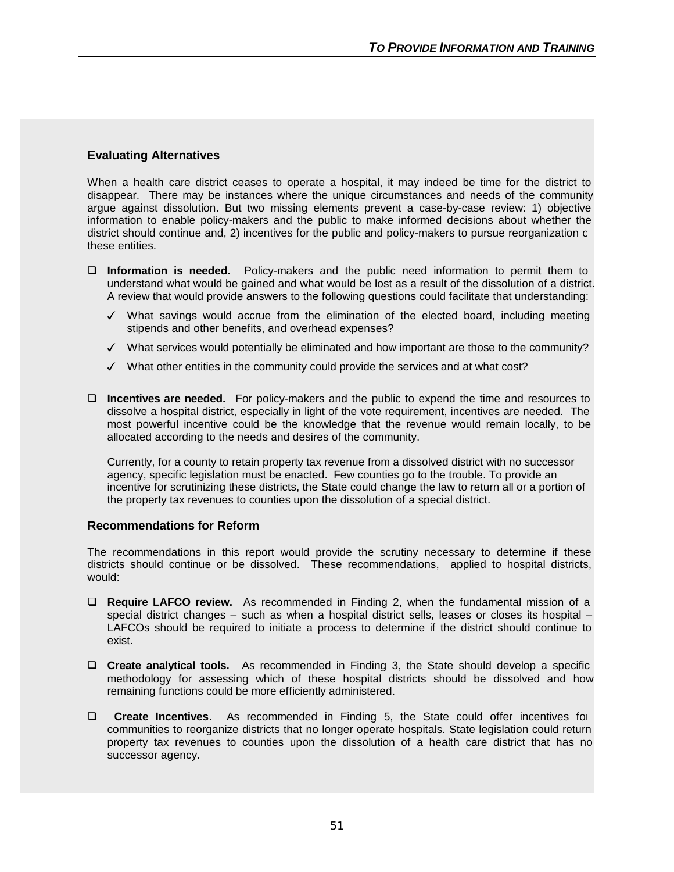### **Evaluating Alternatives**

When a health care district ceases to operate a hospital, it may indeed be time for the district to disappear. There may be instances where the unique circumstances and needs of the community argue against dissolution. But two missing elements prevent a case-by-case review: 1) objective information to enable policy-makers and the public to make informed decisions about whether the district should continue and, 2) incentives for the public and policy-makers to pursue reorganization c these entities.

- q **Information is needed.** Policy-makers and the public need information to permit them to understand what would be gained and what would be lost as a result of the dissolution of a district. A review that would provide answers to the following questions could facilitate that understanding:
	- $\checkmark$  What savings would accrue from the elimination of the elected board, including meeting stipends and other benefits, and overhead expenses?
	- $\checkmark$  What services would potentially be eliminated and how important are those to the community?
	- $\checkmark$  What other entities in the community could provide the services and at what cost?
- □ **Incentives are needed.** For policy-makers and the public to expend the time and resources to dissolve a hospital district, especially in light of the vote requirement, incentives are needed. The most powerful incentive could be the knowledge that the revenue would remain locally, to be allocated according to the needs and desires of the community.

Currently, for a county to retain property tax revenue from a dissolved district with no successor agency, specific legislation must be enacted. Few counties go to the trouble. To provide an incentive for scrutinizing these districts, the State could change the law to return all or a portion of the property tax revenues to counties upon the dissolution of a special district.

#### **Recommendations for Reform**

The recommendations in this report would provide the scrutiny necessary to determine if these districts should continue or be dissolved. These recommendations, applied to hospital districts, would:

- **Q Require LAFCO review.** As recommended in Finding 2, when the fundamental mission of a special district changes – such as when a hospital district sells, leases or closes its hospital – LAFCOs should be required to initiate a process to determine if the district should continue to exist.
- □ **Create analytical tools.** As recommended in Finding 3, the State should develop a specific methodology for assessing which of these hospital districts should be dissolved and how remaining functions could be more efficiently administered.
- **Q** Create Incentives. As recommended in Finding 5, the State could offer incentives for communities to reorganize districts that no longer operate hospitals. State legislation could return property tax revenues to counties upon the dissolution of a health care district that has no successor agency.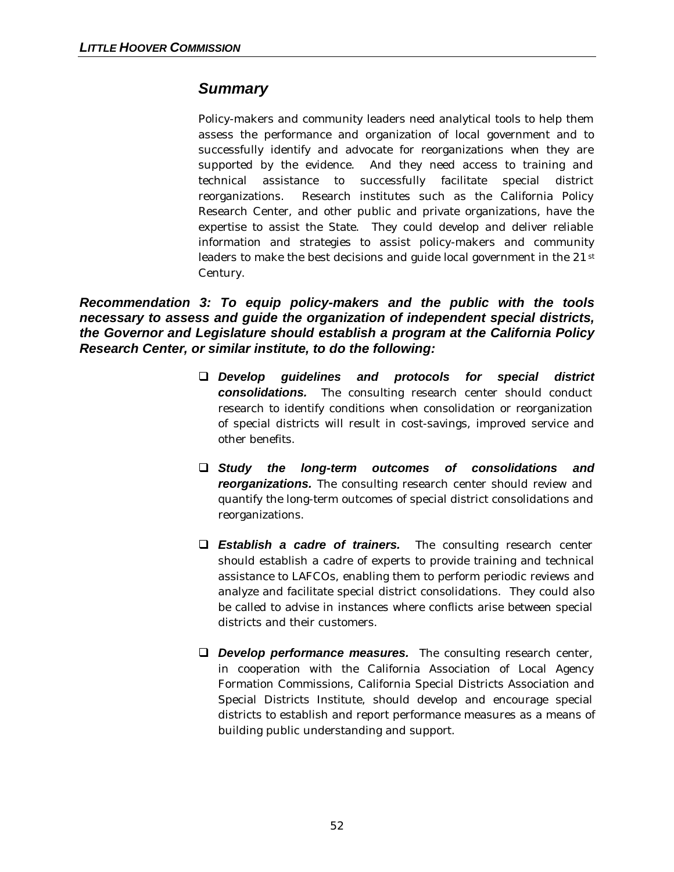## *Summary*

Policy-makers and community leaders need analytical tools to help them assess the performance and organization of local government and to successfully identify and advocate for reorganizations when they are supported by the evidence. And they need access to training and technical assistance to successfully facilitate special district reorganizations. Research institutes such as the California Policy Research Center, and other public and private organizations, have the expertise to assist the State. They could develop and deliver reliable information and strategies to assist policy-makers and community leaders to make the best decisions and guide local government in the 21<sup>st</sup> Century.

*Recommendation 3: To equip policy-makers and the public with the tools necessary to assess and guide the organization of independent special districts, the Governor and Legislature should establish a program at the California Policy Research Center, or similar institute, to do the following:*

- q *Develop guidelines and protocols for special district consolidations.* The consulting research center should conduct research to identify conditions when consolidation or reorganization of special districts will result in cost-savings, improved service and other benefits.
- q *Study the long-term outcomes of consolidations and reorganizations.* The consulting research center should review and quantify the long-term outcomes of special district consolidations and reorganizations.
- q *Establish a cadre of trainers.* The consulting research center should establish a cadre of experts to provide training and technical assistance to LAFCOs, enabling them to perform periodic reviews and analyze and facilitate special district consolidations. They could also be called to advise in instances where conflicts arise between special districts and their customers.
- **Q** *Develop performance measures.* The consulting research center, in cooperation with the California Association of Local Agency Formation Commissions, California Special Districts Association and Special Districts Institute, should develop and encourage special districts to establish and report performance measures as a means of building public understanding and support.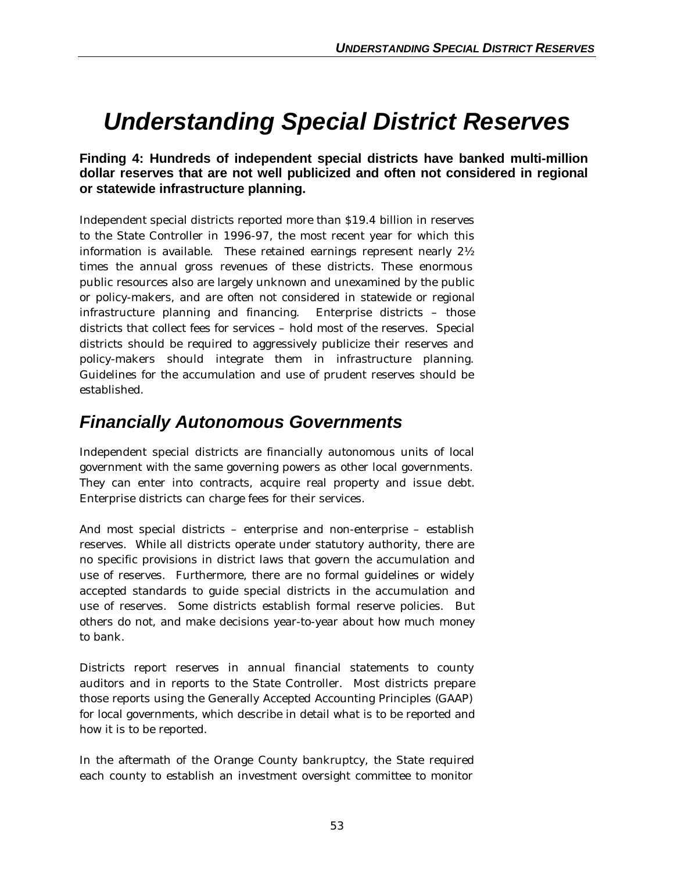# *Understanding Special District Reserves*

## **Finding 4: Hundreds of independent special districts have banked multi-million dollar reserves that are not well publicized and often not considered in regional or statewide infrastructure planning.**

Independent special districts reported more than \$19.4 billion in reserves to the State Controller in 1996-97, the most recent year for which this information is available. These retained earnings represent nearly 2½ times the annual gross revenues of these districts. These enormous public resources also are largely unknown and unexamined by the public or policy-makers, and are often not considered in statewide or regional infrastructure planning and financing. Enterprise districts – those districts that collect fees for services – hold most of the reserves. Special districts should be required to aggressively publicize their reserves and policy-makers should integrate them in infrastructure planning. Guidelines for the accumulation and use of prudent reserves should be established.

# *Financially Autonomous Governments*

Independent special districts are financially autonomous units of local government with the same governing powers as other local governments. They can enter into contracts, acquire real property and issue debt. Enterprise districts can charge fees for their services.

And most special districts – enterprise and non-enterprise – establish reserves. While all districts operate under statutory authority, there are no specific provisions in district laws that govern the accumulation and use of reserves. Furthermore, there are no formal guidelines or widely accepted standards to guide special districts in the accumulation and use of reserves. Some districts establish formal reserve policies. But others do not, and make decisions year-to-year about how much money to bank.

Districts report reserves in annual financial statements to county auditors and in reports to the State Controller. Most districts prepare those reports using the Generally Accepted Accounting Principles (GAAP) for local governments, which describe in detail what is to be reported and how it is to be reported.

In the aftermath of the Orange County bankruptcy, the State required each county to establish an investment oversight committee to monitor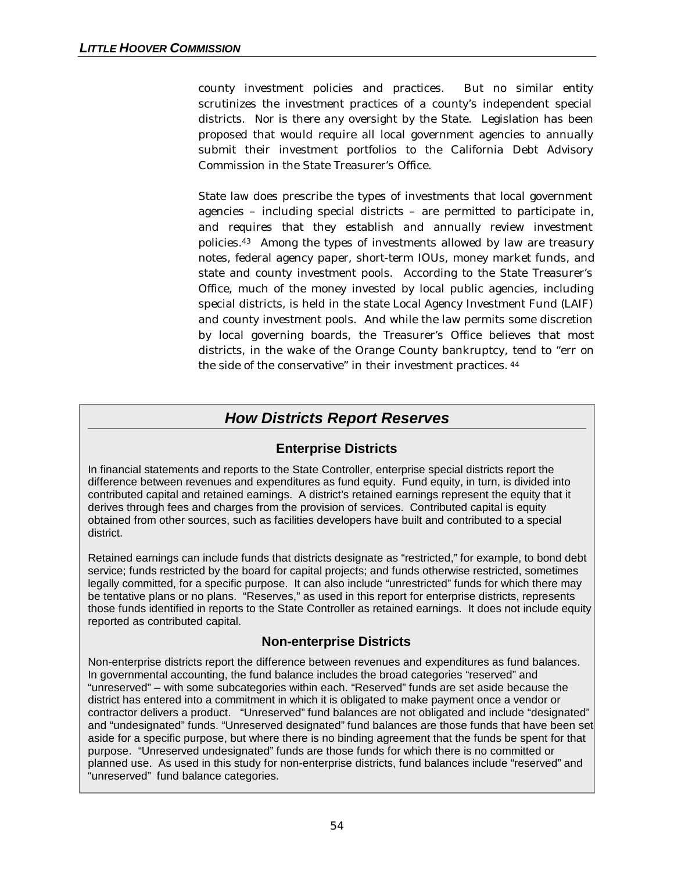county investment policies and practices. But no similar entity scrutinizes the investment practices of a county's independent special districts. Nor is there any oversight by the State. Legislation has been proposed that would require all local government agencies to annually submit their investment portfolios to the California Debt Advisory Commission in the State Treasurer's Office.

State law does prescribe the types of investments that local government agencies – including special districts – are permitted to participate in, and requires that they establish and annually review investment policies.43 Among the types of investments allowed by law are treasury notes, federal agency paper, short-term IOUs, money market funds, and state and county investment pools. According to the State Treasurer's Office, much of the money invested by local public agencies, including special districts, is held in the state Local Agency Investment Fund (LAIF) and county investment pools. And while the law permits some discretion by local governing boards, the Treasurer's Office believes that most districts, in the wake of the Orange County bankruptcy, tend to "err on the side of the conservative" in their investment practices. <sup>44</sup>

## *How Districts Report Reserves*

## **Enterprise Districts**

In financial statements and reports to the State Controller, enterprise special districts report the difference between revenues and expenditures as fund equity. Fund equity, in turn, is divided into contributed capital and retained earnings. A district's retained earnings represent the equity that it derives through fees and charges from the provision of services. Contributed capital is equity obtained from other sources, such as facilities developers have built and contributed to a special district.

Retained earnings can include funds that districts designate as "restricted," for example, to bond debt service; funds restricted by the board for capital projects; and funds otherwise restricted, sometimes legally committed, for a specific purpose. It can also include "unrestricted" funds for which there may be tentative plans or no plans. "Reserves," as used in this report for enterprise districts, represents those funds identified in reports to the State Controller as retained earnings. It does not include equity reported as contributed capital.

## **Non-enterprise Districts**

Non-enterprise districts report the difference between revenues and expenditures as fund balances. In governmental accounting, the fund balance includes the broad categories "reserved" and "unreserved" – with some subcategories within each. "Reserved" funds are set aside because the district has entered into a commitment in which it is obligated to make payment once a vendor or contractor delivers a product. "Unreserved" fund balances are not obligated and include "designated" and "undesignated" funds. "Unreserved designated" fund balances are those funds that have been set aside for a specific purpose, but where there is no binding agreement that the funds be spent for that purpose. "Unreserved undesignated" funds are those funds for which there is no committed or planned use. As used in this study for non-enterprise districts, fund balances include "reserved" and "unreserved" fund balance categories.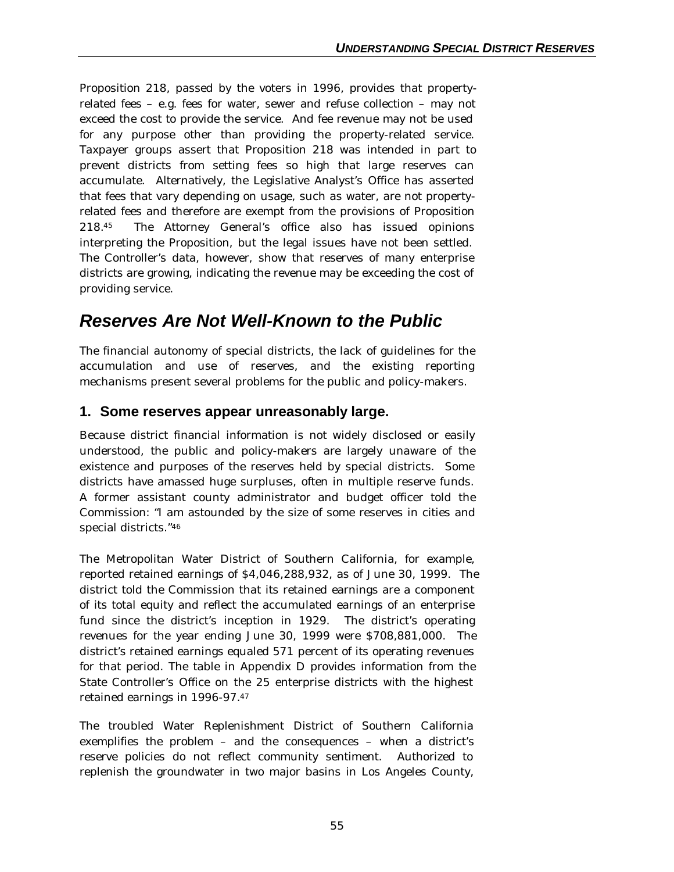Proposition 218, passed by the voters in 1996, provides that propertyrelated fees – e.g. fees for water, sewer and refuse collection – may not exceed the cost to provide the service. And fee revenue may not be used for any purpose other than providing the property-related service. Taxpayer groups assert that Proposition 218 was intended in part to prevent districts from setting fees so high that large reserves can accumulate. Alternatively, the Legislative Analyst's Office has asserted that fees that vary depending on usage, such as water, are not propertyrelated fees and therefore are exempt from the provisions of Proposition 218.45 The Attorney General's office also has issued opinions interpreting the Proposition, but the legal issues have not been settled. The Controller's data, however, show that reserves of many enterprise districts are growing, indicating the revenue may be exceeding the cost of providing service.

## *Reserves Are Not Well-Known to the Public*

The financial autonomy of special districts, the lack of guidelines for the accumulation and use of reserves, and the existing reporting mechanisms present several problems for the public and policy-makers.

## **1. Some reserves appear unreasonably large.**

Because district financial information is not widely disclosed or easily understood, the public and policy-makers are largely unaware of the existence and purposes of the reserves held by special districts. Some districts have amassed huge surpluses, often in multiple reserve funds. A former assistant county administrator and budget officer told the Commission: "I am astounded by the size of some reserves in cities and special districts."<sup>46</sup>

The Metropolitan Water District of Southern California, for example, reported retained earnings of \$4,046,288,932, as of June 30, 1999. The district told the Commission that its retained earnings are a component of its total equity and reflect the accumulated earnings of an enterprise fund since the district's inception in 1929. The district's operating revenues for the year ending June 30, 1999 were \$708,881,000. The district's retained earnings equaled 571 percent of its operating revenues for that period. The table in Appendix D provides information from the State Controller's Office on the 25 enterprise districts with the highest retained earnings in 1996-97.<sup>47</sup>

The troubled Water Replenishment District of Southern California exemplifies the problem – and the consequences – when a district's reserve policies do not reflect community sentiment. Authorized to replenish the groundwater in two major basins in Los Angeles County,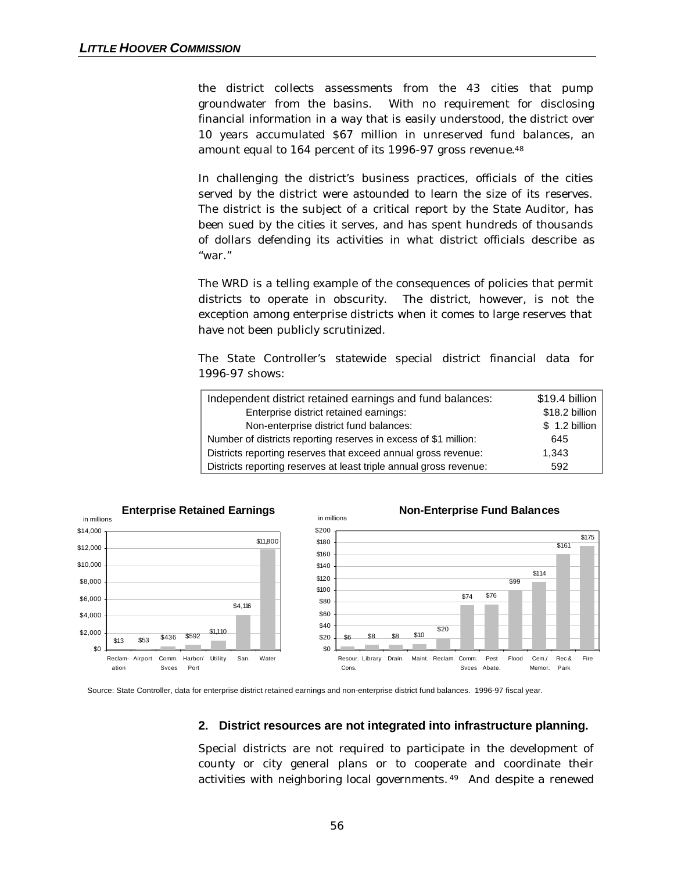the district collects assessments from the 43 cities that pump groundwater from the basins. With no requirement for disclosing financial information in a way that is easily understood, the district over 10 years accumulated \$67 million in unreserved fund balances, an amount equal to 164 percent of its 1996-97 gross revenue.<sup>48</sup>

In challenging the district's business practices, officials of the cities served by the district were astounded to learn the size of its reserves. The district is the subject of a critical report by the State Auditor, has been sued by the cities it serves, and has spent hundreds of thousands of dollars defending its activities in what district officials describe as "war."

The WRD is a telling example of the consequences of policies that permit districts to operate in obscurity. The district, however, is not the exception among enterprise districts when it comes to large reserves that have not been publicly scrutinized.

The State Controller's statewide special district financial data for 1996-97 shows:

| Independent district retained earnings and fund balances:          | \$19.4 billion |
|--------------------------------------------------------------------|----------------|
| Enterprise district retained earnings:                             | \$18.2 billion |
| Non-enterprise district fund balances:                             | \$ 1.2 billion |
| Number of districts reporting reserves in excess of \$1 million:   | 645            |
| Districts reporting reserves that exceed annual gross revenue:     | 1.343          |
| Districts reporting reserves at least triple annual gross revenue: | 592            |



Source: State Controller, data for enterprise district retained earnings and non-enterprise district fund balances. 1996-97 fiscal year.

#### **2. District resources are not integrated into infrastructure planning.**

Special districts are not required to participate in the development of county or city general plans or to cooperate and coordinate their activities with neighboring local governments. <sup>49</sup> And despite a renewed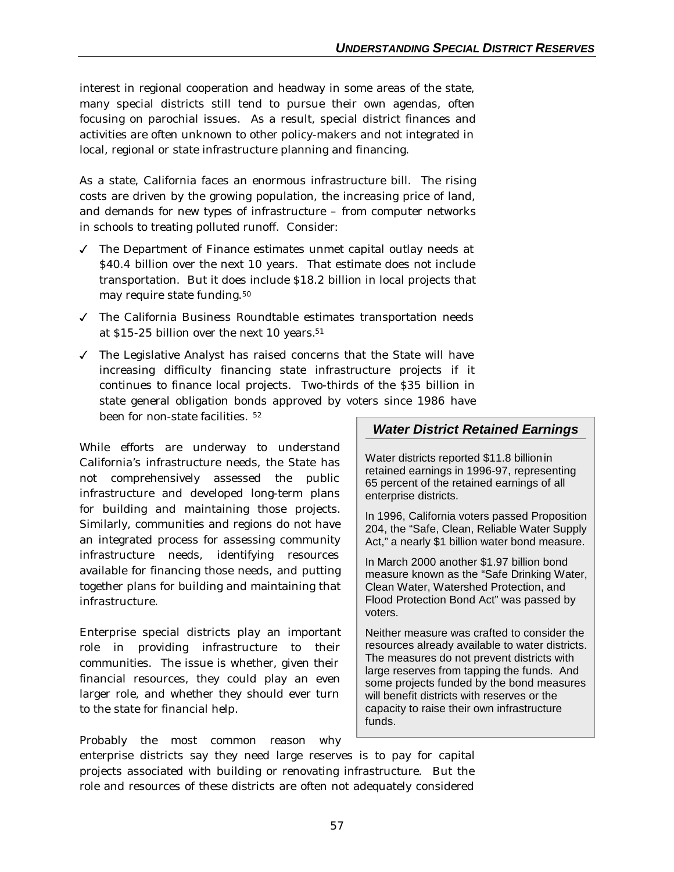interest in regional cooperation and headway in some areas of the state, many special districts still tend to pursue their own agendas, often focusing on parochial issues. As a result, special district finances and activities are often unknown to other policy-makers and not integrated in local, regional or state infrastructure planning and financing.

As a state, California faces an enormous infrastructure bill. The rising costs are driven by the growing population, the increasing price of land, and demands for new types of infrastructure – from computer networks in schools to treating polluted runoff. Consider:

- $\checkmark$  The Department of Finance estimates unmet capital outlay needs at \$40.4 billion over the next 10 years. That estimate does not include transportation. But it does include \$18.2 billion in local projects that may require state funding.<sup>50</sup>
- $J$  The California Business Roundtable estimates transportation needs at \$15-25 billion over the next 10 years.<sup>51</sup>
- $J$  The Legislative Analyst has raised concerns that the State will have increasing difficulty financing state infrastructure projects if it continues to finance local projects. Two-thirds of the \$35 billion in state general obligation bonds approved by voters since 1986 have been for non-state facilities. <sup>52</sup>

While efforts are underway to understand California's infrastructure needs, the State has not comprehensively assessed the public infrastructure and developed long-term plans for building and maintaining those projects. Similarly, communities and regions do not have an integrated process for assessing community infrastructure needs, identifying resources available for financing those needs, and putting together plans for building and maintaining that infrastructure.

Enterprise special districts play an important role in providing infrastructure to their communities. The issue is whether, given their financial resources, they could play an even larger role, and whether they should ever turn to the state for financial help.

Probably the most common reason why

### *Water District Retained Earnings*

Water districts reported \$11.8 billionin retained earnings in 1996-97, representing 65 percent of the retained earnings of all enterprise districts.

In 1996, California voters passed Proposition 204, the "Safe, Clean, Reliable Water Supply Act," a nearly \$1 billion water bond measure.

In March 2000 another \$1.97 billion bond measure known as the "Safe Drinking Water, Clean Water, Watershed Protection, and Flood Protection Bond Act" was passed by voters.

Neither measure was crafted to consider the resources already available to water districts. The measures do not prevent districts with large reserves from tapping the funds. And some projects funded by the bond measures will benefit districts with reserves or the capacity to raise their own infrastructure funds.

enterprise districts say they need large reserves is to pay for capital projects associated with building or renovating infrastructure. But the role and resources of these districts are often not adequately considered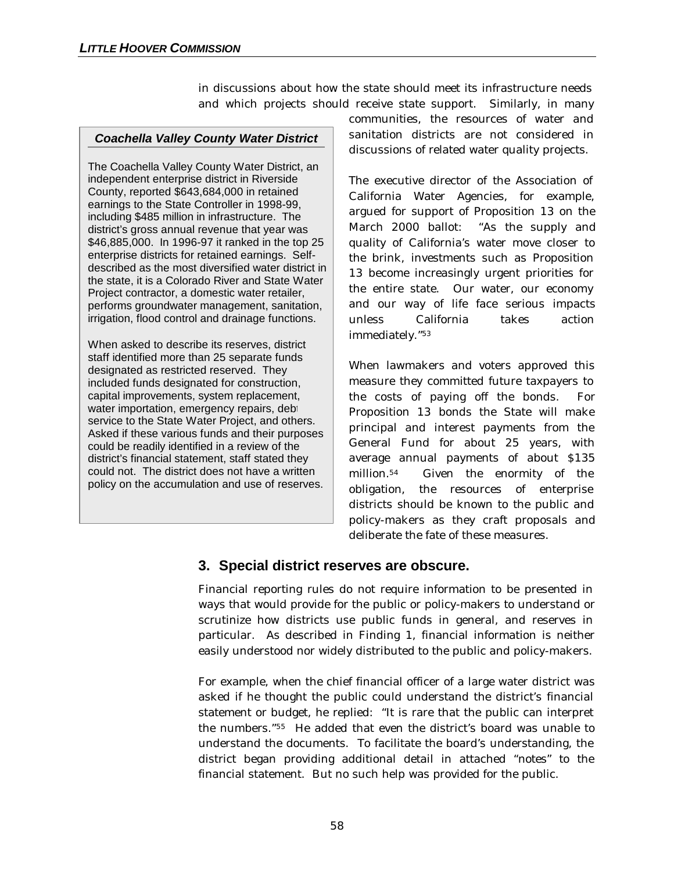in discussions about how the state should meet its infrastructure needs and which projects should receive state support. Similarly, in many

#### *Coachella Valley County Water District*

The Coachella Valley County Water District, an independent enterprise district in Riverside County, reported \$643,684,000 in retained earnings to the State Controller in 1998-99, including \$485 million in infrastructure. The district's gross annual revenue that year was \$46,885,000. In 1996-97 it ranked in the top 25 enterprise districts for retained earnings. Selfdescribed as the most diversified water district in the state, it is a Colorado River and State Water Project contractor, a domestic water retailer, performs groundwater management, sanitation, irrigation, flood control and drainage functions.

When asked to describe its reserves, district staff identified more than 25 separate funds designated as restricted reserved. They included funds designated for construction, capital improvements, system replacement, water importation, emergency repairs, debt service to the State Water Project, and others. Asked if these various funds and their purposes could be readily identified in a review of the district's financial statement, staff stated they could not. The district does not have a written policy on the accumulation and use of reserves.

communities, the resources of water and sanitation districts are not considered in discussions of related water quality projects.

The executive director of the Association of California Water Agencies, for example, argued for support of Proposition 13 on the March 2000 ballot: "As the supply and quality of California's water move closer to the brink, investments such as Proposition 13 become increasingly urgent priorities for the entire state. Our water, our economy and our way of life face serious impacts unless California takes action immediately."<sup>53</sup>

When lawmakers and voters approved this measure they committed future taxpayers to the costs of paying off the bonds. For Proposition 13 bonds the State will make principal and interest payments from the General Fund for about 25 years, with average annual payments of about \$135 million.54 Given the enormity of the obligation, the resources of enterprise districts should be known to the public and policy-makers as they craft proposals and deliberate the fate of these measures.

## **3. Special district reserves are obscure.**

Financial reporting rules do not require information to be presented in ways that would provide for the public or policy-makers to understand or scrutinize how districts use public funds in general, and reserves in particular. As described in Finding 1, financial information is neither easily understood nor widely distributed to the public and policy-makers.

For example, when the chief financial officer of a large water district was asked if he thought the public could understand the district's financial statement or budget, he replied: "It is rare that the public can interpret the numbers."55 He added that even the district's board was unable to understand the documents. To facilitate the board's understanding, the district began providing additional detail in attached "notes" to the financial statement. But no such help was provided for the public.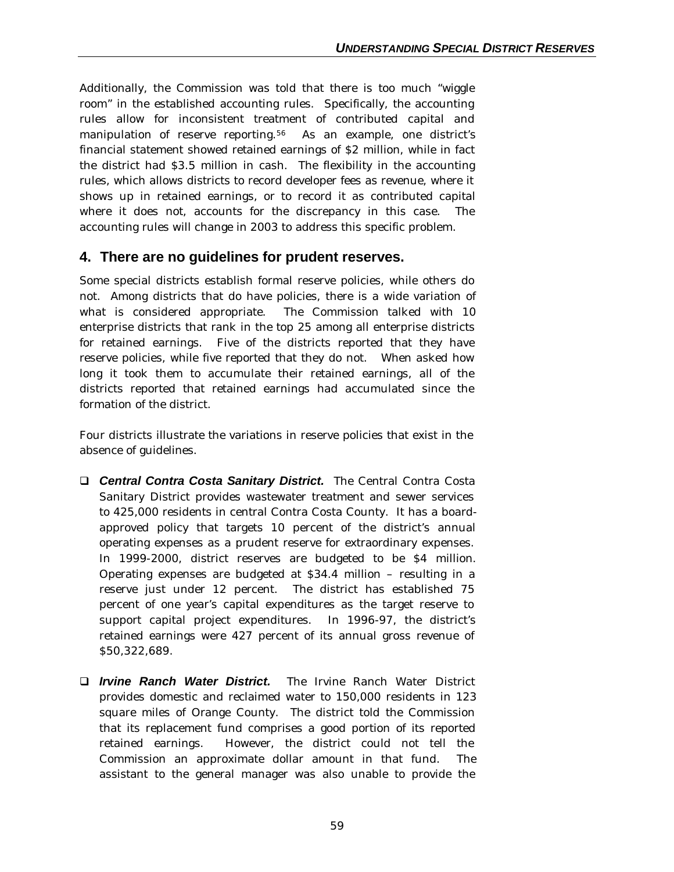Additionally, the Commission was told that there is too much "wiggle room" in the established accounting rules. Specifically, the accounting rules allow for inconsistent treatment of contributed capital and manipulation of reserve reporting.56 As an example, one district's financial statement showed retained earnings of \$2 million, while in fact the district had \$3.5 million in cash. The flexibility in the accounting rules, which allows districts to record developer fees as revenue, where it shows up in retained earnings, or to record it as contributed capital where it does not, accounts for the discrepancy in this case. The accounting rules will change in 2003 to address this specific problem.

## **4. There are no guidelines for prudent reserves.**

Some special districts establish formal reserve policies, while others do not. Among districts that do have policies, there is a wide variation of what is considered appropriate. The Commission talked with 10 enterprise districts that rank in the top 25 among all enterprise districts for retained earnings. Five of the districts reported that they have reserve policies, while five reported that they do not. When asked how long it took them to accumulate their retained earnings, all of the districts reported that retained earnings had accumulated since the formation of the district.

Four districts illustrate the variations in reserve policies that exist in the absence of guidelines.

- **Q Central Contra Costa Sanitary District.** The Central Contra Costa Sanitary District provides wastewater treatment and sewer services to 425,000 residents in central Contra Costa County. It has a boardapproved policy that targets 10 percent of the district's annual operating expenses as a prudent reserve for extraordinary expenses. In 1999-2000, district reserves are budgeted to be \$4 million. Operating expenses are budgeted at \$34.4 million – resulting in a reserve just under 12 percent. The district has established 75 percent of one year's capital expenditures as the target reserve to support capital project expenditures. In 1996-97, the district's retained earnings were 427 percent of its annual gross revenue of \$50,322,689.
- q *Irvine Ranch Water District.* The Irvine Ranch Water District provides domestic and reclaimed water to 150,000 residents in 123 square miles of Orange County. The district told the Commission that its replacement fund comprises a good portion of its reported retained earnings. However, the district could not tell the Commission an approximate dollar amount in that fund. The assistant to the general manager was also unable to provide the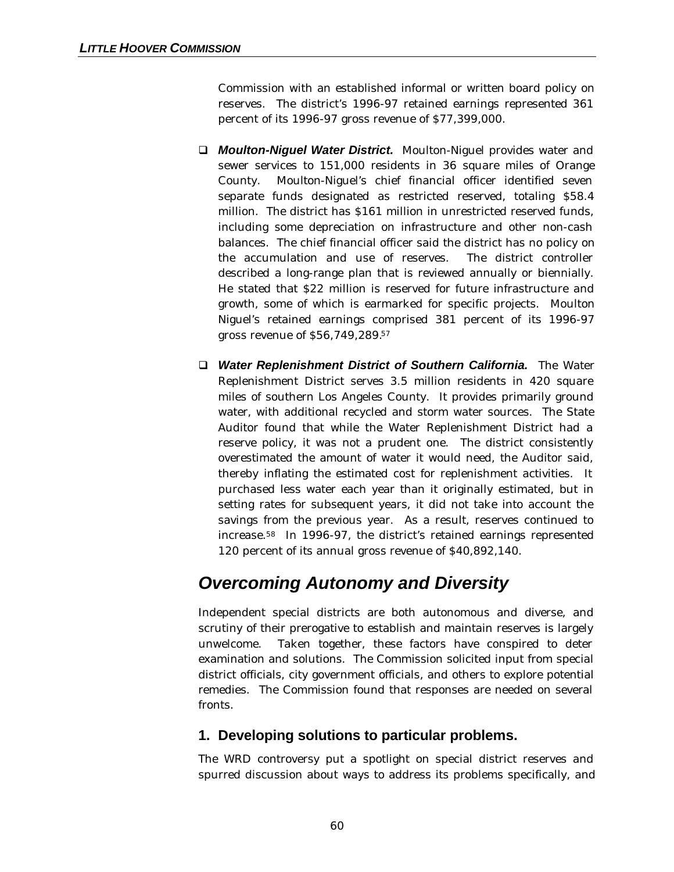Commission with an established informal or written board policy on reserves. The district's 1996-97 retained earnings represented 361 percent of its 1996-97 gross revenue of \$77,399,000.

- □ *Moulton-Niguel Water District.* Moulton-Niguel provides water and sewer services to 151,000 residents in 36 square miles of Orange County. Moulton-Niguel's chief financial officer identified seven separate funds designated as restricted reserved, totaling \$58.4 million. The district has \$161 million in unrestricted reserved funds, including some depreciation on infrastructure and other non-cash balances. The chief financial officer said the district has no policy on the accumulation and use of reserves. The district controller described a long-range plan that is reviewed annually or biennially. He stated that \$22 million is reserved for future infrastructure and growth, some of which is earmarked for specific projects. Moulton Niguel's retained earnings comprised 381 percent of its 1996-97 gross revenue of \$56,749,289.<sup>57</sup>
- q *Water Replenishment District of Southern California.* The Water Replenishment District serves 3.5 million residents in 420 square miles of southern Los Angeles County. It provides primarily ground water, with additional recycled and storm water sources. The State Auditor found that while the Water Replenishment District had a reserve policy, it was not a prudent one. The district consistently overestimated the amount of water it would need, the Auditor said, thereby inflating the estimated cost for replenishment activities. It purchased less water each year than it originally estimated, but in setting rates for subsequent years, it did not take into account the savings from the previous year. As a result, reserves continued to increase.58 In 1996-97, the district's retained earnings represented 120 percent of its annual gross revenue of \$40,892,140.

## *Overcoming Autonomy and Diversity*

Independent special districts are both autonomous and diverse, and scrutiny of their prerogative to establish and maintain reserves is largely unwelcome. Taken together, these factors have conspired to deter examination and solutions. The Commission solicited input from special district officials, city government officials, and others to explore potential remedies. The Commission found that responses are needed on several fronts.

## **1. Developing solutions to particular problems.**

The WRD controversy put a spotlight on special district reserves and spurred discussion about ways to address its problems specifically, and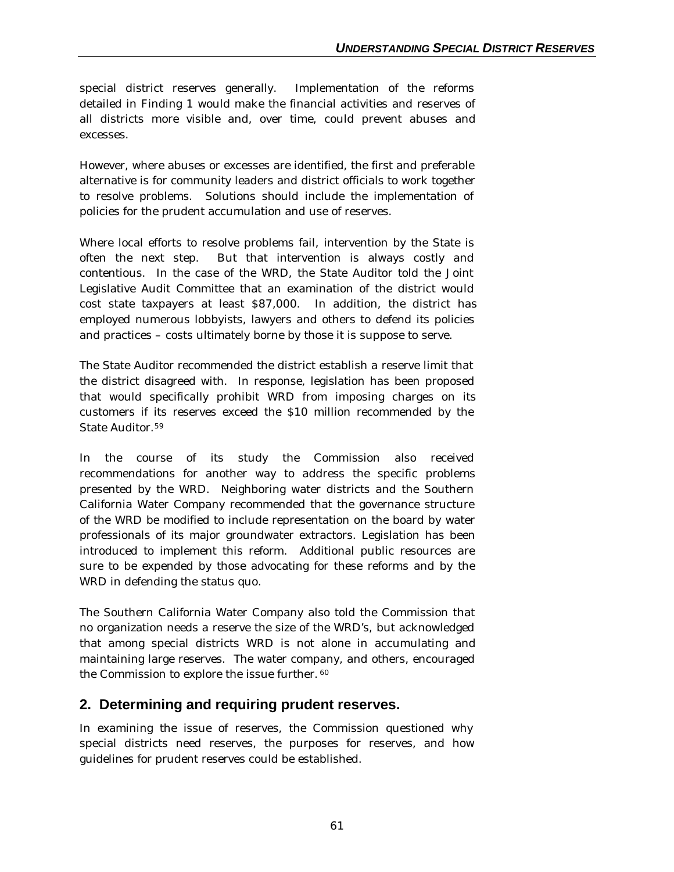special district reserves generally. Implementation of the reforms detailed in Finding 1 would make the financial activities and reserves of all districts more visible and, over time, could prevent abuses and excesses.

However, where abuses or excesses are identified, the first and preferable alternative is for community leaders and district officials to work together to resolve problems. Solutions should include the implementation of policies for the prudent accumulation and use of reserves.

Where local efforts to resolve problems fail, intervention by the State is often the next step. But that intervention is always costly and contentious. In the case of the WRD, the State Auditor told the Joint Legislative Audit Committee that an examination of the district would cost state taxpayers at least \$87,000. In addition, the district has employed numerous lobbyists, lawyers and others to defend its policies and practices – costs ultimately borne by those it is suppose to serve.

The State Auditor recommended the district establish a reserve limit that the district disagreed with. In response, legislation has been proposed that would specifically prohibit WRD from imposing charges on its customers if its reserves exceed the \$10 million recommended by the State Auditor.<sup>59</sup>

In the course of its study the Commission also received recommendations for another way to address the specific problems presented by the WRD. Neighboring water districts and the Southern California Water Company recommended that the governance structure of the WRD be modified to include representation on the board by water professionals of its major groundwater extractors. Legislation has been introduced to implement this reform. Additional public resources are sure to be expended by those advocating for these reforms and by the WRD in defending the status quo.

The Southern California Water Company also told the Commission that no organization needs a reserve the size of the WRD's, but acknowledged that among special districts WRD is not alone in accumulating and maintaining large reserves. The water company, and others, encouraged the Commission to explore the issue further. <sup>60</sup>

## **2. Determining and requiring prudent reserves.**

In examining the issue of reserves, the Commission questioned why special districts need reserves, the purposes for reserves, and how guidelines for prudent reserves could be established.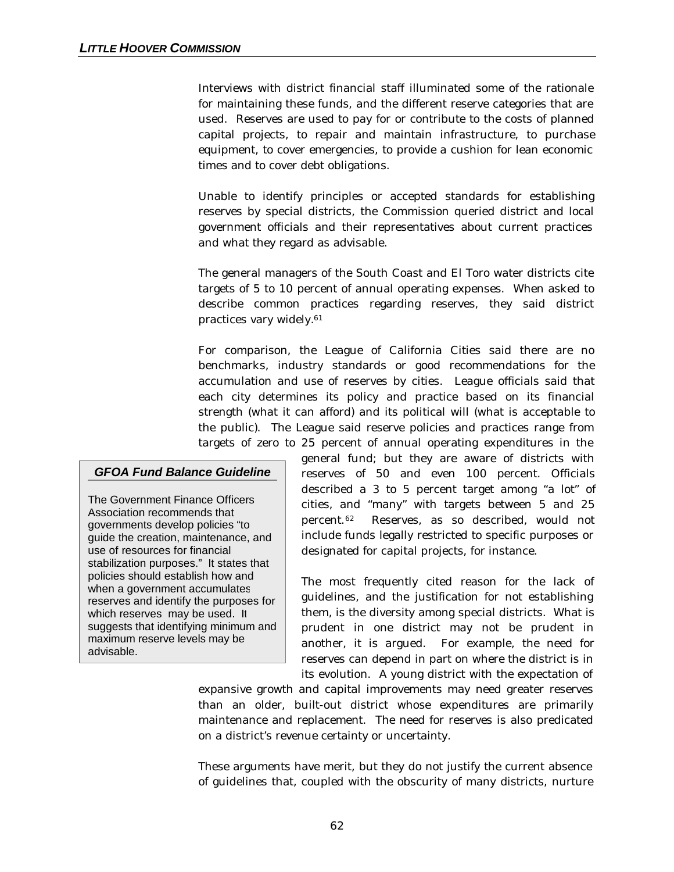Interviews with district financial staff illuminated some of the rationale for maintaining these funds, and the different reserve categories that are used. Reserves are used to pay for or contribute to the costs of planned capital projects, to repair and maintain infrastructure, to purchase equipment, to cover emergencies, to provide a cushion for lean economic times and to cover debt obligations.

Unable to identify principles or accepted standards for establishing reserves by special districts, the Commission queried district and local government officials and their representatives about current practices and what they regard as advisable.

The general managers of the South Coast and El Toro water districts cite targets of 5 to 10 percent of annual operating expenses. When asked to describe common practices regarding reserves, they said district practices vary widely.<sup>61</sup>

For comparison, the League of California Cities said there are no benchmarks, industry standards or good recommendations for the accumulation and use of reserves by cities. League officials said that each city determines its policy and practice based on its financial strength (what it can afford) and its political will (what is acceptable to the public). The League said reserve policies and practices range from targets of zero to 25 percent of annual operating expenditures in the

#### *GFOA Fund Balance Guideline*

The Government Finance Officers Association recommends that governments develop policies "to guide the creation, maintenance, and use of resources for financial stabilization purposes." It states that policies should establish how and when a government accumulates reserves and identify the purposes for which reserves may be used. It suggests that identifying minimum and maximum reserve levels may be advisable.

general fund; but they are aware of districts with reserves of 50 and even 100 percent. Officials described a 3 to 5 percent target among "a lot" of cities, and "many" with targets between 5 and 25 percent.62 Reserves, as so described, would not include funds legally restricted to specific purposes or designated for capital projects, for instance.

The most frequently cited reason for the lack of guidelines, and the justification for not establishing them, is the diversity among special districts. What is prudent in one district may not be prudent in another, it is argued. For example, the need for reserves can depend in part on where the district is in its evolution. A young district with the expectation of

expansive growth and capital improvements may need greater reserves than an older, built-out district whose expenditures are primarily maintenance and replacement. The need for reserves is also predicated on a district's revenue certainty or uncertainty.

These arguments have merit, but they do not justify the current absence of guidelines that, coupled with the obscurity of many districts, nurture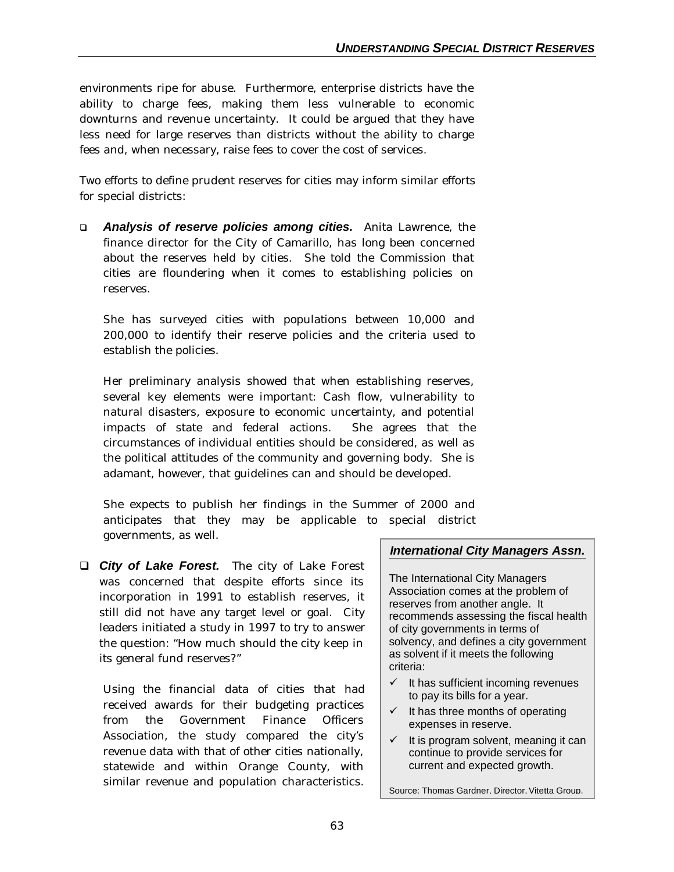environments ripe for abuse. Furthermore, enterprise districts have the ability to charge fees, making them less vulnerable to economic downturns and revenue uncertainty. It could be argued that they have less need for large reserves than districts without the ability to charge fees and, when necessary, raise fees to cover the cost of services.

Two efforts to define prudent reserves for cities may inform similar efforts for special districts:

q *Analysis of reserve policies among cities.* Anita Lawrence, the finance director for the City of Camarillo, has long been concerned about the reserves held by cities. She told the Commission that cities are floundering when it comes to establishing policies on reserves.

She has surveyed cities with populations between 10,000 and 200,000 to identify their reserve policies and the criteria used to establish the policies.

Her preliminary analysis showed that when establishing reserves, several key elements were important: Cash flow, vulnerability to natural disasters, exposure to economic uncertainty, and potential impacts of state and federal actions. She agrees that the circumstances of individual entities should be considered, as well as the political attitudes of the community and governing body. She is adamant, however, that guidelines can and should be developed.

She expects to publish her findings in the Summer of 2000 and anticipates that they may be applicable to special district governments, as well.

**□** City of Lake Forest. The city of Lake Forest was concerned that despite efforts since its incorporation in 1991 to establish reserves, it still did not have any target level or goal. City leaders initiated a study in 1997 to try to answer the question: "How much should the city keep in its general fund reserves?"

Using the financial data of cities that had received awards for their budgeting practices from the Government Finance Officers Association, the study compared the city's revenue data with that of other cities nationally, statewide and within Orange County, with similar revenue and population characteristics.

### *International City Managers Assn.*

The International City Managers Association comes at the problem of reserves from another angle. It recommends assessing the fiscal health of city governments in terms of solvency, and defines a city government as solvent if it meets the following criteria:

- It has sufficient incoming revenues to pay its bills for a year.
- $\checkmark$  It has three months of operating expenses in reserve.
- $\checkmark$  It is program solvent, meaning it can continue to provide services for current and expected growth.

Source: Thomas Gardner, Director, Vitetta Group.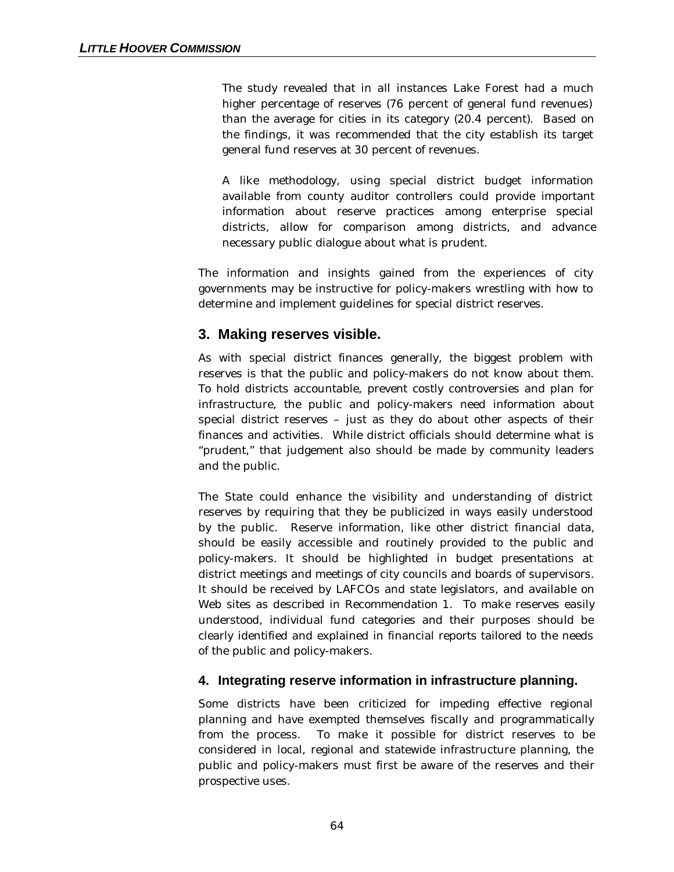The study revealed that in all instances Lake Forest had a much higher percentage of reserves (76 percent of general fund revenues) than the average for cities in its category (20.4 percent). Based on the findings, it was recommended that the city establish its target general fund reserves at 30 percent of revenues.

A like methodology, using special district budget information available from county auditor controllers could provide important information about reserve practices among enterprise special districts, allow for comparison among districts, and advance necessary public dialogue about what is prudent.

The information and insights gained from the experiences of city governments may be instructive for policy-makers wrestling with how to determine and implement guidelines for special district reserves.

## **3. Making reserves visible.**

As with special district finances generally, the biggest problem with reserves is that the public and policy-makers do not know about them. To hold districts accountable, prevent costly controversies and plan for infrastructure, the public and policy-makers need information about special district reserves – just as they do about other aspects of their finances and activities. While district officials should determine what is "prudent," that judgement also should be made by community leaders and the public.

The State could enhance the visibility and understanding of district reserves by requiring that they be publicized in ways easily understood by the public. Reserve information, like other district financial data, should be easily accessible and routinely provided to the public and policy-makers. It should be highlighted in budget presentations at district meetings and meetings of city councils and boards of supervisors. It should be received by LAFCOs and state legislators, and available on Web sites as described in Recommendation 1. To make reserves easily understood, individual fund categories and their purposes should be clearly identified and explained in financial reports tailored to the needs of the public and policy-makers.

## **4. Integrating reserve information in infrastructure planning.**

Some districts have been criticized for impeding effective regional planning and have exempted themselves fiscally and programmatically from the process. To make it possible for district reserves to be considered in local, regional and statewide infrastructure planning, the public and policy-makers must first be aware of the reserves and their prospective uses.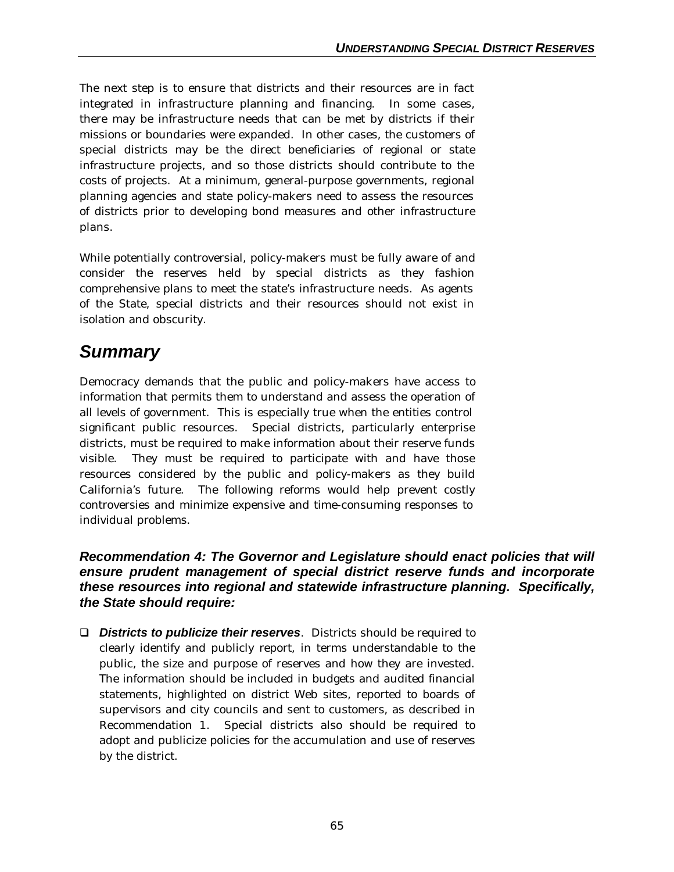The next step is to ensure that districts and their resources are in fact integrated in infrastructure planning and financing. In some cases, there may be infrastructure needs that can be met by districts if their missions or boundaries were expanded. In other cases, the customers of special districts may be the direct beneficiaries of regional or state infrastructure projects, and so those districts should contribute to the costs of projects. At a minimum, general-purpose governments, regional planning agencies and state policy-makers need to assess the resources of districts prior to developing bond measures and other infrastructure plans.

While potentially controversial, policy-makers must be fully aware of and consider the reserves held by special districts as they fashion comprehensive plans to meet the state's infrastructure needs. As agents of the State, special districts and their resources should not exist in isolation and obscurity.

## *Summary*

Democracy demands that the public and policy-makers have access to information that permits them to understand and assess the operation of all levels of government. This is especially true when the entities control significant public resources. Special districts, particularly enterprise districts, must be required to make information about their reserve funds visible. They must be required to participate with and have those resources considered by the public and policy-makers as they build California's future. The following reforms would help prevent costly controversies and minimize expensive and time-consuming responses to individual problems.

## *Recommendation 4: The Governor and Legislature should enact policies that will ensure prudent management of special district reserve funds and incorporate these resources into regional and statewide infrastructure planning. Specifically, the State should require:*

□ *Districts to publicize their reserves.* Districts should be required to clearly identify and publicly report, in terms understandable to the public, the size and purpose of reserves and how they are invested. The information should be included in budgets and audited financial statements, highlighted on district Web sites, reported to boards of supervisors and city councils and sent to customers, as described in Recommendation 1. Special districts also should be required to adopt and publicize policies for the accumulation and use of reserves by the district.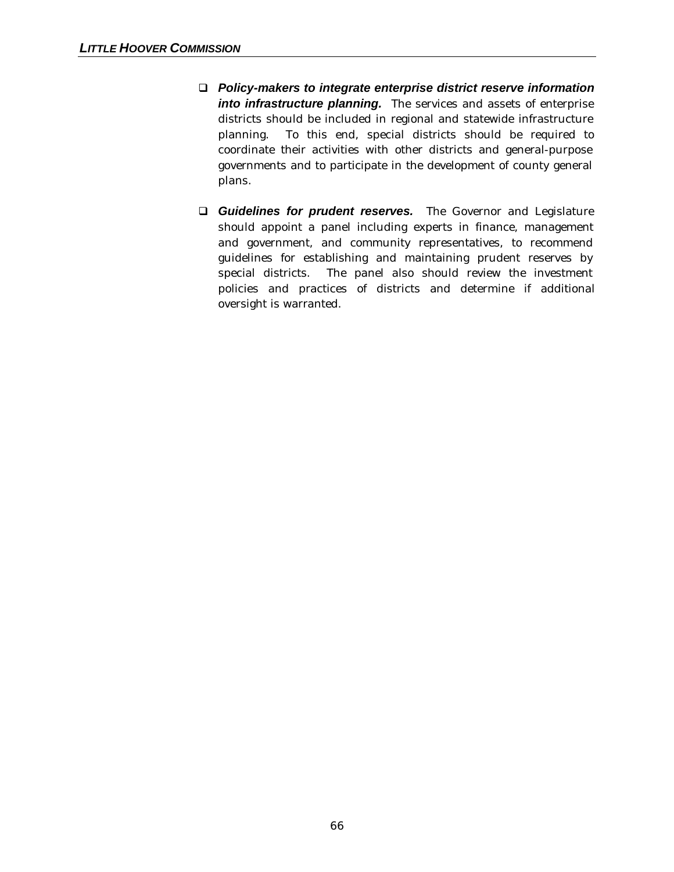- q *Policy-makers to integrate enterprise district reserve information into infrastructure planning.* The services and assets of enterprise districts should be included in regional and statewide infrastructure planning. To this end, special districts should be required to coordinate their activities with other districts and general-purpose governments and to participate in the development of county general plans.
- **Q Guidelines for prudent reserves.** The Governor and Legislature should appoint a panel including experts in finance, management and government, and community representatives, to recommend guidelines for establishing and maintaining prudent reserves by special districts. The panel also should review the investment policies and practices of districts and determine if additional oversight is warranted.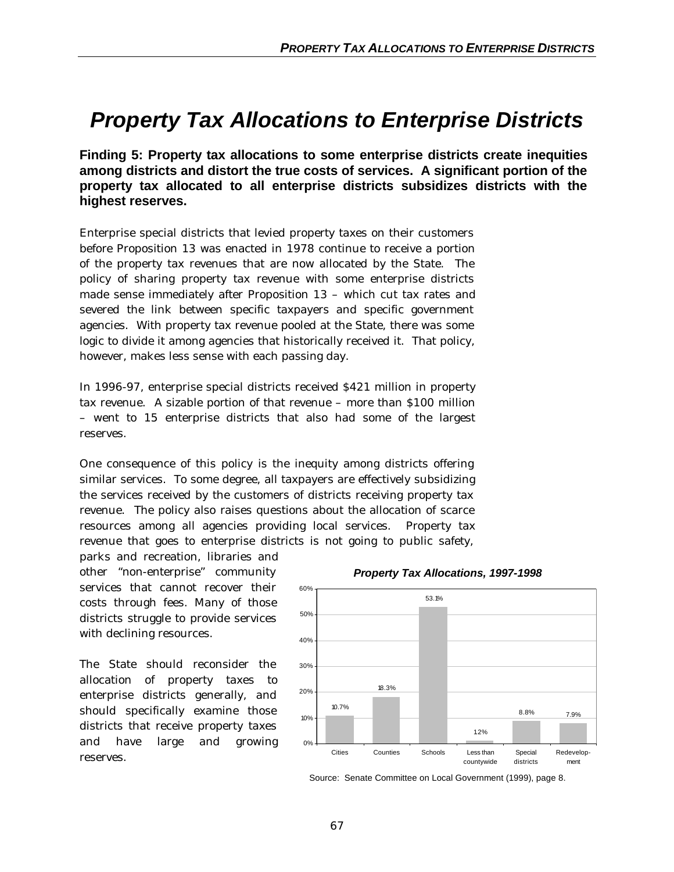## *Property Tax Allocations to Enterprise Districts*

**Finding 5: Property tax allocations to some enterprise districts create inequities among districts and distort the true costs of services. A significant portion of the property tax allocated to all enterprise districts subsidizes districts with the highest reserves.**

Enterprise special districts that levied property taxes on their customers before Proposition 13 was enacted in 1978 continue to receive a portion of the property tax revenues that are now allocated by the State. The policy of sharing property tax revenue with some enterprise districts made sense immediately after Proposition 13 – which cut tax rates and severed the link between specific taxpayers and specific government agencies. With property tax revenue pooled at the State, there was some logic to divide it among agencies that historically received it. That policy, however, makes less sense with each passing day.

In 1996-97, enterprise special districts received \$421 million in property tax revenue. A sizable portion of that revenue – more than \$100 million – went to 15 enterprise districts that also had some of the largest reserves.

One consequence of this policy is the inequity among districts offering similar services. To some degree, all taxpayers are effectively subsidizing the services received by the customers of districts receiving property tax revenue. The policy also raises questions about the allocation of scarce resources among all agencies providing local services. Property tax revenue that goes to enterprise districts is not going to public safety,

parks and recreation, libraries and other "non-enterprise" community services that cannot recover their costs through fees. Many of those districts struggle to provide services with declining resources.

The State should reconsider the allocation of property taxes to enterprise districts generally, and should specifically examine those districts that receive property taxes and have large and growing reserves.



#### *Property Tax Allocations, 1997-1998*

Source: Senate Committee on Local Government (1999), page 8.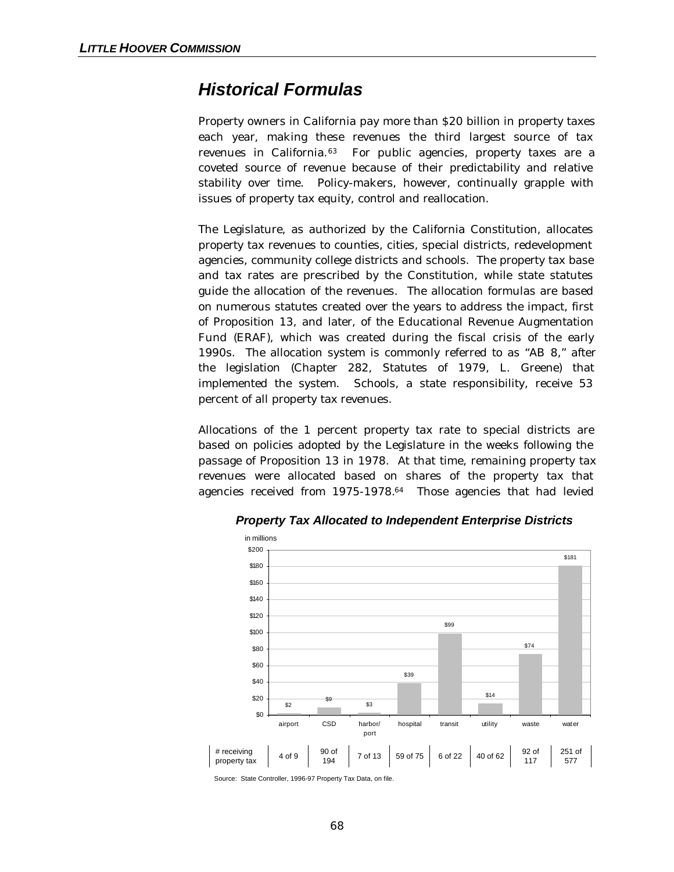## *Historical Formulas*

Property owners in California pay more than \$20 billion in property taxes each year, making these revenues the third largest source of tax revenues in California.63 For public agencies, property taxes are a coveted source of revenue because of their predictability and relative stability over time. Policy-makers, however, continually grapple with issues of property tax equity, control and reallocation.

The Legislature, as authorized by the California Constitution, allocates property tax revenues to counties, cities, special districts, redevelopment agencies, community college districts and schools. The property tax base and tax rates are prescribed by the Constitution, while state statutes guide the allocation of the revenues. The allocation formulas are based on numerous statutes created over the years to address the impact, first of Proposition 13, and later, of the Educational Revenue Augmentation Fund (ERAF), which was created during the fiscal crisis of the early 1990s. The allocation system is commonly referred to as "AB 8," after the legislation (Chapter 282, Statutes of 1979, L. Greene) that implemented the system. Schools, a state responsibility, receive 53 percent of all property tax revenues.

Allocations of the 1 percent property tax rate to special districts are based on policies adopted by the Legislature in the weeks following the passage of Proposition 13 in 1978. At that time, remaining property tax revenues were allocated based on shares of the property tax that agencies received from 1975-1978.64 Those agencies that had levied



*Property Tax Allocated to Independent Enterprise Districts*

Source: State Controller, 1996-97 Property Tax Data, on file.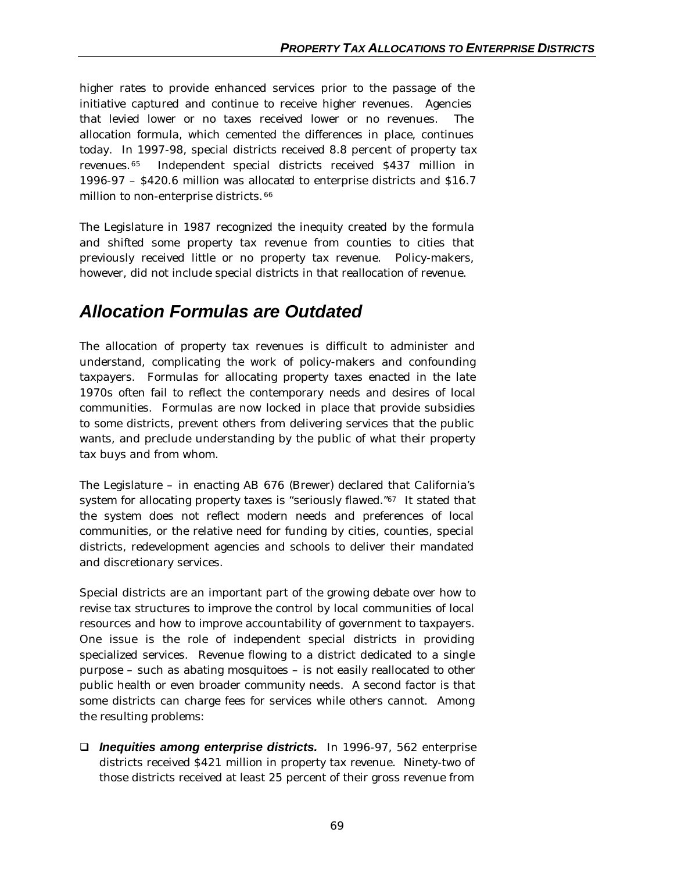higher rates to provide enhanced services prior to the passage of the initiative captured and continue to receive higher revenues. Agencies that levied lower or no taxes received lower or no revenues. The allocation formula, which cemented the differences in place, continues today. In 1997-98, special districts received 8.8 percent of property tax revenues.65 Independent special districts received \$437 million in 1996-97 – \$420.6 million was allocated to enterprise districts and \$16.7 million to non-enterprise districts. <sup>66</sup>

The Legislature in 1987 recognized the inequity created by the formula and shifted some property tax revenue from counties to cities that previously received little or no property tax revenue. Policy-makers, however, did not include special districts in that reallocation of revenue.

## *Allocation Formulas are Outdated*

The allocation of property tax revenues is difficult to administer and understand, complicating the work of policy-makers and confounding taxpayers. Formulas for allocating property taxes enacted in the late 1970s often fail to reflect the contemporary needs and desires of local communities. Formulas are now locked in place that provide subsidies to some districts, prevent others from delivering services that the public wants, and preclude understanding by the public of what their property tax buys and from whom.

The Legislature – in enacting AB 676 (Brewer) declared that California's system for allocating property taxes is "seriously flawed."67 It stated that the system does not reflect modern needs and preferences of local communities, or the relative need for funding by cities, counties, special districts, redevelopment agencies and schools to deliver their mandated and discretionary services.

Special districts are an important part of the growing debate over how to revise tax structures to improve the control by local communities of local resources and how to improve accountability of government to taxpayers. One issue is the role of independent special districts in providing specialized services. Revenue flowing to a district dedicated to a single purpose – such as abating mosquitoes – is not easily reallocated to other public health or even broader community needs. A second factor is that some districts can charge fees for services while others cannot. Among the resulting problems:

q *Inequities among enterprise districts.*In 1996-97, 562 enterprise districts received \$421 million in property tax revenue. Ninety-two of those districts received at least 25 percent of their gross revenue from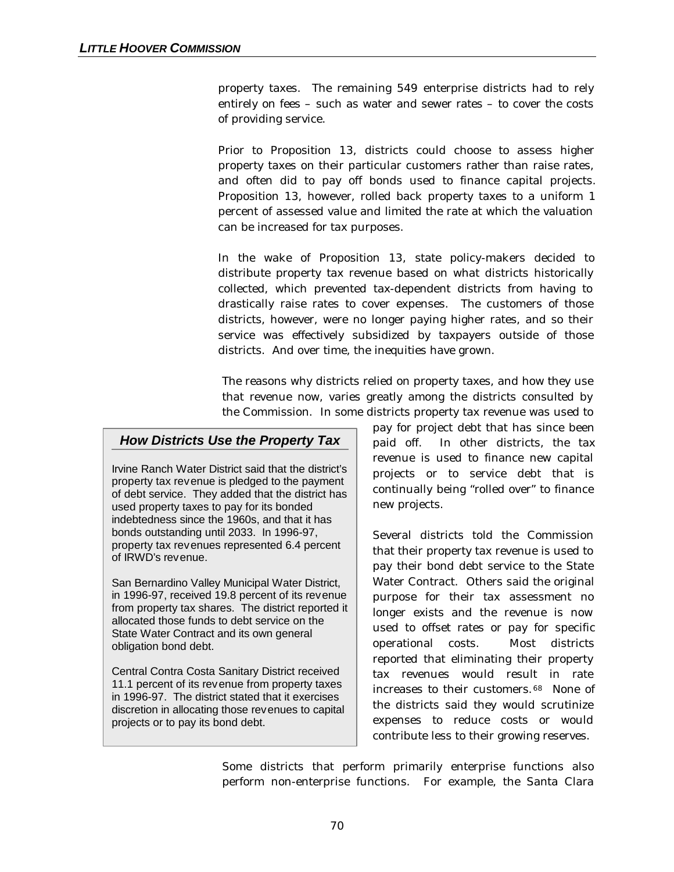property taxes. The remaining 549 enterprise districts had to rely entirely on fees – such as water and sewer rates – to cover the costs of providing service.

Prior to Proposition 13, districts could choose to assess higher property taxes on their particular customers rather than raise rates, and often did to pay off bonds used to finance capital projects. Proposition 13, however, rolled back property taxes to a uniform 1 percent of assessed value and limited the rate at which the valuation can be increased for tax purposes.

In the wake of Proposition 13, state policy-makers decided to distribute property tax revenue based on what districts historically collected, which prevented tax-dependent districts from having to drastically raise rates to cover expenses. The customers of those districts, however, were no longer paying higher rates, and so their service was effectively subsidized by taxpayers outside of those districts. And over time, the inequities have grown.

The reasons why districts relied on property taxes, and how they use that revenue now, varies greatly among the districts consulted by the Commission. In some districts property tax revenue was used to

## *How Districts Use the Property Tax*

Irvine Ranch Water District said that the district's property tax revenue is pledged to the payment of debt service. They added that the district has used property taxes to pay for its bonded indebtedness since the 1960s, and that it has bonds outstanding until 2033. In 1996-97, property tax revenues represented 6.4 percent of IRWD's revenue.

San Bernardino Valley Municipal Water District, in 1996-97, received 19.8 percent of its revenue from property tax shares. The district reported it allocated those funds to debt service on the State Water Contract and its own general obligation bond debt.

Central Contra Costa Sanitary District received 11.1 percent of its revenue from property taxes in 1996-97. The district stated that it exercises discretion in allocating those revenues to capital projects or to pay its bond debt.

pay for project debt that has since been paid off. In other districts, the tax revenue is used to finance new capital projects or to service debt that is continually being "rolled over" to finance new projects.

Several districts told the Commission that their property tax revenue is used to pay their bond debt service to the State Water Contract. Others said the original purpose for their tax assessment no longer exists and the revenue is now used to offset rates or pay for specific operational costs. Most districts reported that eliminating their property tax revenues would result in rate increases to their customers. <sup>68</sup> None of the districts said they would scrutinize expenses to reduce costs or would contribute less to their growing reserves.

Some districts that perform primarily enterprise functions also perform non-enterprise functions. For example, the Santa Clara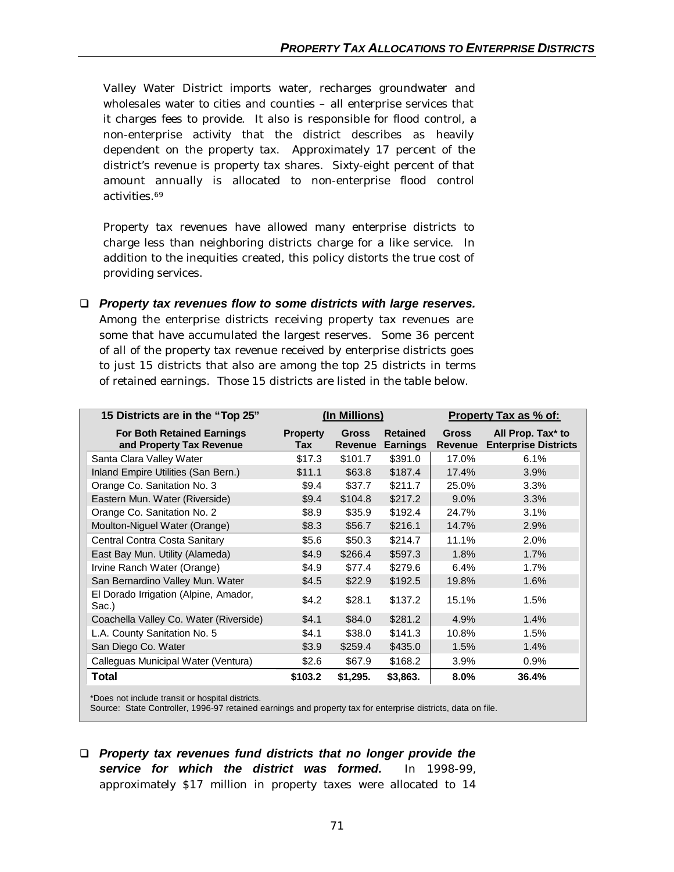Valley Water District imports water, recharges groundwater and wholesales water to cities and counties – all enterprise services that it charges fees to provide. It also is responsible for flood control, a non-enterprise activity that the district describes as heavily dependent on the property tax. Approximately 17 percent of the district's revenue is property tax shares. Sixty-eight percent of that amount annually is allocated to non-enterprise flood control activities.<sup>69</sup>

Property tax revenues have allowed many enterprise districts to charge less than neighboring districts charge for a like service. In addition to the inequities created, this policy distorts the true cost of providing services.

q *Property tax revenues flow to some districts with large reserves.* Among the enterprise districts receiving property tax revenues are some that have accumulated the largest reserves. Some 36 percent of all of the property tax revenue received by enterprise districts goes to just 15 districts that also are among the top 25 districts in terms of retained earnings. Those 15 districts are listed in the table below.

| 15 Districts are in the "Top 25"                              | (In Millions)          |                                |                                    | Property Tax as % of:          |                                                  |  |
|---------------------------------------------------------------|------------------------|--------------------------------|------------------------------------|--------------------------------|--------------------------------------------------|--|
| <b>For Both Retained Earnings</b><br>and Property Tax Revenue | <b>Property</b><br>Tax | <b>Gross</b><br><b>Revenue</b> | <b>Retained</b><br><b>Earnings</b> | <b>Gross</b><br><b>Revenue</b> | All Prop. Tax* to<br><b>Enterprise Districts</b> |  |
| Santa Clara Valley Water                                      | \$17.3                 | \$101.7                        | \$391.0                            | 17.0%                          | 6.1%                                             |  |
| Inland Empire Utilities (San Bern.)                           | \$11.1                 | \$63.8                         | \$187.4                            | 17.4%                          | 3.9%                                             |  |
| Orange Co. Sanitation No. 3                                   | \$9.4                  | \$37.7                         | \$211.7                            | 25.0%                          | 3.3%                                             |  |
| Eastern Mun. Water (Riverside)                                | \$9.4                  | \$104.8                        | \$217.2                            | 9.0%                           | 3.3%                                             |  |
| Orange Co. Sanitation No. 2                                   | \$8.9                  | \$35.9                         | \$192.4                            | 24.7%                          | 3.1%                                             |  |
| Moulton-Niguel Water (Orange)                                 | \$8.3                  | \$56.7                         | \$216.1                            | 14.7%                          | 2.9%                                             |  |
| Central Contra Costa Sanitary                                 | \$5.6                  | \$50.3                         | \$214.7                            | 11.1%                          | 2.0%                                             |  |
| East Bay Mun. Utility (Alameda)                               | \$4.9                  | \$266.4                        | \$597.3                            | 1.8%                           | 1.7%                                             |  |
| Irvine Ranch Water (Orange)                                   | \$4.9                  | \$77.4                         | \$279.6                            | 6.4%                           | $1.7\%$                                          |  |
| San Bernardino Valley Mun. Water                              | \$4.5                  | \$22.9                         | \$192.5                            | 19.8%                          | 1.6%                                             |  |
| El Dorado Irrigation (Alpine, Amador,<br>Sac.)                | \$4.2                  | \$28.1                         | \$137.2                            | 15.1%                          | 1.5%                                             |  |
| Coachella Valley Co. Water (Riverside)                        | \$4.1                  | \$84.0                         | \$281.2                            | 4.9%                           | 1.4%                                             |  |
| L.A. County Sanitation No. 5                                  | \$4.1                  | \$38.0                         | \$141.3                            | 10.8%                          | 1.5%                                             |  |
| San Diego Co. Water                                           | \$3.9                  | \$259.4                        | \$435.0                            | 1.5%                           | 1.4%                                             |  |
| Calleguas Municipal Water (Ventura)                           | \$2.6                  | \$67.9                         | \$168.2                            | 3.9%                           | 0.9%                                             |  |
| Total                                                         | \$103.2                | \$1,295.                       | \$3,863.                           | 8.0%                           | 36.4%                                            |  |

\*Does not include transit or hospital districts.

Source: State Controller, 1996-97 retained earnings and property tax for enterprise districts, data on file.

q *Property tax revenues fund districts that no longer provide the service for which the district was formed.* In 1998-99, approximately \$17 million in property taxes were allocated to 14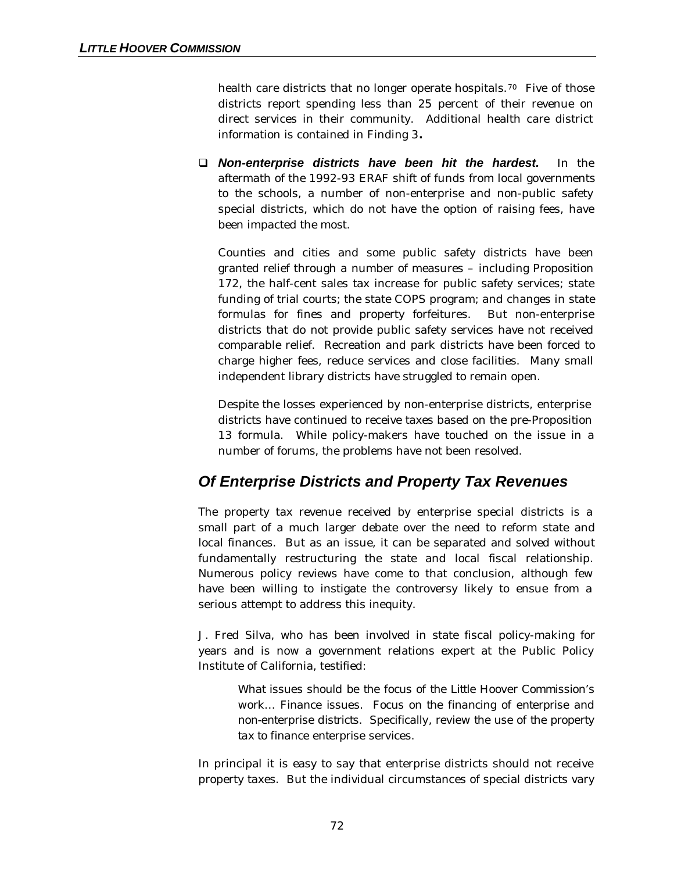health care districts that no longer operate hospitals.<sup>70</sup> Five of those districts report spending less than 25 percent of their revenue on direct services in their community. Additional health care district information is contained in Finding 3**.**

q *Non-enterprise districts have been hit the hardest.* In the aftermath of the 1992-93 ERAF shift of funds from local governments to the schools, a number of non-enterprise and non-public safety special districts, which do not have the option of raising fees, have been impacted the most.

Counties and cities and some public safety districts have been granted relief through a number of measures – including Proposition 172, the half-cent sales tax increase for public safety services; state funding of trial courts; the state COPS program; and changes in state formulas for fines and property forfeitures. But non-enterprise districts that do not provide public safety services have not received comparable relief. Recreation and park districts have been forced to charge higher fees, reduce services and close facilities. Many small independent library districts have struggled to remain open.

Despite the losses experienced by non-enterprise districts, enterprise districts have continued to receive taxes based on the pre-Proposition 13 formula. While policy-makers have touched on the issue in a number of forums, the problems have not been resolved.

## *Of Enterprise Districts and Property Tax Revenues*

The property tax revenue received by enterprise special districts is a small part of a much larger debate over the need to reform state and local finances. But as an issue, it can be separated and solved without fundamentally restructuring the state and local fiscal relationship. Numerous policy reviews have come to that conclusion, although few have been willing to instigate the controversy likely to ensue from a serious attempt to address this inequity.

J. Fred Silva, who has been involved in state fiscal policy-making for years and is now a government relations expert at the Public Policy Institute of California, testified:

> *What issues should be the focus of the Little Hoover Commission's work… Finance issues. Focus on the financing of enterprise and non-enterprise districts. Specifically, review the use of the property tax to finance enterprise services.*

In principal it is easy to say that enterprise districts should not receive property taxes. But the individual circumstances of special districts vary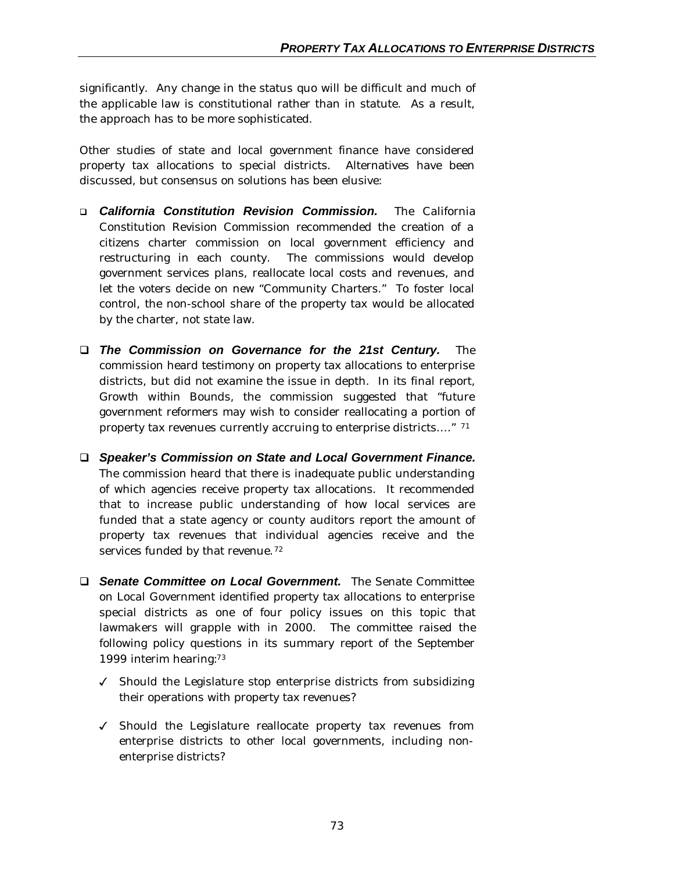significantly. Any change in the status quo will be difficult and much of the applicable law is constitutional rather than in statute. As a result, the approach has to be more sophisticated.

Other studies of state and local government finance have considered property tax allocations to special districts. Alternatives have been discussed, but consensus on solutions has been elusive:

- q *California Constitution Revision Commission.* The California Constitution Revision Commission recommended the creation of a citizens charter commission on local government efficiency and restructuring in each county. The commissions would develop government services plans, reallocate local costs and revenues, and let the voters decide on new "Community Charters." To foster local control, the non-school share of the property tax would be allocated by the charter, not state law.
- q *The Commission on Governance for the 21st Century.* The commission heard testimony on property tax allocations to enterprise districts, but did not examine the issue in depth. In its final report, *Growth within Bounds,* the commission suggested that "future government reformers may wish to consider reallocating a portion of property tax revenues currently accruing to enterprise districts… ." <sup>71</sup>
- □ *Speaker's Commission on State and Local Government Finance.* The commission heard that there is inadequate public understanding of which agencies receive property tax allocations. It recommended that to increase public understanding of how local services are funded that a state agency or county auditors report the amount of property tax revenues that individual agencies receive and the services funded by that revenue.<sup>72</sup>
- **Q Senate Committee on Local Government.** The Senate Committee on Local Government identified property tax allocations to enterprise special districts as one of four policy issues on this topic that lawmakers will grapple with in 2000. The committee raised the following policy questions in its summary report of the September 1999 interim hearing:<sup>73</sup>
	- $\checkmark$  Should the Legislature stop enterprise districts from subsidizing their operations with property tax revenues?
	- $J$  Should the Legislature reallocate property tax revenues from enterprise districts to other local governments, including nonenterprise districts?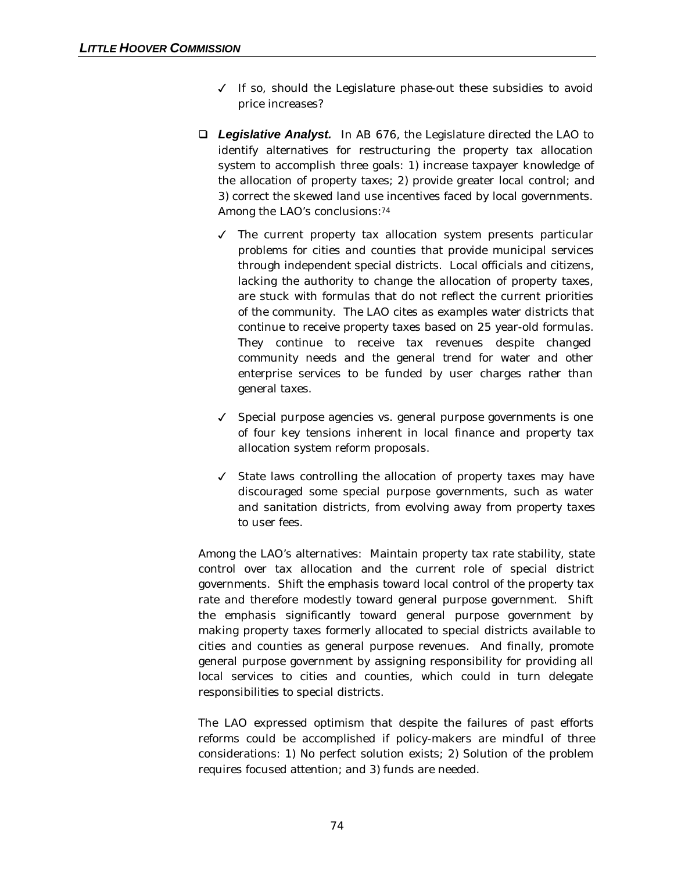- $\checkmark$  If so, should the Legislature phase-out these subsidies to avoid price increases?
- □ Legislative Analyst. In AB 676, the Legislature directed the LAO to identify alternatives for restructuring the property tax allocation system to accomplish three goals: 1) increase taxpayer knowledge of the allocation of property taxes; 2) provide greater local control; and 3) correct the skewed land use incentives faced by local governments. Among the LAO's conclusions:<sup>74</sup>
	- $\checkmark$  The current property tax allocation system presents particular problems for cities and counties that provide municipal services through independent special districts. Local officials and citizens, lacking the authority to change the allocation of property taxes, are stuck with formulas that do not reflect the current priorities of the community. The LAO cites as examples water districts that continue to receive property taxes based on 25 year-old formulas. They continue to receive tax revenues despite changed community needs and the general trend for water and other enterprise services to be funded by user charges rather than general taxes.
	- $\checkmark$  Special purpose agencies vs. general purpose governments is one of four key tensions inherent in local finance and property tax allocation system reform proposals.
	- $\checkmark$  State laws controlling the allocation of property taxes may have discouraged some special purpose governments, such as water and sanitation districts, from evolving away from property taxes to user fees.

Among the LAO's alternatives: Maintain property tax rate stability, state control over tax allocation and the current role of special district governments. Shift the emphasis toward local control of the property tax rate and therefore modestly toward general purpose government. Shift the emphasis significantly toward general purpose government by making property taxes formerly allocated to special districts available to cities and counties as general purpose revenues. And finally, promote general purpose government by assigning responsibility for providing all local services to cities and counties, which could in turn delegate responsibilities to special districts.

The LAO expressed optimism that despite the failures of past efforts reforms could be accomplished if policy-makers are mindful of three considerations: 1) No perfect solution exists; 2) Solution of the problem requires focused attention; and 3) funds are needed.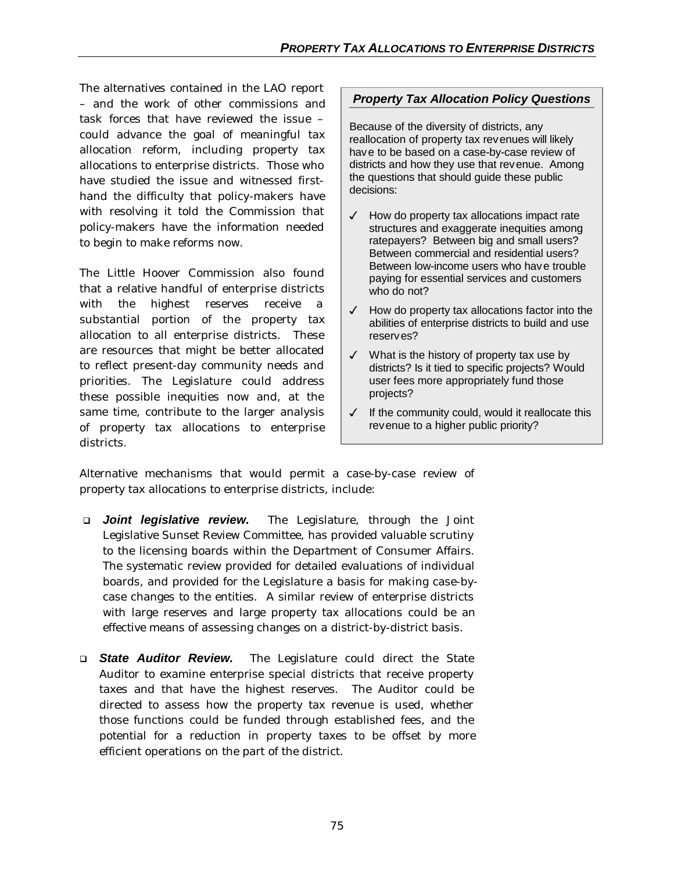The alternatives contained in the LAO report – and the work of other commissions and task forces that have reviewed the issue – could advance the goal of meaningful tax allocation reform, including property tax allocations to enterprise districts. Those who have studied the issue and witnessed firsthand the difficulty that policy-makers have with resolving it told the Commission that policy-makers have the information needed to begin to make reforms now.

The Little Hoover Commission also found that a relative handful of enterprise districts with the highest reserves receive a substantial portion of the property tax allocation to all enterprise districts. These are resources that might be better allocated to reflect present-day community needs and priorities. The Legislature could address these possible inequities now and, at the same time, contribute to the larger analysis of property tax allocations to enterprise districts.

## *Property Tax Allocation Policy Questions*

Because of the diversity of districts, any reallocation of property tax revenues will likely have to be based on a case-by-case review of districts and how they use that revenue. Among the questions that should guide these public decisions:

- $\checkmark$  How do property tax allocations impact rate structures and exaggerate inequities among ratepayers? Between big and small users? Between commercial and residential users? Between low-income users who have trouble paying for essential services and customers who do not?
- $\checkmark$  How do property tax allocations factor into the abilities of enterprise districts to build and use reserves?
- $\checkmark$  What is the history of property tax use by districts? Is it tied to specific projects? Would user fees more appropriately fund those projects?
- $\checkmark$  If the community could, would it reallocate this revenue to a higher public priority?

Alternative mechanisms that would permit a case-by-case review of property tax allocations to enterprise districts, include:

- q *Joint legislative review.* The Legislature, through the Joint Legislative Sunset Review Committee, has provided valuable scrutiny to the licensing boards within the Department of Consumer Affairs. The systematic review provided for detailed evaluations of individual boards, and provided for the Legislature a basis for making case-bycase changes to the entities. A similar review of enterprise districts with large reserves and large property tax allocations could be an effective means of assessing changes on a district-by-district basis.
- q *State Auditor Review.* The Legislature could direct the State Auditor to examine enterprise special districts that receive property taxes and that have the highest reserves. The Auditor could be directed to assess how the property tax revenue is used, whether those functions could be funded through established fees, and the potential for a reduction in property taxes to be offset by more efficient operations on the part of the district.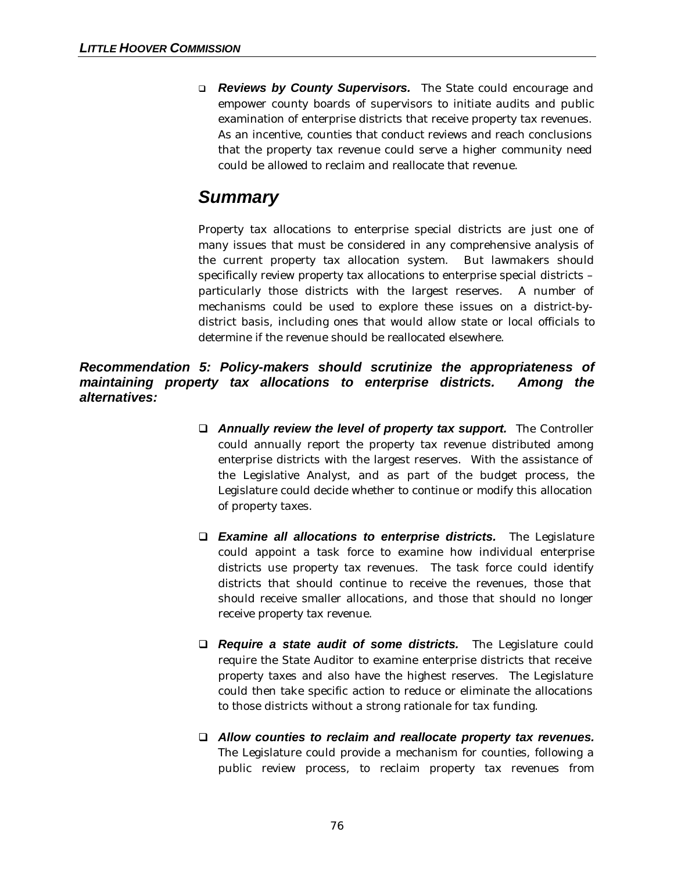q *Reviews by County Supervisors.* The State could encourage and empower county boards of supervisors to initiate audits and public examination of enterprise districts that receive property tax revenues. As an incentive, counties that conduct reviews and reach conclusions that the property tax revenue could serve a higher community need could be allowed to reclaim and reallocate that revenue.

## *Summary*

Property tax allocations to enterprise special districts are just one of many issues that must be considered in any comprehensive analysis of the current property tax allocation system. But lawmakers should specifically review property tax allocations to enterprise special districts – particularly those districts with the largest reserves. A number of mechanisms could be used to explore these issues on a district-bydistrict basis, including ones that would allow state or local officials to determine if the revenue should be reallocated elsewhere.

*Recommendation 5: Policy-makers should scrutinize the appropriateness of maintaining property tax allocations to enterprise districts. Among the alternatives:*

- **Q** *Annually review the level of property tax support.* **The Controller** could annually report the property tax revenue distributed among enterprise districts with the largest reserves. With the assistance of the Legislative Analyst, and as part of the budget process, the Legislature could decide whether to continue or modify this allocation of property taxes.
- q *Examine all allocations to enterprise districts.* The Legislature could appoint a task force to examine how individual enterprise districts use property tax revenues. The task force could identify districts that should continue to receive the revenues, those that should receive smaller allocations, and those that should no longer receive property tax revenue.
- **Q** *Require a state audit of some districts*. The Legislature could require the State Auditor to examine enterprise districts that receive property taxes and also have the highest reserves. The Legislature could then take specific action to reduce or eliminate the allocations to those districts without a strong rationale for tax funding.
- q *Allow counties to reclaim and reallocate property tax revenues.* The Legislature could provide a mechanism for counties, following a public review process, to reclaim property tax revenues from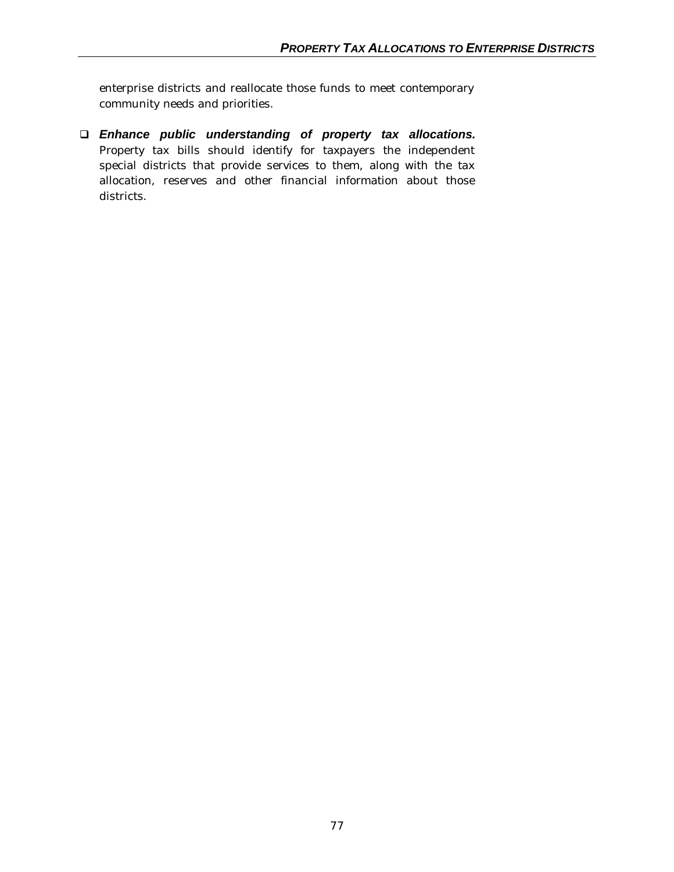enterprise districts and reallocate those funds to meet contemporary community needs and priorities.

q *Enhance public understanding of property tax allocations.* Property tax bills should identify for taxpayers the independent special districts that provide services to them, along with the tax allocation, reserves and other financial information about those districts.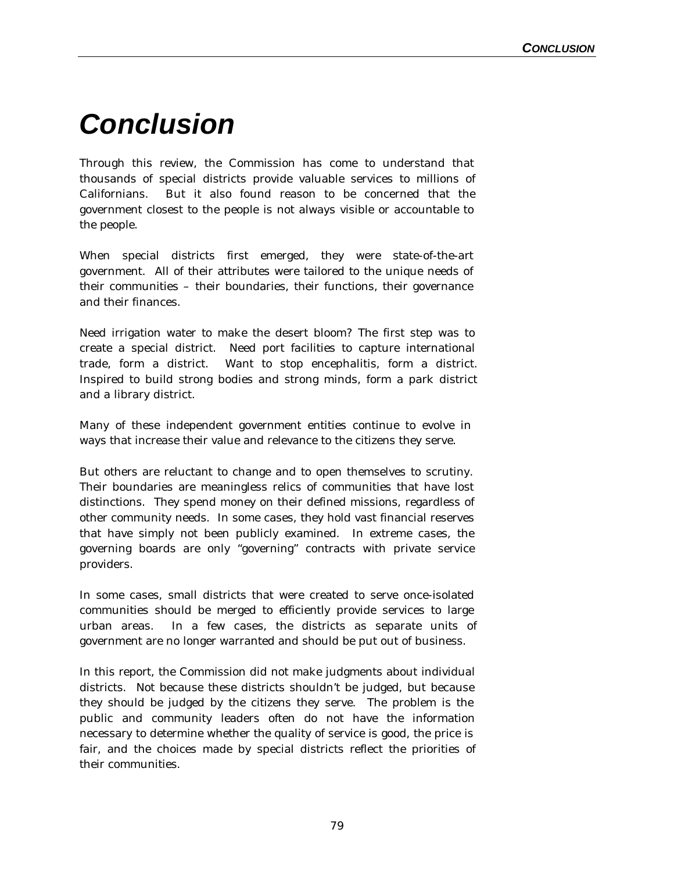## *Conclusion*

Through this review, the Commission has come to understand that thousands of special districts provide valuable services to millions of Californians. But it also found reason to be concerned that the government closest to the people is not always visible or accountable to the people.

When special districts first emerged, they were state-of-the-art government. All of their attributes were tailored to the unique needs of their communities – their boundaries, their functions, their governance and their finances.

Need irrigation water to make the desert bloom? The first step was to create a special district. Need port facilities to capture international trade, form a district. Want to stop encephalitis, form a district. Inspired to build strong bodies and strong minds, form a park district and a library district.

Many of these independent government entities continue to evolve in ways that increase their value and relevance to the citizens they serve.

But others are reluctant to change and to open themselves to scrutiny. Their boundaries are meaningless relics of communities that have lost distinctions. They spend money on their defined missions, regardless of other community needs. In some cases, they hold vast financial reserves that have simply not been publicly examined. In extreme cases, the governing boards are only "governing" contracts with private service providers.

In some cases, small districts that were created to serve once-isolated communities should be merged to efficiently provide services to large urban areas. In a few cases, the districts as separate units of government are no longer warranted and should be put out of business.

In this report, the Commission did not make judgments about individual districts. Not because these districts shouldn't be judged, but because they should be judged by the citizens they serve. The problem is the public and community leaders often do not have the information necessary to determine whether the quality of service is good, the price is fair, and the choices made by special districts reflect the priorities of their communities.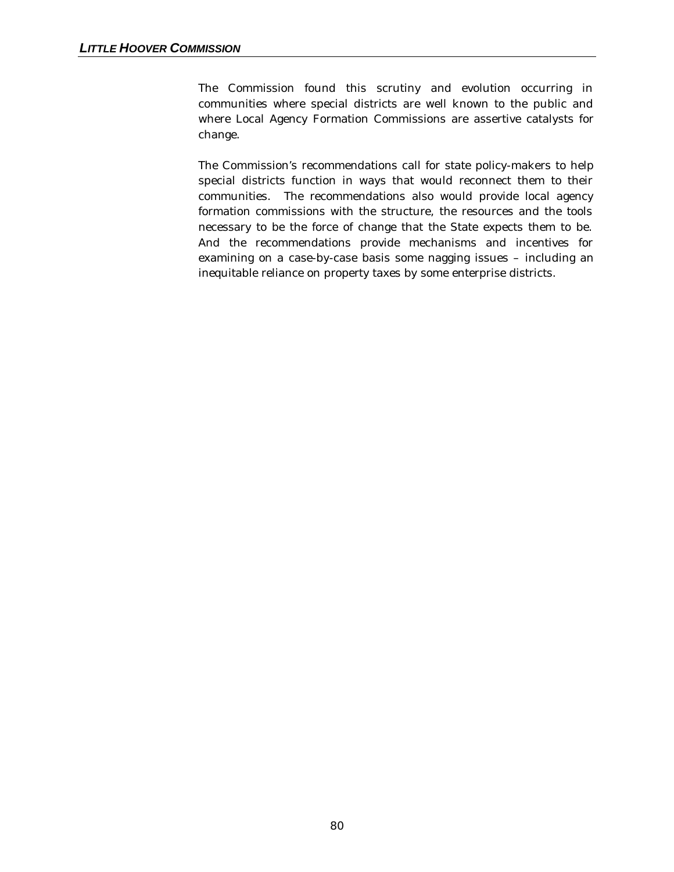The Commission found this scrutiny and evolution occurring in communities where special districts are well known to the public and where Local Agency Formation Commissions are assertive catalysts for change.

The Commission's recommendations call for state policy-makers to help special districts function in ways that would reconnect them to their communities. The recommendations also would provide local agency formation commissions with the structure, the resources and the tools necessary to be the force of change that the State expects them to be. And the recommendations provide mechanisms and incentives for examining on a case-by-case basis some nagging issues – including an inequitable reliance on property taxes by some enterprise districts.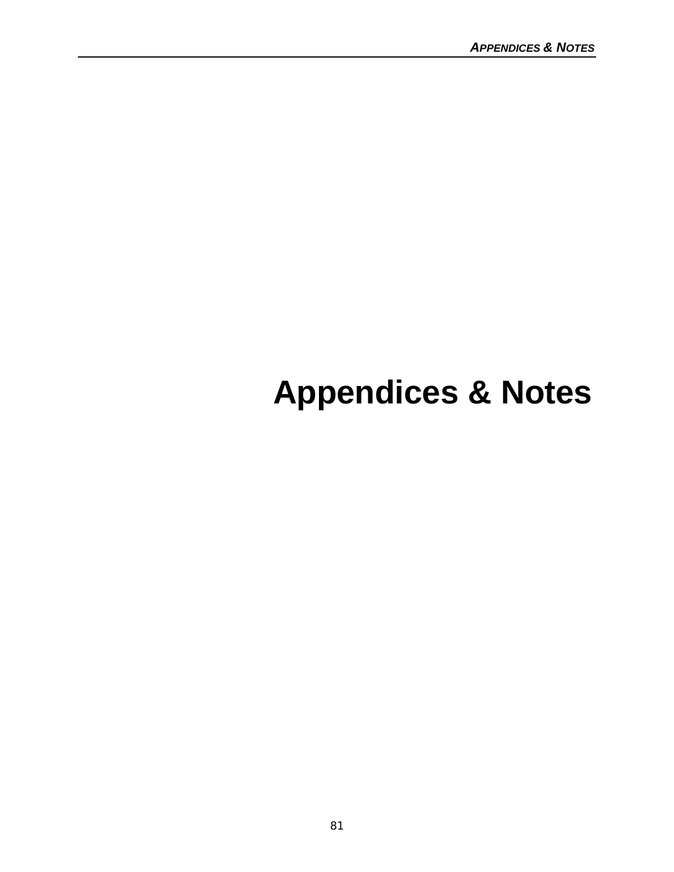# **Appendices & Notes**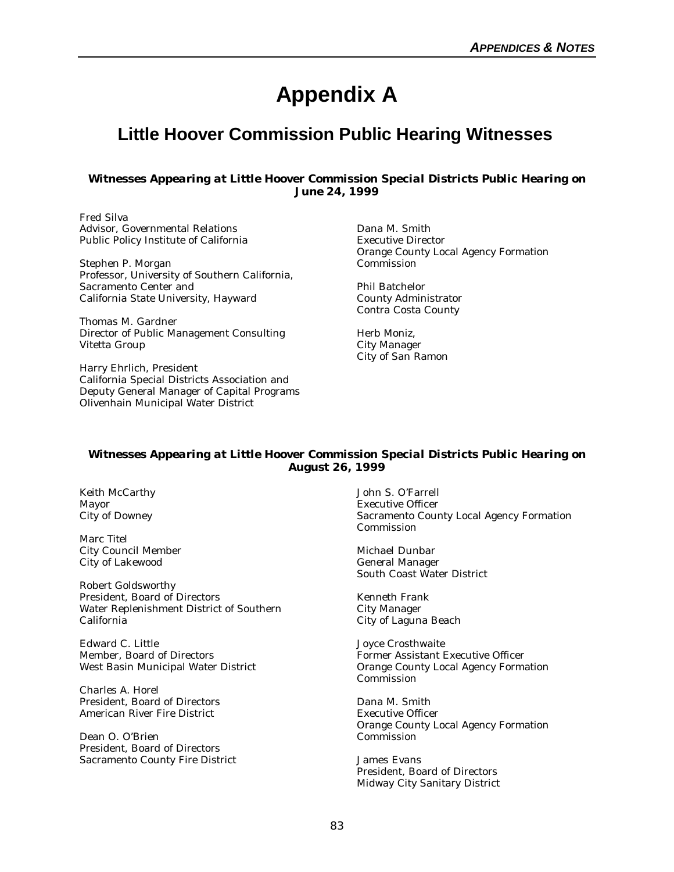## **Appendix A**

## **Little Hoover Commission Public Hearing Witnesses**

#### *Witnesses Appearing at Little Hoover Commission Special Districts Public Hearing on June 24, 1999*

Fred Silva Advisor, Governmental Relations Public Policy Institute of California

Stephen P. Morgan Professor, University of Southern California, Sacramento Center and California State University, Hayward

Thomas M. Gardner Director of Public Management Consulting Vitetta Group

Harry Ehrlich, President California Special Districts Association and Deputy General Manager of Capital Programs Olivenhain Municipal Water District

Dana M. Smith Executive Director Orange County Local Agency Formation Commission

Phil Batchelor County Administrator Contra Costa County

Herb Moniz, City Manager City of San Ramon

#### *Witnesses Appearing at Little Hoover Commission Special Districts Public Hearing on August 26, 1999*

Keith McCarthy Mayor City of Downey

Marc Titel City Council Member City of Lakewood

Robert Goldsworthy President, Board of Directors Water Replenishment District of Southern California

Edward C. Little Member, Board of Directors West Basin Municipal Water District

Charles A. Horel President, Board of Directors American River Fire District

Dean O. O'Brien President, Board of Directors Sacramento County Fire District John S. O'Farrell Executive Officer Sacramento County Local Agency Formation Commission

Michael Dunbar General Manager South Coast Water District

Kenneth Frank City Manager City of Laguna Beach

Joyce Crosthwaite Former Assistant Executive Officer Orange County Local Agency Formation Commission

Dana M. Smith Executive Officer Orange County Local Agency Formation Commission

James Evans President, Board of Directors Midway City Sanitary District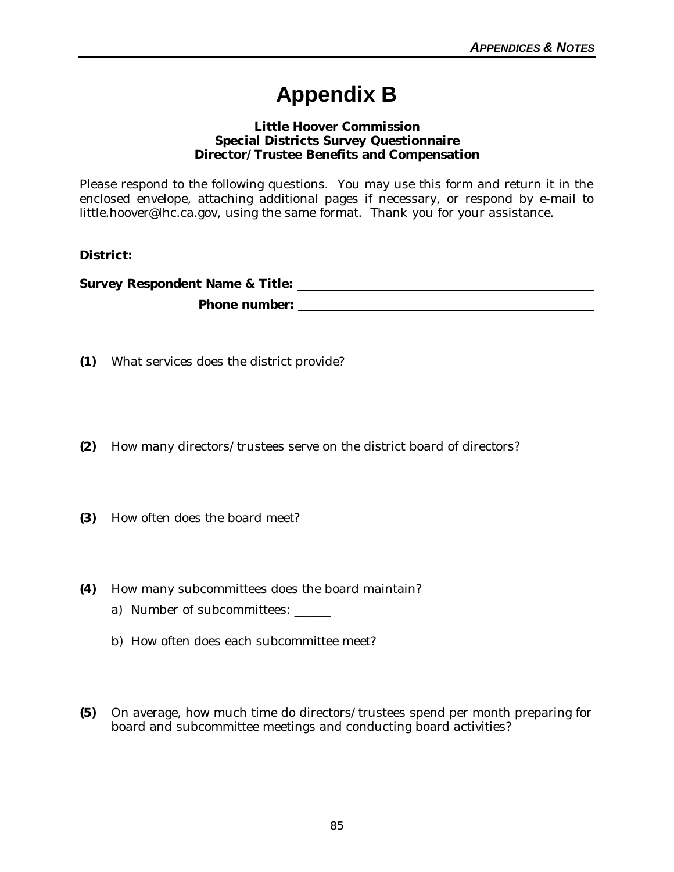## **Appendix B**

#### **Little Hoover Commission Special Districts Survey Questionnaire Director/Trustee Benefits and Compensation**

Please respond to the following questions. You may use this form and return it in the enclosed envelope, attaching additional pages if necessary, or respond by e-mail to little.hoover@lhc.ca.gov, using the same format. Thank you for your assistance.

**District:** 

**Survey Respondent Name & Title: Phone number:** 

**(1)** What services does the district provide?

- **(2)** How many directors/trustees serve on the district board of directors?
- **(3)** How often does the board meet?
- **(4)** How many subcommittees does the board maintain?
	- a) Number of subcommittees: \_\_\_\_\_\_
	- b) How often does each subcommittee meet?
- **(5)** On average, how much time do directors/trustees spend per month preparing for board and subcommittee meetings and conducting board activities?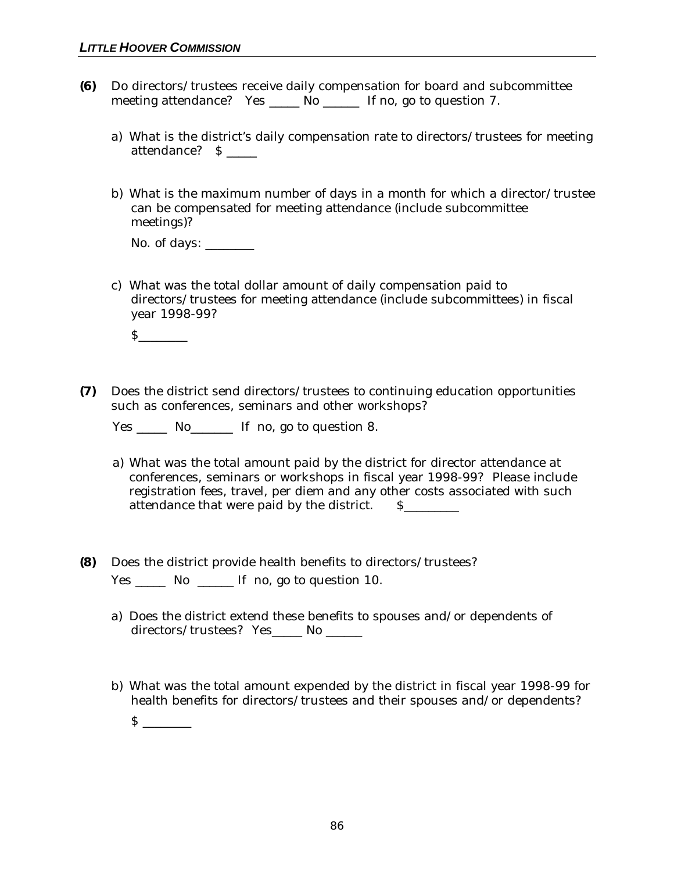- **(6)** Do directors/trustees receive daily compensation for board and subcommittee meeting attendance? Yes \_\_\_\_\_ No \_\_\_\_\_\_ If no, go to question 7.
	- a) What is the district's daily compensation rate to directors/trustees for meeting attendance? \$ \_\_\_\_\_
	- b) What is the maximum number of days in a month for which a director/trustee can be compensated for meeting attendance (include subcommittee meetings)?

No. of days: \_\_\_\_\_\_\_\_\_\_

c) What was the total dollar amount of daily compensation paid to directors/trustees for meeting attendance (include subcommittees) in fiscal year 1998-99?

\$\_\_\_\_\_\_\_\_

**(7)** Does the district send directors/trustees to continuing education opportunities such as conferences, seminars and other workshops?

Yes \_\_\_\_\_\_ No\_\_\_\_\_\_\_ If no, go to question 8.

- a) What was the total amount paid by the district for director attendance at conferences, seminars or workshops in fiscal year 1998-99? Please include registration fees, travel, per diem and any other costs associated with such attendance that were paid by the district. S\_\_\_\_\_\_\_\_
- **(8)** Does the district provide health benefits to directors/trustees? Yes \_\_\_\_\_\_ No \_\_\_\_\_\_ If no, go to question 10.
	- a) Does the district extend these benefits to spouses and/or dependents of directors/trustees? Yes\_\_\_\_\_ No \_\_\_\_\_\_
	- b) What was the total amount expended by the district in fiscal year 1998-99 for health benefits for directors/trustees and their spouses and/or dependents?  $s$   $\qquad$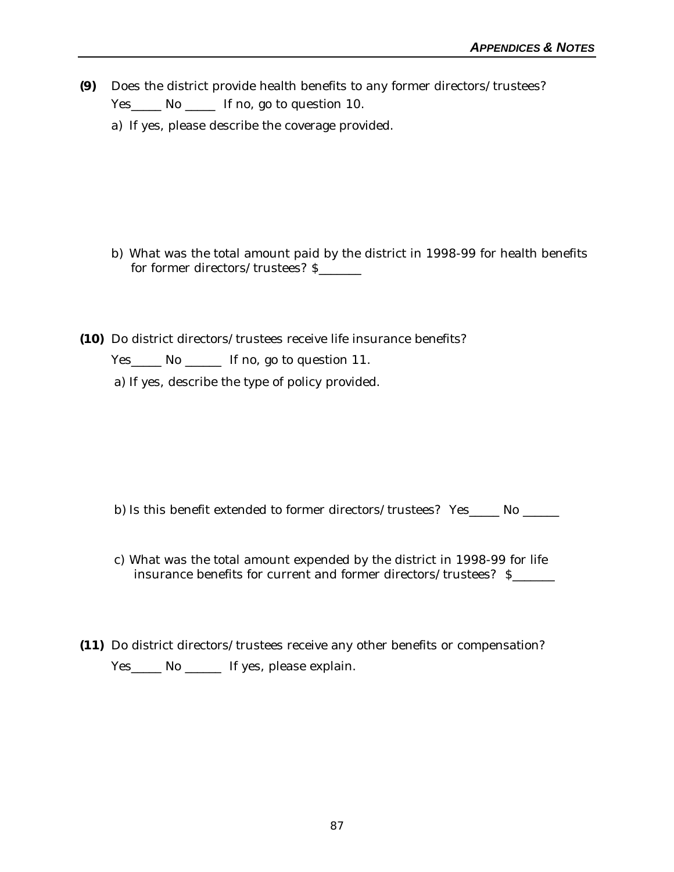- **(9)** Does the district provide health benefits to any former directors/trustees? Yes No September 10. If no, go to question 10.
	- a) If yes, please describe the coverage provided.

- b) What was the total amount paid by the district in 1998-99 for health benefits for former directors/trustees? \$\_\_\_\_\_\_\_
- **(10)** Do district directors/trustees receive life insurance benefits?

Yes\_\_\_\_\_ No \_\_\_\_\_\_ If no, go to question 11.

a) If yes, describe the type of policy provided.

- b) Is this benefit extended to former directors/trustees? Yes\_\_\_\_\_ No \_\_\_\_\_\_
- c) What was the total amount expended by the district in 1998-99 for life insurance benefits for current and former directors/trustees? \$\_\_\_\_\_\_\_
- **(11)** Do district directors/trustees receive any other benefits or compensation? Yes\_\_\_\_\_ No \_\_\_\_\_\_ If yes, please explain.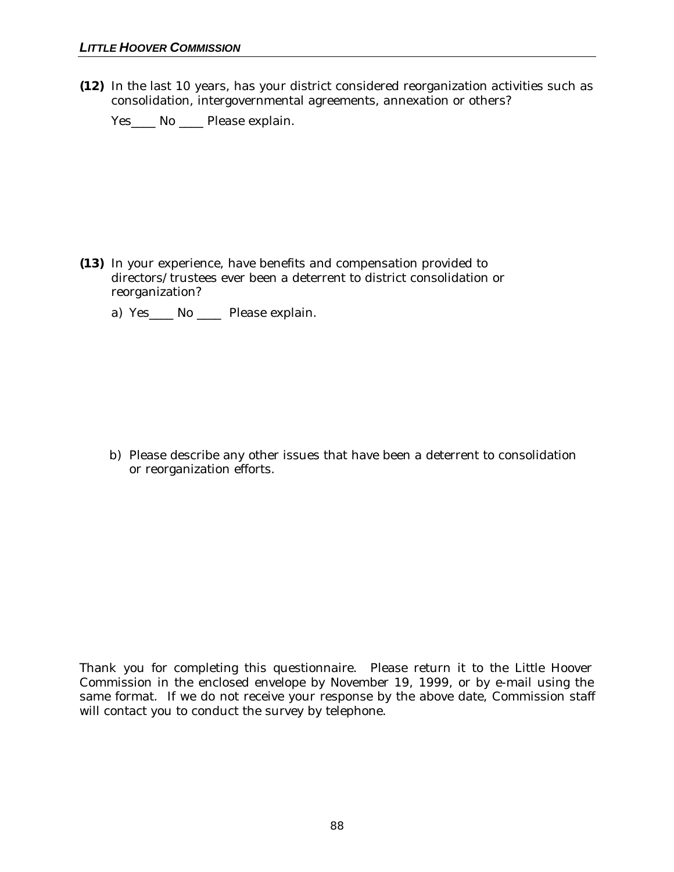**(12)** In the last 10 years, has your district considered reorganization activities such as consolidation, intergovernmental agreements, annexation or others?

Yes\_\_\_\_ No \_\_\_\_ Please explain.

- **(13)** In your experience, have benefits and compensation provided to directors/trustees ever been a deterrent to district consolidation or reorganization?
	- a) Yes\_\_\_\_ No \_\_\_\_ Please explain.

b) Please describe any other issues that have been a deterrent to consolidation or reorganization efforts.

Thank you for completing this questionnaire. Please return it to the Little Hoover Commission in the enclosed envelope by November 19, 1999, or by e-mail using the same format. If we do not receive your response by the above date, Commission staff will contact you to conduct the survey by telephone.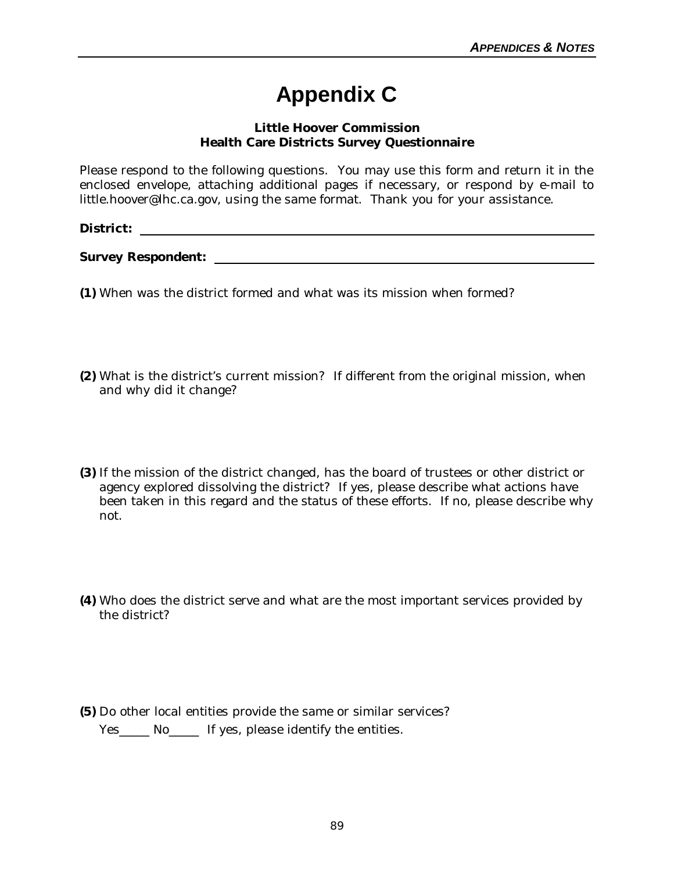## **Appendix C**

#### **Little Hoover Commission Health Care Districts Survey Questionnaire**

Please respond to the following questions. You may use this form and return it in the enclosed envelope, attaching additional pages if necessary, or respond by e-mail to little.hoover@lhc.ca.gov, using the same format. Thank you for your assistance.

### **District:**

**Survey Respondent:** 

- **(1)** When was the district formed and what was its mission when formed?
- **(2)** What is the district's current mission? If different from the original mission, when and why did it change?
- **(3)** If the mission of the district changed, has the board of trustees or other district or agency explored dissolving the district? If yes, please describe what actions have been taken in this regard and the status of these efforts. If no, please describe why not.
- **(4)** Who does the district serve and what are the most important services provided by the district?
- **(5)** Do other local entities provide the same or similar services? Yes\_\_\_\_\_ No\_\_\_\_\_ If yes, please identify the entities.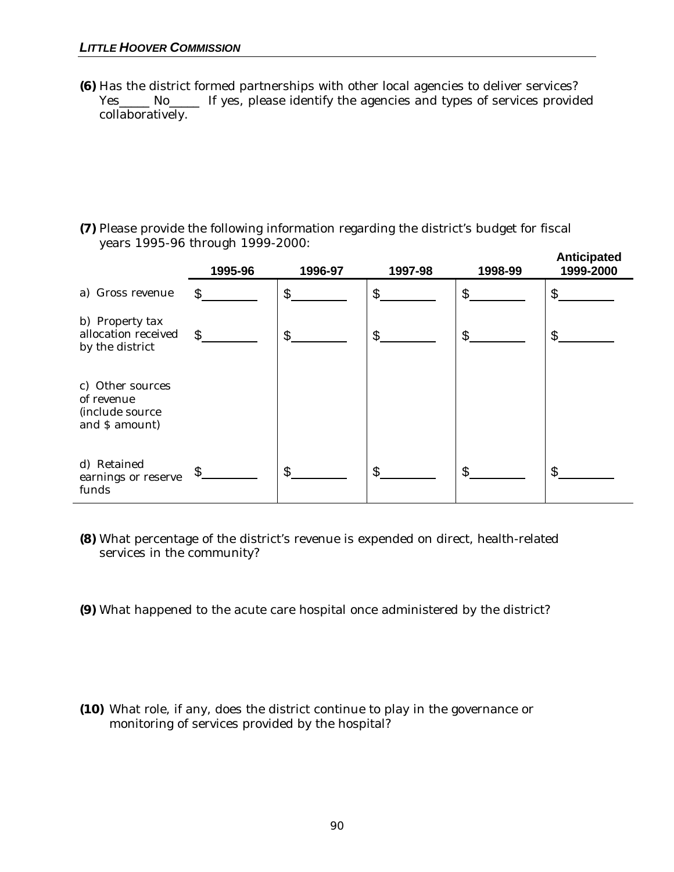**(6)** Has the district formed partnerships with other local agencies to deliver services? Yes\_\_\_\_\_ No\_\_\_\_\_ If yes, please identify the agencies and types of services provided collaboratively.

**(7)** Please provide the following information regarding the district's budget for fiscal years 1995-96 through 1999-2000:

|                                                                     | 1995-96        | 1996-97        | 1997-98        | 1998-99        | Anticipated<br>1999-2000 |
|---------------------------------------------------------------------|----------------|----------------|----------------|----------------|--------------------------|
| a) Gross revenue                                                    | \$             | \$             | \$             | \$             | \$                       |
| b) Property tax<br>allocation received<br>by the district           | $\mathfrak{L}$ | $\mathfrak{L}$ | $\mathfrak{L}$ | \$             | \$                       |
| c) Other sources<br>of revenue<br>(include source<br>and \$ amount) |                |                |                |                |                          |
| d) Retained<br>earnings or reserve<br>funds                         |                | \$.            | \$.            | $\mathfrak{L}$ | ፍ                        |

- **(8)** What percentage of the district's revenue is expended on direct, health-related services in the community?
- **(9)** What happened to the acute care hospital once administered by the district?
- **(10)** What role, if any, does the district continue to play in the governance or monitoring of services provided by the hospital?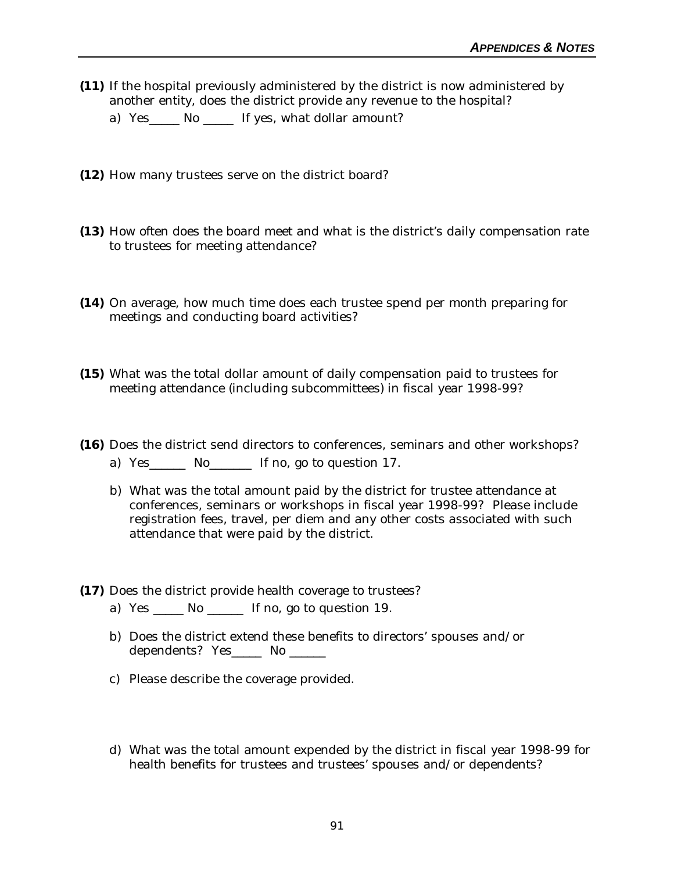- **(11)** If the hospital previously administered by the district is now administered by another entity, does the district provide any revenue to the hospital?
	- a) Yes\_\_\_\_\_ No \_\_\_\_\_ If yes, what dollar amount?
- **(12)** How many trustees serve on the district board?
- **(13)** How often does the board meet and what is the district's daily compensation rate to trustees for meeting attendance?
- **(14)** On average, how much time does each trustee spend per month preparing for meetings and conducting board activities?
- **(15)** What was the total dollar amount of daily compensation paid to trustees for meeting attendance (including subcommittees) in fiscal year 1998-99?
- **(16)** Does the district send directors to conferences, seminars and other workshops? a) Yes\_\_\_\_\_\_ No\_\_\_\_\_\_\_ If no, go to question 17.
	- b) What was the total amount paid by the district for trustee attendance at conferences, seminars or workshops in fiscal year 1998-99? Please include registration fees, travel, per diem and any other costs associated with such attendance that were paid by the district.
- **(17)** Does the district provide health coverage to trustees?
	- a) Yes \_\_\_\_\_ No \_\_\_\_\_\_ If no, go to question 19.
	- b) Does the district extend these benefits to directors' spouses and/or dependents? Yes\_\_\_\_\_\_ No \_\_\_\_\_\_
	- c) Please describe the coverage provided.
	- d) What was the total amount expended by the district in fiscal year 1998-99 for health benefits for trustees and trustees' spouses and/or dependents?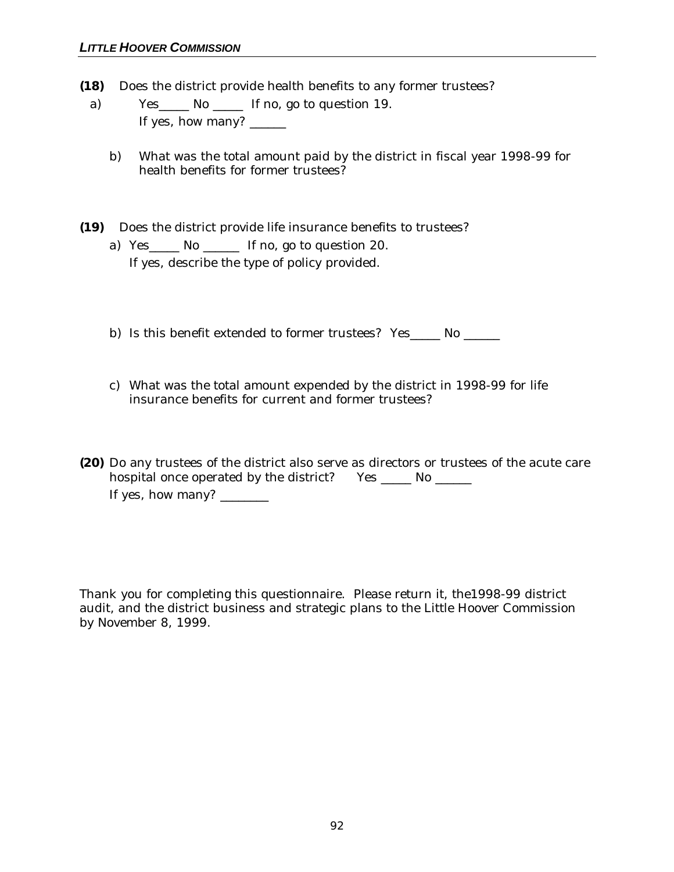- **(18)** Does the district provide health benefits to any former trustees?
	- a) Yes\_\_\_\_\_ No \_\_\_\_\_ If no, go to question 19. If yes, how many?
		- b) What was the total amount paid by the district in fiscal year 1998-99 for health benefits for former trustees?
- **(19)** Does the district provide life insurance benefits to trustees? a) Yes\_\_\_\_\_ No \_\_\_\_\_\_ If no, go to question 20. If yes, describe the type of policy provided.
	- b) Is this benefit extended to former trustees? Yes No No No No No Refs.
	- c) What was the total amount expended by the district in 1998-99 for life insurance benefits for current and former trustees?
- **(20)** Do any trustees of the district also serve as directors or trustees of the acute care hospital once operated by the district? Yes \_\_\_\_\_ No \_\_\_\_\_\_ If yes, how many?  $\sqrt{\frac{2}{1-\frac{1}{2}}$

Thank you for completing this questionnaire. Please return it, the1998-99 district audit, and the district business and strategic plans to the Little Hoover Commission by November 8, 1999.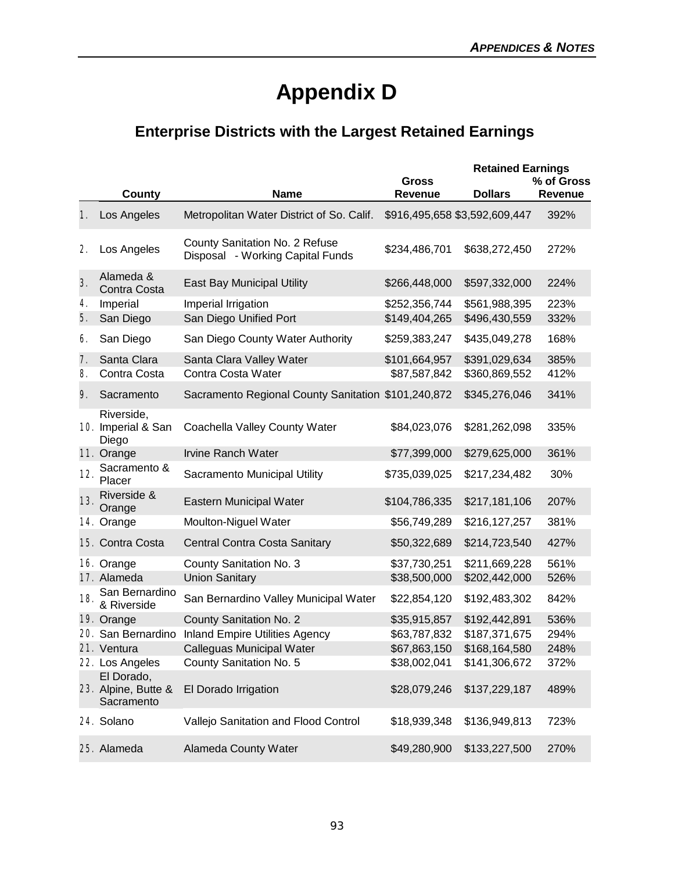## **Appendix D**

## **Enterprise Districts with the Largest Retained Earnings**

|     |                                                 |                                                                    |                         | <b>Retained Earnings</b>      |                       |
|-----|-------------------------------------------------|--------------------------------------------------------------------|-------------------------|-------------------------------|-----------------------|
|     | County                                          | <b>Name</b>                                                        | <b>Gross</b><br>Revenue | <b>Dollars</b>                | % of Gross<br>Revenue |
| 1.  | Los Angeles                                     | Metropolitan Water District of So. Calif.                          |                         | \$916,495,658 \$3,592,609,447 | 392%                  |
| 2.  | Los Angeles                                     | County Sanitation No. 2 Refuse<br>Disposal - Working Capital Funds | \$234,486,701           | \$638,272,450                 | 272%                  |
| 3.  | Alameda &<br>Contra Costa                       | <b>East Bay Municipal Utility</b>                                  | \$266,448,000           | \$597,332,000                 | 224%                  |
| 4.  | Imperial                                        | Imperial Irrigation                                                | \$252,356,744           | \$561,988,395                 | 223%                  |
| 5.  | San Diego                                       | San Diego Unified Port                                             | \$149,404,265           | \$496,430,559                 | 332%                  |
| 6.  | San Diego                                       | San Diego County Water Authority                                   | \$259,383,247           | \$435,049,278                 | 168%                  |
| 7.  | Santa Clara                                     | Santa Clara Valley Water                                           | \$101,664,957           | \$391,029,634                 | 385%                  |
| 8.  | Contra Costa                                    | Contra Costa Water                                                 | \$87,587,842            | \$360,869,552                 | 412%                  |
| 9.  | Sacramento                                      | Sacramento Regional County Sanitation \$101,240,872                |                         | \$345,276,046                 | 341%                  |
|     | Riverside,<br>10. Imperial & San<br>Diego       | Coachella Valley County Water                                      | \$84,023,076            | \$281,262,098                 | 335%                  |
|     | 11. Orange                                      | <b>Irvine Ranch Water</b>                                          | \$77,399,000            | \$279,625,000                 | 361%                  |
| 12. | Sacramento &<br>Placer                          | Sacramento Municipal Utility                                       | \$735,039,025           | \$217,234,482                 | 30%                   |
| 13. | Riverside &<br>Orange                           | Eastern Municipal Water                                            | \$104,786,335           | \$217,181,106                 | 207%                  |
|     | 14. Orange                                      | Moulton-Niguel Water                                               | \$56,749,289            | \$216,127,257                 | 381%                  |
|     | 15. Contra Costa                                | Central Contra Costa Sanitary                                      | \$50,322,689            | \$214,723,540                 | 427%                  |
|     | 16. Orange                                      | County Sanitation No. 3                                            | \$37,730,251            | \$211,669,228                 | 561%                  |
|     | 17. Alameda                                     | <b>Union Sanitary</b>                                              | \$38,500,000            | \$202,442,000                 | 526%                  |
| 18. | San Bernardino<br>& Riverside                   | San Bernardino Valley Municipal Water                              | \$22,854,120            | \$192,483,302                 | 842%                  |
|     | 19. Orange                                      | County Sanitation No. 2                                            | \$35,915,857            | \$192,442,891                 | 536%                  |
|     | 20. San Bernardino                              | <b>Inland Empire Utilities Agency</b>                              | \$63,787,832            | \$187,371,675                 | 294%                  |
|     | 21. Ventura                                     | Calleguas Municipal Water                                          | \$67,863,150            | \$168,164,580                 | 248%                  |
|     | 22. Los Angeles                                 | County Sanitation No. 5                                            | \$38,002,041            | \$141,306,672                 | 372%                  |
|     | El Dorado,<br>23. Alpine, Butte &<br>Sacramento | El Dorado Irrigation                                               | \$28,079,246            | \$137,229,187                 | 489%                  |
|     | 24. Solano                                      | Vallejo Sanitation and Flood Control                               | \$18,939,348            | \$136,949,813                 | 723%                  |
|     | 25. Alameda                                     | Alameda County Water                                               | \$49,280,900            | \$133,227,500                 | 270%                  |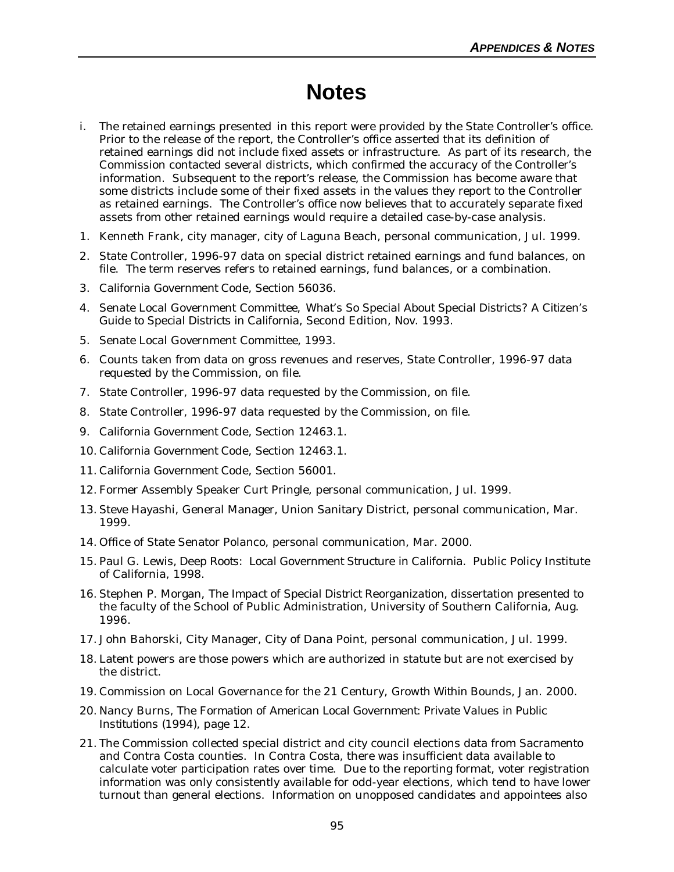## **Notes**

- i. The retained earnings presented in this report were provided by the State Controller's office. Prior to the release of the report, the Controller's office asserted that its definition of retained earnings did not include fixed assets or infrastructure. As part of its research, the Commission contacted several districts, which confirmed the accuracy of the Controller's information. Subsequent to the report's release, the Commission has become aware that some districts include some of their fixed assets in the values they report to the Controller as retained earnings. The Controller's office now believes that to accurately separate fixed assets from other retained earnings would require a detailed case-by-case analysis.
- 1. Kenneth Frank, city manager, city of Laguna Beach, personal communication, Jul. 1999.
- 2. State Controller, 1996-97 data on special district retained earnings and fund balances, on file. The term reserves refers to retained earnings, fund balances, or a combination.
- 3. *California Government Code,* Section 56036.
- 4. Senate Local Government Committee, *What's So Special About Special Districts? A Citizen's Guide to Special Districts in California,* Second Edition, Nov. 1993.
- 5. Senate Local Government Committee, 1993.
- 6. Counts taken from data on gross revenues and reserves, State Controller, 1996-97 data requested by the Commission, on file.
- 7. State Controller, 1996-97 data requested by the Commission, on file.
- 8. State Controller, 1996-97 data requested by the Commission, on file.
- 9. *California Government Code*, Section 12463.1.
- 10. *California Government Code*, Section 12463.1.
- 11. *California Government Code*, Section 56001.
- 12. Former Assembly Speaker Curt Pringle, personal communication, Jul. 1999.
- 13. Steve Hayashi, General Manager, Union Sanitary District, personal communication, Mar. 1999.
- 14. Office of State Senator Polanco, personal communication, Mar. 2000.
- 15. Paul G. Lewis, *Deep Roots: Local Government Structure in California*.Public Policy Institute of California, 1998.
- 16. Stephen P. Morgan, *The Impact of Special District Reorganization,* dissertation presented to the faculty of the School of Public Administration, University of Southern California, Aug. 1996.
- 17. John Bahorski, City Manager, City of Dana Point, personal communication, Jul. 1999.
- 18. Latent powers are those powers which are authorized in statute but are not exercised by the district.
- 19. Commission on Local Governance for the 21 Century, *Growth Within Bounds,* Jan. 2000.
- 20. Nancy Burns, *The Formation of American Local Government: Private Values in Public Institutions* (1994), page 12.
- 21. The Commission collected special district and city council elections data from Sacramento and Contra Costa counties. In Contra Costa, there was insufficient data available to calculate voter participation rates over time. Due to the reporting format, voter registration information was only consistently available for odd-year elections, which tend to have lower turnout than general elections. Information on unopposed candidates and appointees also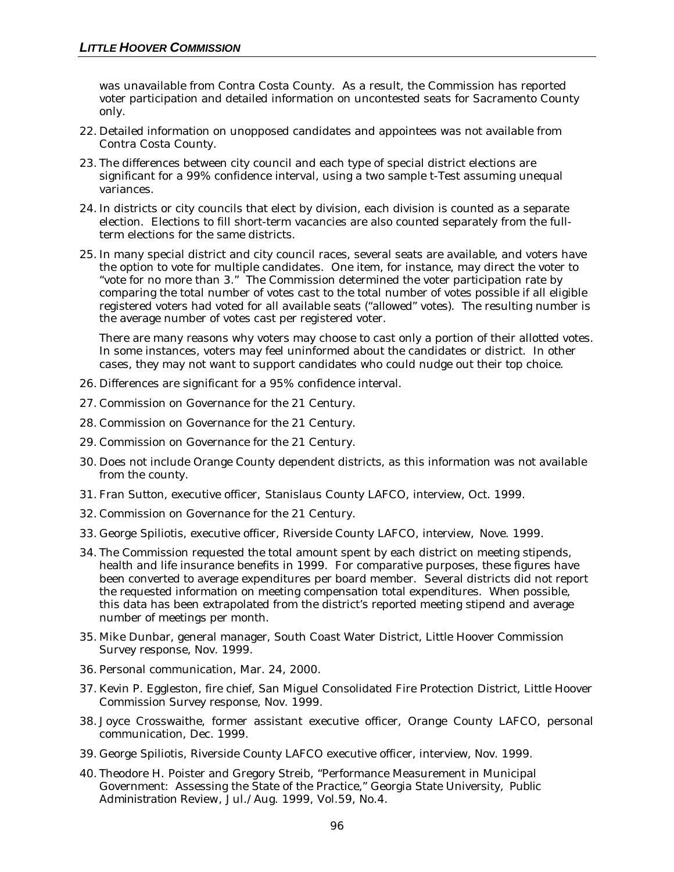was unavailable from Contra Costa County. As a result, the Commission has reported voter participation and detailed information on uncontested seats for Sacramento County only.

- 22. Detailed information on unopposed candidates and appointees was not available from Contra Costa County.
- 23. The differences between city council and each type of special district elections are significant for a 99% confidence interval, using a two sample t-Test assuming unequal variances.
- 24. In districts or city councils that elect by division, each division is counted as a separate election. Elections to fill short-term vacancies are also counted separately from the fullterm elections for the same districts.
- 25. In many special district and city council races, several seats are available, and voters have the option to vote for multiple candidates. One item, for instance, may direct the voter to "vote for no more than 3." The Commission determined the voter participation rate by comparing the total number of votes cast to the total number of votes possible if all eligible registered voters had voted for all available seats ("allowed" votes). The resulting number is the average number of votes cast per registered voter.

There are many reasons why voters may choose to cast only a portion of their allotted votes. In some instances, voters may feel uninformed about the candidates or district. In other cases, they may not want to support candidates who could nudge out their top choice.

- 26. Differences are significant for a 95% confidence interval.
- 27. Commission on Governance for the 21 Century.
- 28. Commission on Governance for the 21 Century.
- 29. Commission on Governance for the 21 Century.
- 30. Does not include Orange County dependent districts, as this information was not available from the county.
- 31. Fran Sutton, executive officer, Stanislaus County LAFCO, interview, Oct. 1999.
- 32. Commission on Governance for the 21 Century.
- 33. George Spiliotis, executive officer, Riverside County LAFCO, interview, Nove. 1999.
- 34. The Commission requested the total amount spent by each district on meeting stipends, health and life insurance benefits in 1999. For comparative purposes, these figures have been converted to average expenditures per board member. Several districts did not report the requested information on meeting compensation total expenditures. When possible, this data has been extrapolated from the district's reported meeting stipend and average number of meetings per month.
- 35. Mike Dunbar, general manager, South Coast Water District, Little Hoover Commission Survey response, Nov. 1999.
- 36. Personal communication, Mar. 24, 2000.
- 37. Kevin P. Eggleston, fire chief, San Miguel Consolidated Fire Protection District, Little Hoover Commission Survey response, Nov. 1999.
- 38. Joyce Crosswaithe, former assistant executive officer, Orange County LAFCO, personal communication, Dec. 1999.
- 39. George Spiliotis, Riverside County LAFCO executive officer, interview, Nov. 1999.
- 40. Theodore H. Poister and Gregory Streib, "Performance Measurement in Municipal Government: Assessing the State of the Practice," Georgia State University, *Public Administration Review*, Jul./Aug. 1999, Vol.59, No.4.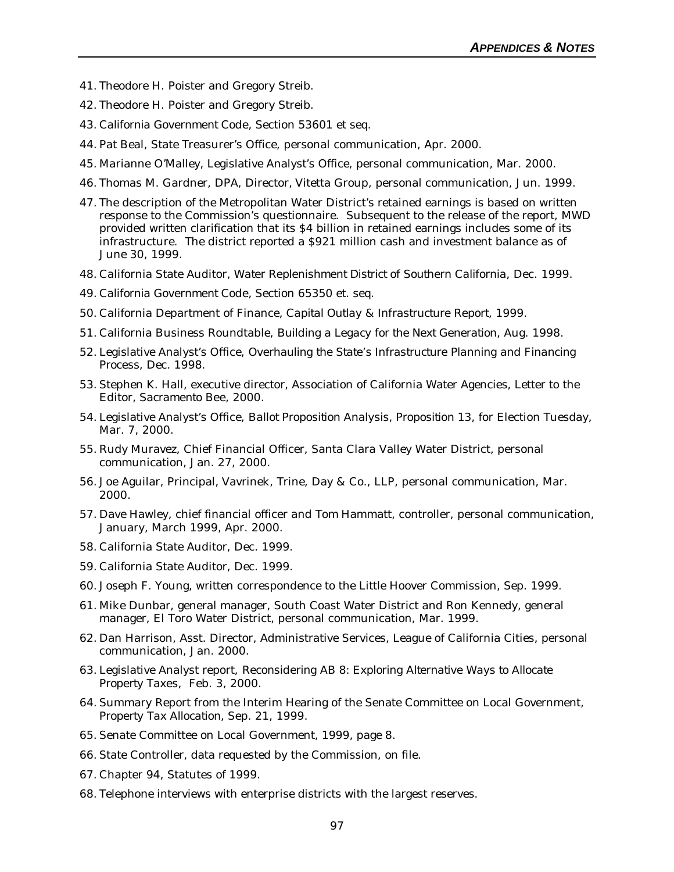- 41. Theodore H. Poister and Gregory Streib.
- 42. Theodore H. Poister and Gregory Streib.
- 43. *California Government Code*, Section 53601 et seq.
- 44. Pat Beal, State Treasurer's Office, personal communication, Apr. 2000.
- 45. Marianne O'Malley, Legislative Analyst's Office, personal communication, Mar. 2000.
- 46. Thomas M. Gardner, DPA, Director, Vitetta Group, personal communication, Jun. 1999.
- 47. The description of the Metropolitan Water District's retained earnings is based on written response to the Commission's questionnaire. Subsequent to the release of the report, MWD provided written clarification that its \$4 billion in retained earnings includes some of its infrastructure. The district reported a \$921 million cash and investment balance as of June 30, 1999.
- 48. California State Auditor, *Water Replenishment District of Southern California*, Dec. 1999.
- 49. *California Government Code,* Section 65350 et. seq.
- 50. California Department of Finance, *Capital Outlay & Infrastructure Report*, 1999.
- 51. California Business Roundtable, *Building a Legacy for the Next Generation*, Aug. 1998.
- 52. Legislative Analyst's Office, *Overhauling the State's Infrastructure Planning and Financing Proces*s, Dec. 1998.
- 53. Stephen K. Hall, executive director, Association of California Water Agencies, Letter to the Editor, *Sacramento Bee*, 2000.
- 54. Legislative Analyst's Office, *Ballot Proposition Analysis, Proposition 13*, for Election Tuesday, Mar. 7, 2000.
- 55. Rudy Muravez, Chief Financial Officer, Santa Clara Valley Water District, personal communication, Jan. 27, 2000.
- 56. Joe Aguilar, Principal, Vavrinek, Trine, Day & Co., LLP, personal communication, Mar. 2000.
- 57. Dave Hawley, chief financial officer and Tom Hammatt, controller, personal communication, January, March 1999, Apr. 2000.
- 58. California State Auditor, Dec. 1999.
- 59. California State Auditor, Dec. 1999.
- 60. Joseph F. Young, written correspondence to the Little Hoover Commission, Sep. 1999.
- 61. Mike Dunbar, general manager, South Coast Water District and Ron Kennedy, general manager, El Toro Water District, personal communication, Mar. 1999.
- 62. Dan Harrison, Asst. Director, Administrative Services, League of California Cities, personal communication, Jan. 2000.
- 63. Legislative Analyst report, *Reconsidering AB 8: Exploring Alternative Ways to Allocate Property Taxes*, Feb. 3, 2000.
- 64. Summary Report from the Interim Hearing of the Senate Committee on Local Government, *Property Tax Allocation,* Sep. 21, 1999.
- 65. Senate Committee on Local Government, 1999, page 8.
- 66. State Controller, data requested by the Commission, on file.
- 67. Chapter 94, Statutes of 1999.
- 68. Telephone interviews with enterprise districts with the largest reserves.